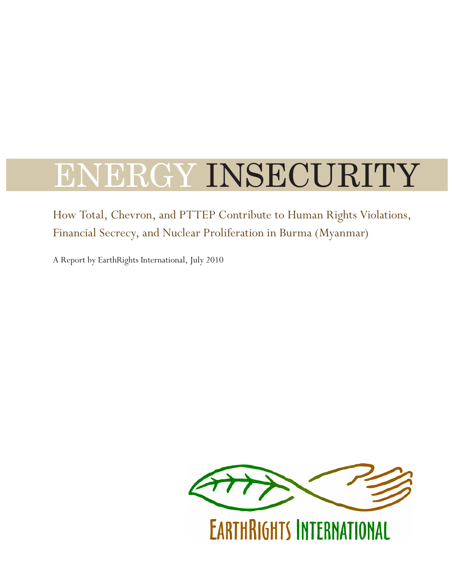# ENERGY INSECURITY

How Total, Chevron, and PTTEP Contribute to Human Rights Violations, Financial Secrecy, and Nuclear Proliferation in Burma (Myanmar)

A Report by EarthRights International, July 2010



**EARTHRIGHTS INTERNATIONAL**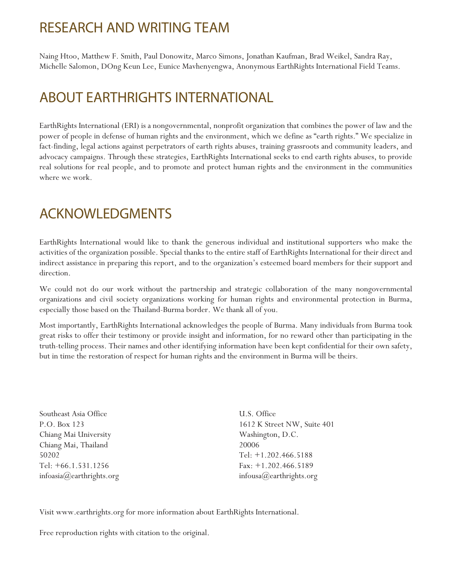## RESEARCH AND WRITING TEAM

Naing Htoo, Matthew F. Smith, Paul Donowitz, Marco Simons, Jonathan Kaufman, Brad Weikel, Sandra Ray, Michelle Salomon, DOng Keun Lee, Eunice Mavhenyengwa, Anonymous EarthRights International Field Teams.

## ABOUT EARTHRIGHTS INTERNATIONAL

EarthRights International (ERI) is a nongovernmental, nonprofit organization that combines the power of law and the power of people in defense of human rights and the environment, which we define as "earth rights." We specialize in fact-finding, legal actions against perpetrators of earth rights abuses, training grassroots and community leaders, and advocacy campaigns. Through these strategies, EarthRights International seeks to end earth rights abuses, to provide real solutions for real people, and to promote and protect human rights and the environment in the communities where we work.

## ACKNOWLEDGMENTS

EarthRights International would like to thank the generous individual and institutional supporters who make the activities of the organization possible. Special thanks to the entire staff of EarthRights International for their direct and indirect assistance in preparing this report, and to the organization's esteemed board members for their support and direction.

We could not do our work without the partnership and strategic collaboration of the many nongovernmental organizations and civil society organizations working for human rights and environmental protection in Burma, especially those based on the Thailand-Burma border. We thank all of you.

Most importantly, EarthRights International acknowledges the people of Burma. Many individuals from Burma took great risks to offer their testimony or provide insight and information, for no reward other than participating in the truth-telling process. Their names and other identifying information have been kept confidential for their own safety, but in time the restoration of respect for human rights and the environment in Burma will be theirs.

Southeast Asia Office P.O. Box 123 Chiang Mai University Chiang Mai, Thailand 50202 Tel: +66.1.531.1256 infoasia@earthrights.org

U.S. Office 1612 K Street NW, Suite 401 Washington, D.C. 20006 Tel: +1.202.466.5188 Fax: +1.202.466.5189 infousa@earthrights.org

Visit www.earthrights.org for more information about EarthRights International.

Free reproduction rights with citation to the original.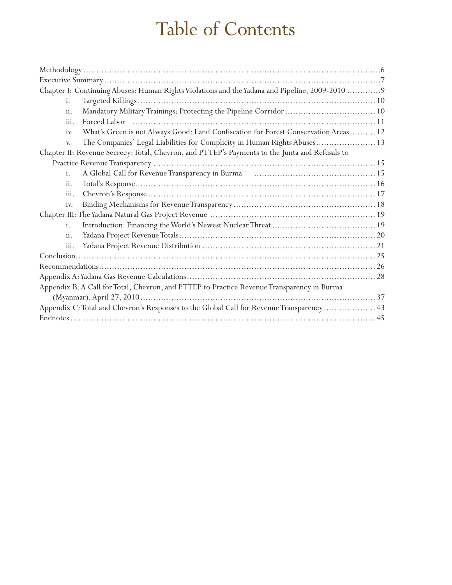## Table of Contents

| Chapter I: Continuing Abuses: Human Rights Violations and the Yadana and Pipeline, 2009-2010  9 |
|-------------------------------------------------------------------------------------------------|
| i.                                                                                              |
| ii.                                                                                             |
| iii.                                                                                            |
| What's Green is not Always Good: Land Confiscation for Forest Conservation Areas 12<br>iv.      |
| The Companies' Legal Liabilities for Complicity in Human Rights Abuses 13<br>V.                 |
| Chapter II: Revenue Secrecy: Total, Chevron, and PTTEP's Payments to the Junta and Refusals to  |
|                                                                                                 |
| i.                                                                                              |
| ii.                                                                                             |
| iii.                                                                                            |
| iv.                                                                                             |
|                                                                                                 |
| i.                                                                                              |
| ii.                                                                                             |
| iii.                                                                                            |
|                                                                                                 |
|                                                                                                 |
|                                                                                                 |
| Appendix B: A Call for Total, Chevron, and PTTEP to Practice Revenue Transparency in Burma      |
|                                                                                                 |
| Appendix C: Total and Chevron's Responses to the Global Call for Revenue Transparency  43       |
|                                                                                                 |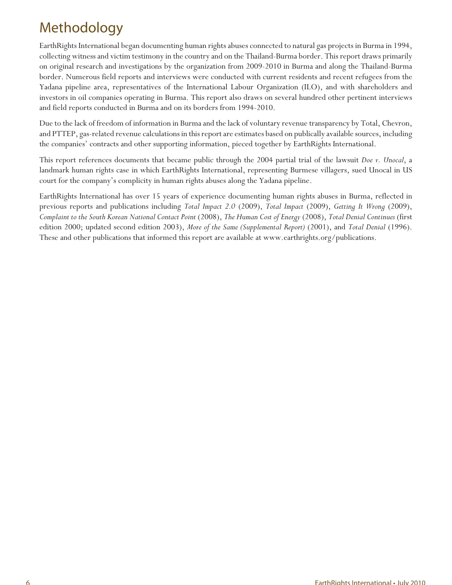## Methodology

EarthRights International began documenting human rights abuses connected to natural gas projects in Burma in 1994, collecting witness and victim testimony in the country and on the Thailand-Burma border. This report draws primarily on original research and investigations by the organization from 2009-2010 in Burma and along the Thailand-Burma border. Numerous field reports and interviews were conducted with current residents and recent refugees from the Yadana pipeline area, representatives of the International Labour Organization (ILO), and with shareholders and investors in oil companies operating in Burma. This report also draws on several hundred other pertinent interviews and field reports conducted in Burma and on its borders from 1994-2010.

Due to the lack of freedom of information in Burma and the lack of voluntary revenue transparency by Total, Chevron, and PTTEP, gas-related revenue calculations in this report are estimates based on publically available sources, including the companies' contracts and other supporting information, pieced together by EarthRights International.

This report references documents that became public through the 2004 partial trial of the lawsuit *Doe v. Unocal*, a landmark human rights case in which EarthRights International, representing Burmese villagers, sued Unocal in US court for the company's complicity in human rights abuses along the Yadana pipeline.

EarthRights International has over 15 years of experience documenting human rights abuses in Burma, reflected in previous reports and publications including *Total Impact 2.0* (2009), *Total Impact* (2009), *Getting It Wrong* (2009), *Complaint to the South Korean National Contact Point* (2008), *The Human Cost of Energy* (2008), *Total Denial Continues* (first edition 2000; updated second edition 2003), *More of the Same (Supplemental Report)* (2001), and *Total Denial* (1996). These and other publications that informed this report are available at www.earthrights.org/publications.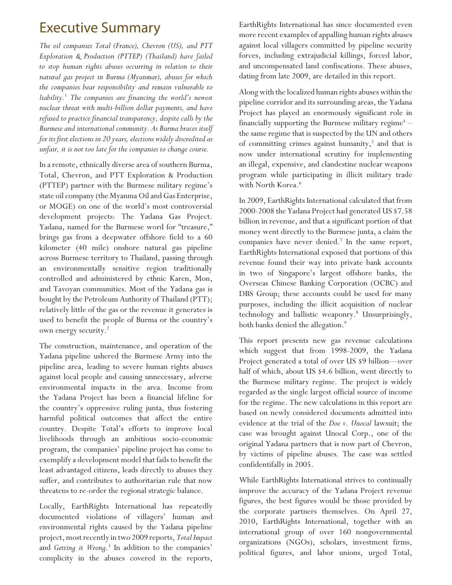## **Executive Summary**

*The oil companies Total (France), Chevron (US), and PTT Exploration & Production (PTTEP) (Thailand) have failed to stop human rights abuses occurring in relation to their natural gas project in Burma (Myanmar), abuses for which the companies bear responsibility and remain vulnerable to liability.*<sup>1</sup>  *The companies are financing the world's newest nuclear threat with multi-billion dollar payments, and have refused to practice financial transparency, despite calls by the Burmese and international community. As Burma braces itself for its first elections in 20 years, elections widely discredited as unfair, it is not too late for the companies to change course.* 

In a remote, ethnically diverse area of southern Burma, Total, Chevron, and PTT Exploration & Production (PTTEP) partner with the Burmese military regime's state oil company (the Myanma Oil and Gas Enterprise, or MOGE) on one of the world's most controversial development projects: The Yadana Gas Project. Yadana, named for the Burmese word for "treasure," brings gas from a deepwater offshore field to a 60 kilometer (40 mile) onshore natural gas pipeline across Burmese territory to Thailand, passing through an environmentally sensitive region traditionally controlled and administered by ethnic Karen, Mon, and Tavoyan communities. Most of the Yadana gas is bought by the Petroleum Authority of Thailand (PTT); relatively little of the gas or the revenue it generates is used to benefit the people of Burma or the country's own energy security.<sup>2</sup>

The construction, maintenance, and operation of the Yadana pipeline ushered the Burmese Army into the pipeline area, leading to severe human rights abuses against local people and causing unnecessary, adverse environmental impacts in the area. Income from the Yadana Project has been a financial lifeline for the country's oppressive ruling junta, thus fostering harmful political outcomes that affect the entire country. Despite Total's efforts to improve local livelihoods through an ambitious socio-economic program, the companies' pipeline project has come to exemplify a development model that fails to benefit the least advantaged citizens, leads directly to abuses they suffer, and contributes to authoritarian rule that now threatens to re-order the regional strategic balance.

Locally, EarthRights International has repeatedly documented violations of villagers' human and environmental rights caused by the Yadana pipeline project, most recently in two 2009 reports, *Total Impact* and *Getting it Wrong*. 3 In addition to the companies' complicity in the abuses covered in the reports,

EarthRights International has since documented even more recent examples of appalling human rights abuses against local villagers committed by pipeline security forces, including extrajudicial killings, forced labor, and uncompensated land confiscations. These abuses, dating from late 2009, are detailed in this report.

Along with the localized human rights abuses within the pipeline corridor and its surrounding areas, the Yadana Project has played an enormously significant role in financially supporting the Burmese military  $regime<sup>4</sup>$ the same regime that is suspected by the UN and others of committing crimes against humanity,<sup>5</sup> and that is now under international scrutiny for implementing an illegal, expensive, and clandestine nuclear weapons program while participating in illicit military trade with North Korea.<sup>6</sup>

In 2009, EarthRights International calculated that from 2000-2008 the Yadana Project had generated US \$7.58 billion in revenue, and that a significant portion of that money went directly to the Burmese junta, a claim the companies have never denied.<sup>7</sup> In the same report, EarthRights International exposed that portions of this revenue found their way into private bank accounts in two of Singapore's largest offshore banks, the Overseas Chinese Banking Corporation (OCBC) and DBS Group; these accounts could be used for many purposes, including the illicit acquisition of nuclear technology and ballistic weaponry.<sup>8</sup> Unsurprisingly, both banks denied the allegation.<sup>9</sup>

This report presents new gas revenue calculations which suggest that from 1998-2009, the Yadana Project generated a total of over US \$9 billion—over half of which, about US \$4.6 billion, went directly to the Burmese military regime. The project is widely regarded as the single largest official source of income for the regime. The new calculations in this report are based on newly considered documents admitted into evidence at the trial of the *Doe v. Unocal* lawsuit; the case was brought against Unocal Corp., one of the original Yadana partners that is now part of Chevron, by victims of pipeline abuses. The case was settled confidentifally in 2005.

While EarthRights International strives to continually improve the accuracy of the Yadana Project revenue figures, the best figures would be those provided by the corporate partners themselves. On April 27, 2010, EarthRights International, together with an international group of over 160 nongovernmental organizations (NGOs), scholars, investment firms, political figures, and labor unions, urged Total,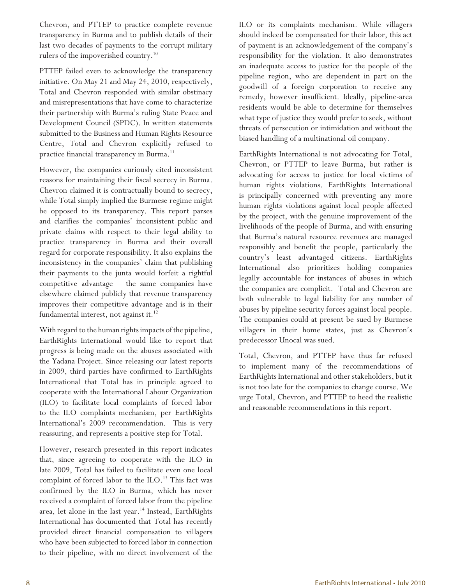Chevron, and PTTEP to practice complete revenue transparency in Burma and to publish details of their last two decades of payments to the corrupt military rulers of the impoverished country.<sup>10</sup>

PTTEP failed even to acknowledge the transparency initiative. On May 21 and May 24, 2010, respectively, Total and Chevron responded with similar obstinacy and misrepresentations that have come to characterize their partnership with Burma's ruling State Peace and Development Council (SPDC). In written statements submitted to the Business and Human Rights Resource Centre, Total and Chevron explicitly refused to practice financial transparency in Burma.<sup>11</sup>

However, the companies curiously cited inconsistent reasons for maintaining their fiscal secrecy in Burma. Chevron claimed it is contractually bound to secrecy, while Total simply implied the Burmese regime might be opposed to its transparency. This report parses and clarifies the companies' inconsistent public and private claims with respect to their legal ability to practice transparency in Burma and their overall regard for corporate responsibility. It also explains the inconsistency in the companies' claim that publishing their payments to the junta would forfeit a rightful competitive advantage – the same companies have elsewhere claimed publicly that revenue transparency improves their competitive advantage and is in their fundamental interest, not against it. $12$ 

With regard to the human rights impacts of the pipeline, EarthRights International would like to report that progress is being made on the abuses associated with the Yadana Project. Since releasing our latest reports in 2009, third parties have confirmed to EarthRights International that Total has in principle agreed to cooperate with the International Labour Organization (ILO) to facilitate local complaints of forced labor to the ILO complaints mechanism, per EarthRights International's 2009 recommendation. This is very reassuring, and represents a positive step for Total.

However, research presented in this report indicates that, since agreeing to cooperate with the ILO in late 2009, Total has failed to facilitate even one local complaint of forced labor to the ILO.<sup>13</sup> This fact was confirmed by the ILO in Burma, which has never received a complaint of forced labor from the pipeline area, let alone in the last year.<sup>14</sup> Instead, EarthRights International has documented that Total has recently provided direct financial compensation to villagers who have been subjected to forced labor in connection to their pipeline, with no direct involvement of the ILO or its complaints mechanism. While villagers should indeed be compensated for their labor, this act of payment is an acknowledgement of the company's responsibility for the violation. It also demonstrates an inadequate access to justice for the people of the pipeline region, who are dependent in part on the goodwill of a foreign corporation to receive any remedy, however insufficient. Ideally, pipeline-area residents would be able to determine for themselves what type of justice they would prefer to seek, without threats of persecution or intimidation and without the biased handling of a multinational oil company.

EarthRights International is not advocating for Total, Chevron, or PTTEP to leave Burma, but rather is advocating for access to justice for local victims of human rights violations. EarthRights International is principally concerned with preventing any more human rights violations against local people affected by the project, with the genuine improvement of the livelihoods of the people of Burma, and with ensuring that Burma's natural resource revenues are managed responsibly and benefit the people, particularly the country's least advantaged citizens. EarthRights International also prioritizes holding companies legally accountable for instances of abuses in which the companies are complicit. Total and Chevron are both vulnerable to legal liability for any number of abuses by pipeline security forces against local people. The companies could at present be sued by Burmese villagers in their home states, just as Chevron's predecessor Unocal was sued.

Total, Chevron, and PTTEP have thus far refused to implement many of the recommendations of EarthRights International and other stakeholders, but it is not too late for the companies to change course. We urge Total, Chevron, and PTTEP to heed the realistic and reasonable recommendations in this report.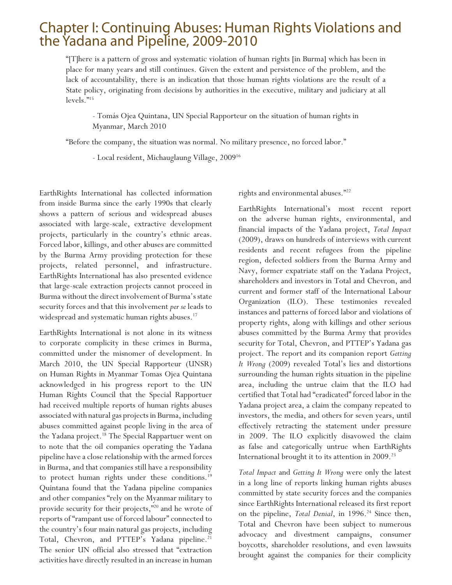## Chapter I: Continuing Abuses: Human Rights Violations and the Yadana and Pipeline, 2009-2010

"[T]here is a pattern of gross and systematic violation of human rights [in Burma] which has been in place for many years and still continues. Given the extent and persistence of the problem, and the lack of accountability, there is an indication that those human rights violations are the result of a State policy, originating from decisions by authorities in the executive, military and judiciary at all levels."<sup>15</sup>

- Tomás Ojea Quintana, UN Special Rapporteur on the situation of human rights in Myanmar, March 2010

"Before the company, the situation was normal. No military presence, no forced labor."

- Local resident, Michauglaung Village, 2009<sup>16</sup>

EarthRights International has collected information from inside Burma since the early 1990s that clearly shows a pattern of serious and widespread abuses associated with large-scale, extractive development projects, particularly in the country's ethnic areas. Forced labor, killings, and other abuses are committed by the Burma Army providing protection for these projects, related personnel, and infrastructure. EarthRights International has also presented evidence that large-scale extraction projects cannot proceed in Burma without the direct involvement of Burma's state security forces and that this involvement *per se* leads to widespread and systematic human rights abuses.<sup>17</sup>

EarthRights International is not alone in its witness to corporate complicity in these crimes in Burma, committed under the misnomer of development. In March 2010, the UN Special Rapporteur (UNSR) on Human Rights in Myanmar Tomas Ojea Quintana acknowledged in his progress report to the UN Human Rights Council that the Special Rapportuer had received multiple reports of human rights abuses associated with natural gas projects in Burma, including abuses committed against people living in the area of the Yadana project.<sup>18</sup> The Special Rappartuer went on to note that the oil companies operating the Yadana pipeline have a close relationship with the armed forces in Burma, and that companies still have a responsibility to protect human rights under these conditions.<sup>19</sup> Quintana found that the Yadana pipeline companies and other companies "rely on the Myanmar military to provide security for their projects,"<sup>20</sup> and he wrote of reports of "rampant use of forced labour" connected to the country's four main natural gas projects, including Total, Chevron, and PTTEP's Yadana pipeline.<sup>21</sup> The senior UN official also stressed that "extraction activities have directly resulted in an increase in human

rights and environmental abuses."<sup>22</sup>

EarthRights International's most recent report on the adverse human rights, environmental, and financial impacts of the Yadana project, *Total Impact* (2009), draws on hundreds of interviews with current residents and recent refugees from the pipeline region, defected soldiers from the Burma Army and Navy, former expatriate staff on the Yadana Project, shareholders and investors in Total and Chevron, and current and former staff of the International Labour Organization (ILO). These testimonies revealed instances and patterns of forced labor and violations of property rights, along with killings and other serious abuses committed by the Burma Army that provides security for Total, Chevron, and PTTEP's Yadana gas project. The report and its companion report *Getting It Wrong* (2009) revealed Total's lies and distortions surrounding the human rights situation in the pipeline area, including the untrue claim that the ILO had certified that Total had "eradicated" forced labor in the Yadana project area, a claim the company repeated to investors, the media, and others for seven years, until effectively retracting the statement under pressure in 2009. The ILO explicitly disavowed the claim as false and categorically untrue when EarthRights International brought it to its attention in 2009.<sup>23</sup>

*Total Impact* and *Getting It Wrong* were only the latest in a long line of reports linking human rights abuses committed by state security forces and the companies since EarthRights International released its first report on the pipeline, *Total Denial*, in 1996.<sup>24</sup> Since then, Total and Chevron have been subject to numerous advocacy and divestment campaigns, consumer boycotts, shareholder resolutions, and even lawsuits brought against the companies for their complicity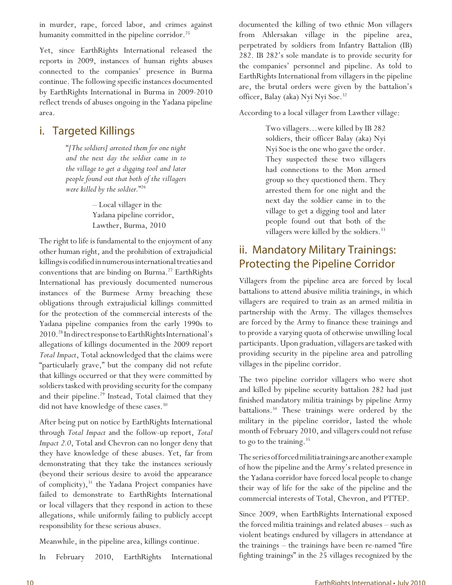in murder, rape, forced labor, and crimes against humanity committed in the pipeline corridor.<sup>25</sup>

Yet, since EarthRights International released the reports in 2009, instances of human rights abuses connected to the companies' presence in Burma continue. The following specific instances documented by EarthRights International in Burma in 2009-2010 reflect trends of abuses ongoing in the Yadana pipeline area.

## i. Targeted Killings

"*[The soldiers] arrested them for one night and the next day the soldier came in to the village to get a digging tool and later people found out that both of the villagers were killed by the soldier.*" 26

> – Local villager in the Yadana pipeline corridor, Lawther, Burma, 2010

The right to life is fundamental to the enjoyment of any other human right, and the prohibition of extrajudicial killings is codified in numerous international treaties and conventions that are binding on Burma.<sup>27</sup> EarthRights International has previously documented numerous instances of the Burmese Army breaching these obligations through extrajudicial killings committed for the protection of the commercial interests of the Yadana pipeline companies from the early 1990s to 2010.<sup>28</sup> In direct response to EarthRights International's allegations of killings documented in the 2009 report *Total Impact*, Total acknowledged that the claims were "particularly grave," but the company did not refute that killings occurred or that they were committed by soldiers tasked with providing security for the company and their pipeline.<sup>29</sup> Instead, Total claimed that they did not have knowledge of these cases.<sup>30</sup>

After being put on notice by EarthRights International through *Total Impact* and the follow-up report, *Total Impact 2.0*, Total and Chevron can no longer deny that they have knowledge of these abuses. Yet, far from demonstrating that they take the instances seriously (beyond their serious desire to avoid the appearance of complicity), $31$  the Yadana Project companies have failed to demonstrate to EarthRights International or local villagers that they respond in action to these allegations, while uniformly failing to publicly accept responsibility for these serious abuses.

Meanwhile, in the pipeline area, killings continue.

In February 2010, EarthRights International

documented the killing of two ethnic Mon villagers from Ahlersakan village in the pipeline area, perpetrated by soldiers from Infantry Battalion (IB) 282. IB 282's sole mandate is to provide security for the companies' personnel and pipeline. As told to EarthRights International from villagers in the pipeline are, the brutal orders were given by the battalion's officer, Balay (aka) Nyi Nyi Soe.<sup>32</sup>

According to a local villager from Lawther village:

Two villagers…were killed by IB 282 soldiers, their officer Balay (aka) Nyi Nyi Soe is the one who gave the order. They suspected these two villagers had connections to the Mon armed group so they questioned them. They arrested them for one night and the next day the soldier came in to the village to get a digging tool and later people found out that both of the villagers were killed by the soldiers.<sup>33</sup>

## ii. Mandatory Military Trainings: Protecting the Pipeline Corridor

Villagers from the pipeline area are forced by local battalions to attend abusive militia trainings, in which villagers are required to train as an armed militia in partnership with the Army. The villages themselves are forced by the Army to finance these trainings and to provide a varying quota of otherwise unwilling local participants. Upon graduation, villagers are tasked with providing security in the pipeline area and patrolling villages in the pipeline corridor.

The two pipeline corridor villagers who were shot and killed by pipeline security battalion 282 had just finished mandatory militia trainings by pipeline Army battalions.<sup>34</sup> These trainings were ordered by the military in the pipeline corridor, lasted the whole month of February 2010, and villagers could not refuse to go to the training. $35$ 

The series of forced militia trainings are another example of how the pipeline and the Army's related presence in the Yadana corridor have forced local people to change their way of life for the sake of the pipeline and the commercial interests of Total, Chevron, and PTTEP.

Since 2009, when EarthRights International exposed the forced militia trainings and related abuses – such as violent beatings endured by villagers in attendance at the trainings – the trainings have been re-named "fire fighting trainings" in the 25 villages recognized by the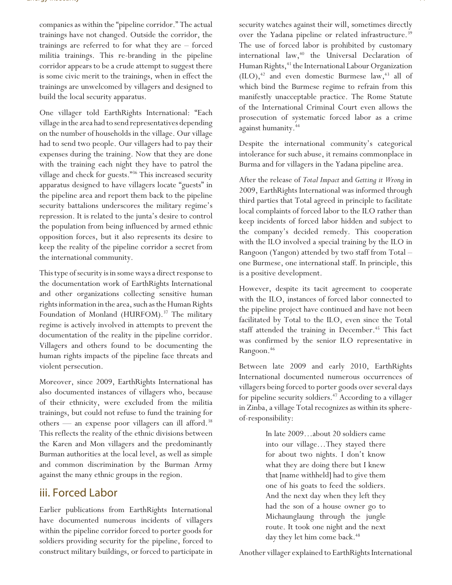companies as within the "pipeline corridor." The actual trainings have not changed. Outside the corridor, the trainings are referred to for what they are – forced militia trainings. This re-branding in the pipeline corridor appears to be a crude attempt to suggest there is some civic merit to the trainings, when in effect the trainings are unwelcomed by villagers and designed to build the local security apparatus.

One villager told EarthRights International: "Each village in the area had to send representatives depending on the number of households in the village. Our village had to send two people. Our villagers had to pay their expenses during the training. Now that they are done with the training each night they have to patrol the village and check for guests."<sup>36</sup> This increased security apparatus designed to have villagers locate "guests" in the pipeline area and report them back to the pipeline security battalions underscores the military regime's repression. It is related to the junta's desire to control the population from being influenced by armed ethnic opposition forces, but it also represents its desire to keep the reality of the pipeline corridor a secret from the international community.

This type of security is in some ways a direct response to the documentation work of EarthRights International and other organizations collecting sensitive human rights information in the area, such as the Human Rights Foundation of Monland (HURFOM).<sup>37</sup> The military regime is actively involved in attempts to prevent the documentation of the reality in the pipeline corridor. Villagers and others found to be documenting the human rights impacts of the pipeline face threats and violent persecution.

Moreover, since 2009, EarthRights International has also documented instances of villagers who, because of their ethnicity, were excluded from the militia trainings, but could not refuse to fund the training for others — an expense poor villagers can ill afford.<sup>38</sup> This reflects the reality of the ethnic divisions between the Karen and Mon villagers and the predominantly Burman authorities at the local level, as well as simple and common discrimination by the Burman Army against the many ethnic groups in the region.

### iii. Forced Labor

Earlier publications from EarthRights International have documented numerous incidents of villagers within the pipeline corridor forced to porter goods for soldiers providing security for the pipeline, forced to construct military buildings, or forced to participate in security watches against their will, sometimes directly over the Yadana pipeline or related infrastructure.<sup>39</sup> The use of forced labor is prohibited by customary international law, $40$  the Universal Declaration of Human Rights,<sup>41</sup> the International Labour Organization  $(ILO),<sup>42</sup>$  and even domestic Burmese law,<sup>43</sup> all of which bind the Burmese regime to refrain from this manifestly unacceptable practice. The Rome Statute of the International Criminal Court even allows the prosecution of systematic forced labor as a crime against humanity.<sup>44</sup>

Despite the international community's categorical intolerance for such abuse, it remains commonplace in Burma and for villagers in the Yadana pipeline area.

After the release of *Total Impact* and *Getting it Wrong* in 2009, EarthRights International was informed through third parties that Total agreed in principle to facilitate local complaints of forced labor to the ILO rather than keep incidents of forced labor hidden and subject to the company's decided remedy. This cooperation with the ILO involved a special training by the ILO in Rangoon (Yangon) attended by two staff from Total – one Burmese, one international staff. In principle, this is a positive development.

However, despite its tacit agreement to cooperate with the ILO, instances of forced labor connected to the pipeline project have continued and have not been facilitated by Total to the ILO, even since the Total staff attended the training in December.<sup>45</sup> This fact was confirmed by the senior ILO representative in Rangoon.<sup>46</sup>

Between late 2009 and early 2010, EarthRights International documented numerous occurrences of villagers being forced to porter goods over several days for pipeline security soldiers.<sup>47</sup> According to a villager in Zinba, a village Total recognizes as within its sphereof-responsibility:

> In late 2009…about 20 soldiers came into our village…They stayed there for about two nights. I don't know what they are doing there but I knew that [name withheld] had to give them one of his goats to feed the soldiers. And the next day when they left they had the son of a house owner go to Michaunglaung through the jungle route. It took one night and the next day they let him come back.<sup>48</sup>

Another villager explained to EarthRights International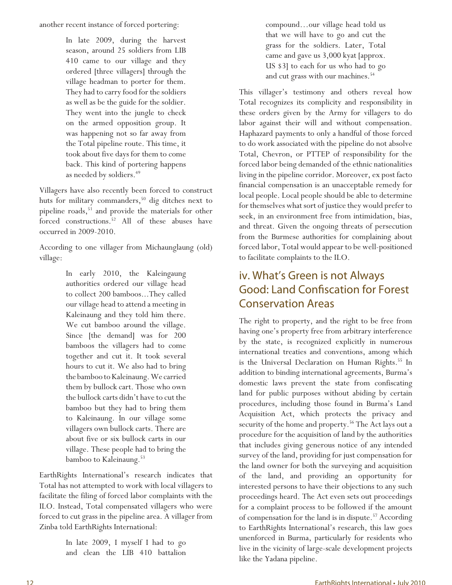another recent instance of forced portering:

In late 2009, during the harvest season, around 25 soldiers from LIB 410 came to our village and they ordered [three villagers] through the village headman to porter for them. They had to carry food for the soldiers as well as be the guide for the soldier. They went into the jungle to check on the armed opposition group. It was happening not so far away from the Total pipeline route. This time, it took about five days for them to come back. This kind of portering happens as needed by soldiers.<sup>49</sup>

Villagers have also recently been forced to construct huts for military commanders,<sup>50</sup> dig ditches next to pipeline roads,<sup>51</sup> and provide the materials for other forced constructions.<sup>52</sup> All of these abuses have occurred in 2009-2010.

According to one villager from Michaunglaung (old) village:

> In early 2010, the Kaleingaung authorities ordered our village head to collect 200 bamboos...They called our village head to attend a meeting in Kaleinaung and they told him there. We cut bamboo around the village. Since [the demand] was for 200 bamboos the villagers had to come together and cut it. It took several hours to cut it. We also had to bring the bamboo to Kaleinaung. We carried them by bullock cart. Those who own the bullock carts didn't have to cut the bamboo but they had to bring them to Kaleinaung. In our village some villagers own bullock carts. There are about five or six bullock carts in our village. These people had to bring the bamboo to Kaleinaung.<sup>53</sup>

EarthRights International's research indicates that Total has not attempted to work with local villagers to facilitate the filing of forced labor complaints with the ILO. Instead, Total compensated villagers who were forced to cut grass in the pipeline area. A villager from Zinba told EarthRights International:

> In late 2009, I myself I had to go and clean the LIB 410 battalion

compound…our village head told us that we will have to go and cut the grass for the soldiers. Later, Total came and gave us 3,000 kyat [approx. US \$3] to each for us who had to go and cut grass with our machines.<sup>54</sup>

This villager's testimony and others reveal how Total recognizes its complicity and responsibility in these orders given by the Army for villagers to do labor against their will and without compensation. Haphazard payments to only a handful of those forced to do work associated with the pipeline do not absolve Total, Chevron, or PTTEP of responsibility for the forced labor being demanded of the ethnic nationalities living in the pipeline corridor. Moreover, ex post facto financial compensation is an unacceptable remedy for local people. Local people should be able to determine for themselves what sort of justice they would prefer to seek, in an environment free from intimidation, bias, and threat. Given the ongoing threats of persecution from the Burmese authorities for complaining about forced labor, Total would appear to be well-positioned to facilitate complaints to the ILO.

## iv. What's Green is not Always Good: Land Confiscation for Forest **Conservation Areas**

The right to property, and the right to be free from having one's property free from arbitrary interference by the state, is recognized explicitly in numerous international treaties and conventions, among which is the Universal Declaration on Human Rights.<sup>55</sup> In addition to binding international agreements, Burma's domestic laws prevent the state from confiscating land for public purposes without abiding by certain procedures, including those found in Burma's Land Acquisition Act, which protects the privacy and security of the home and property.<sup>56</sup> The Act lays out a procedure for the acquisition of land by the authorities that includes giving generous notice of any intended survey of the land, providing for just compensation for the land owner for both the surveying and acquisition of the land, and providing an opportunity for interested persons to have their objections to any such proceedings heard. The Act even sets out proceedings for a complaint process to be followed if the amount of compensation for the land is in dispute.<sup>57</sup> According to EarthRights International's research, this law goes unenforced in Burma, particularly for residents who live in the vicinity of large-scale development projects like the Yadana pipeline.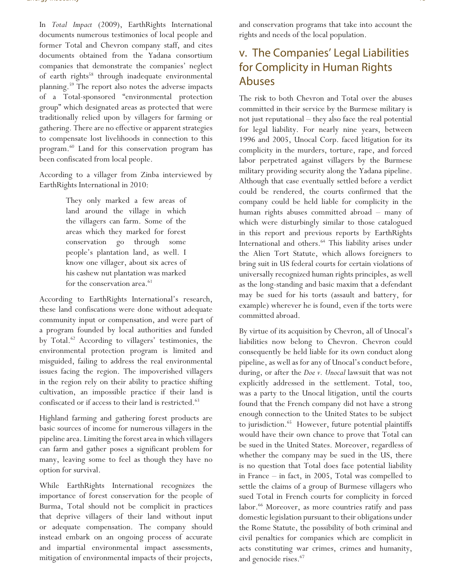In *Total Impact* (2009), EarthRights International documents numerous testimonies of local people and former Total and Chevron company staff, and cites documents obtained from the Yadana consortium companies that demonstrate the companies' neglect of earth rights<sup>58</sup> through inadequate environmental planning.<sup>59</sup> The report also notes the adverse impacts of a Total-sponsored "environmental protection group" which designated areas as protected that were traditionally relied upon by villagers for farming or gathering. There are no effective or apparent strategies to compensate lost livelihoods in connection to this program.<sup>60</sup> Land for this conservation program has been confiscated from local people.

According to a villager from Zinba interviewed by EarthRights International in 2010:

> They only marked a few areas of land around the village in which the villagers can farm. Some of the areas which they marked for forest conservation go through some people's plantation land, as well. I know one villager, about six acres of his cashew nut plantation was marked for the conservation area.<sup>61</sup>

According to EarthRights International's research, these land confiscations were done without adequate community input or compensation, and were part of a program founded by local authorities and funded by Total.<sup>62</sup> According to villagers' testimonies, the environmental protection program is limited and misguided, failing to address the real environmental issues facing the region. The impoverished villagers in the region rely on their ability to practice shifting cultivation, an impossible practice if their land is confiscated or if access to their land is restricted.<sup>63</sup>

Highland farming and gathering forest products are basic sources of income for numerous villagers in the pipeline area. Limiting the forest area in which villagers can farm and gather poses a significant problem for many, leaving some to feel as though they have no option for survival.

While EarthRights International recognizes the importance of forest conservation for the people of Burma, Total should not be complicit in practices that deprive villagers of their land without input or adequate compensation. The company should instead embark on an ongoing process of accurate and impartial environmental impact assessments, mitigation of environmental impacts of their projects,

and conservation programs that take into account the rights and needs of the local population.

## v. The Companies' Legal Liabilities for Complicity in Human Rights Abuses

The risk to both Chevron and Total over the abuses committed in their service by the Burmese military is not just reputational – they also face the real potential for legal liability. For nearly nine years, between 1996 and 2005, Unocal Corp. faced litigation for its complicity in the murders, torture, rape, and forced labor perpetrated against villagers by the Burmese military providing security along the Yadana pipeline. Although that case eventually settled before a verdict could be rendered, the courts confirmed that the company could be held liable for complicity in the human rights abuses committed abroad – many of which were disturbingly similar to those catalogued in this report and previous reports by EarthRights International and others.<sup>64</sup> This liability arises under the Alien Tort Statute, which allows foreigners to bring suit in US federal courts for certain violations of universally recognized human rights principles, as well as the long-standing and basic maxim that a defendant may be sued for his torts (assault and battery, for example) wherever he is found, even if the torts were committed abroad.

By virtue of its acquisition by Chevron, all of Unocal's liabilities now belong to Chevron. Chevron could consequently be held liable for its own conduct along pipeline, as well as for any of Unocal's conduct before, during, or after the *Doe v. Unocal* lawsuit that was not explicitly addressed in the settlement. Total, too, was a party to the Unocal litigation, until the courts found that the French company did not have a strong enough connection to the United States to be subject to jurisdiction.<sup>65</sup> However, future potential plaintiffs would have their own chance to prove that Total can be sued in the United States. Moreover, regardless of whether the company may be sued in the US, there is no question that Total does face potential liability in France – in fact, in 2005, Total was compelled to settle the claims of a group of Burmese villagers who sued Total in French courts for complicity in forced labor.<sup>66</sup> Moreover, as more countries ratify and pass domestic legislation pursuant to their obligations under the Rome Statute, the possibility of both criminal and civil penalties for companies which are complicit in acts constituting war crimes, crimes and humanity, and genocide rises.<sup>67</sup>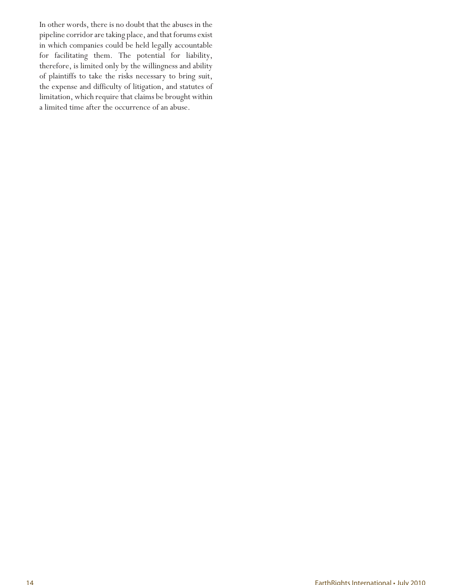In other words, there is no doubt that the abuses in the pipeline corridor are taking place, and that forums exist in which companies could be held legally accountable for facilitating them. The potential for liability, therefore, is limited only by the willingness and ability of plaintiffs to take the risks necessary to bring suit, the expense and difficulty of litigation, and statutes of limitation, which require that claims be brought within a limited time after the occurrence of an abuse.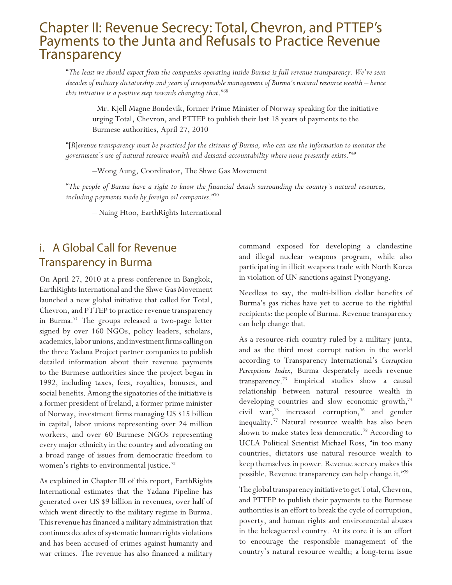## Chapter II: Revenue Secrecy: Total, Chevron, and PTTEP's Payments to the Junta and Refusals to Practice Revenue Transparency

"*The least we should expect from the companies operating inside Burma is full revenue transparency. We've seen decades of military dictatorship and years of irresponsible management of Burma's natural resource wealth – hence this initiative is a positive step towards changing that*."<sup>68</sup>

*–*Mr. Kjell Magne Bondevik, former Prime Minister of Norway speaking for the initiative urging Total, Chevron, and PTTEP to publish their last 18 years of payments to the Burmese authorities, April 27, 2010

"[*R*]*evenue transparency must be practiced for the citizens of Burma, who can use the information to monitor the government's use of natural resource wealth and demand accountability where none presently exists*."<sup>69</sup>

–Wong Aung, Coordinator, The Shwe Gas Movement

"*The people of Burma have a right to know the financial details surrounding the country's natural resources, including payments made by foreign oil companies*."<sup>70</sup>

– Naing Htoo, EarthRights International

## i. A Global Call for Revenue Transparency in Burma

On April 27, 2010 at a press conference in Bangkok, EarthRights International and the Shwe Gas Movement launched a new global initiative that called for Total, Chevron, and PTTEP to practice revenue transparency in Burma.<sup>71</sup> The groups released a two-page letter signed by over 160 NGOs, policy leaders, scholars, academics, labor unions, and investment firms calling on the three Yadana Project partner companies to publish detailed information about their revenue payments to the Burmese authorities since the project began in 1992, including taxes, fees, royalties, bonuses, and social benefits. Among the signatories of the initiative is a former president of Ireland, a former prime minister of Norway, investment firms managing US \$15 billion in capital, labor unions representing over 24 million workers, and over 60 Burmese NGOs representing every major ethnicity in the country and advocating on a broad range of issues from democratic freedom to women's rights to environmental justice. $\frac{72}{2}$ 

As explained in Chapter III of this report, EarthRights International estimates that the Yadana Pipeline has generated over US \$9 billion in revenues, over half of which went directly to the military regime in Burma. This revenue has financed a military administration that continues decades of systematic human rights violations and has been accused of crimes against humanity and war crimes. The revenue has also financed a military

command exposed for developing a clandestine and illegal nuclear weapons program, while also participating in illicit weapons trade with North Korea in violation of UN sanctions against Pyongyang.

Needless to say, the multi-billion dollar benefits of Burma's gas riches have yet to accrue to the rightful recipients: the people of Burma. Revenue transparency can help change that.

As a resource-rich country ruled by a military junta, and as the third most corrupt nation in the world according to Transparency International's *Corruption Perceptions Index*, Burma desperately needs revenue transparency.<sup>73</sup> Empirical studies show a causal relationship between natural resource wealth in developing countries and slow economic growth,<sup>74</sup> civil war,<sup>75</sup> increased corruption,<sup>76</sup> and gender inequality.<sup>77</sup> Natural resource wealth has also been shown to make states less democratic.<sup>78</sup> According to UCLA Political Scientist Michael Ross, "in too many countries, dictators use natural resource wealth to keep themselves in power. Revenue secrecy makes this possible. Revenue transparency can help change it."<sup>79</sup>

The global transparency initiative to get Total, Chevron, and PTTEP to publish their payments to the Burmese authorities is an effort to break the cycle of corruption, poverty, and human rights and environmental abuses in the beleaguered country. At its core it is an effort to encourage the responsible management of the country's natural resource wealth; a long-term issue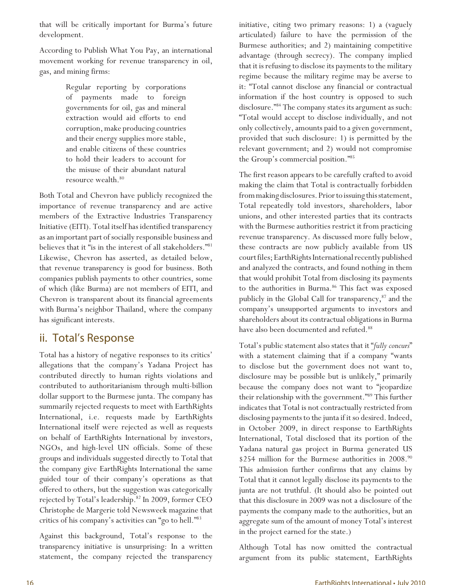that will be critically important for Burma's future development.

According to Publish What You Pay, an international movement working for revenue transparency in oil, gas, and mining firms:

> Regular reporting by corporations of payments made to foreign governments for oil, gas and mineral extraction would aid efforts to end corruption, make producing countries and their energy supplies more stable, and enable citizens of these countries to hold their leaders to account for the misuse of their abundant natural resource wealth.<sup>80</sup>

Both Total and Chevron have publicly recognized the importance of revenue transparency and are active members of the Extractive Industries Transparency Initiative (EITI). Total itself has identified transparency as an important part of socially responsible business and believes that it "is in the interest of all stakeholders."<sup>81</sup> Likewise, Chevron has asserted, as detailed below, that revenue transparency is good for business. Both companies publish payments to other countries, some of which (like Burma) are not members of EITI, and Chevron is transparent about its financial agreements with Burma's neighbor Thailand, where the company has significant interests.

## ii. Total's Response

Total has a history of negative responses to its critics' allegations that the company's Yadana Project has contributed directly to human rights violations and contributed to authoritarianism through multi-billion dollar support to the Burmese junta. The company has summarily rejected requests to meet with EarthRights International, i.e. requests made by EarthRights International itself were rejected as well as requests on behalf of EarthRights International by investors, NGOs, and high-level UN officials. Some of these groups and individuals suggested directly to Total that the company give EarthRights International the same guided tour of their company's operations as that offered to others, but the suggestion was categorically rejected by Total's leadership.<sup>82</sup> In 2009, former CEO Christophe de Margerie told Newsweek magazine that critics of his company's activities can "go to hell."<sup>83</sup>

Against this background, Total's response to the transparency initiative is unsurprising: In a written statement, the company rejected the transparency

initiative, citing two primary reasons: 1) a (vaguely articulated) failure to have the permission of the Burmese authorities; and 2) maintaining competitive advantage (through secrecy). The company implied that it is refusing to disclose its payments to the military regime because the military regime may be averse to it: "Total cannot disclose any financial or contractual information if the host country is opposed to such disclosure."<sup>84</sup> The company states its argument as such: "Total would accept to disclose individually, and not only collectively, amounts paid to a given government, provided that such disclosure: 1) is permitted by the relevant government; and 2) would not compromise the Group's commercial position."<sup>85</sup>

The first reason appears to be carefully crafted to avoid making the claim that Total is contractually forbidden from making disclosures. Prior to issuing this statement, Total repeatedly told investors, shareholders, labor unions, and other interested parties that its contracts with the Burmese authorities restrict it from practicing revenue transparency. As discussed more fully below, these contracts are now publicly available from US court files; EarthRights International recently published and analyzed the contracts, and found nothing in them that would prohibit Total from disclosing its payments to the authorities in Burma.<sup>86</sup> This fact was exposed publicly in the Global Call for transparency,<sup>87</sup> and the company's unsupported arguments to investors and shareholders about its contractual obligations in Burma have also been documented and refuted.<sup>88</sup>

Total's public statement also states that it "*fully concurs*" with a statement claiming that if a company "wants to disclose but the government does not want to, disclosure may be possible but is unlikely," primarily because the company does not want to "jeopardize their relationship with the government."<sup>89</sup> This further indicates that Total is not contractually restricted from disclosing payments to the junta if it so desired. Indeed, in October 2009, in direct response to EarthRights International, Total disclosed that its portion of the Yadana natural gas project in Burma generated US \$254 million for the Burmese authorities in 2008.<sup>90</sup> This admission further confirms that any claims by Total that it cannot legally disclose its payments to the junta are not truthful. (It should also be pointed out that this disclosure in 2009 was not a disclosure of the payments the company made to the authorities, but an aggregate sum of the amount of money Total's interest in the project earned for the state.)

Although Total has now omitted the contractual argument from its public statement, EarthRights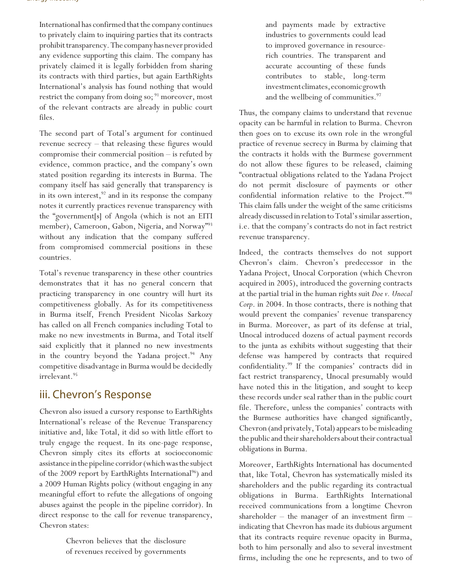International has confirmed that the company continues to privately claim to inquiring parties that its contracts prohibit transparency. The company has never provided any evidence supporting this claim. The company has privately claimed it is legally forbidden from sharing its contracts with third parties, but again EarthRights International's analysis has found nothing that would restrict the company from doing so;  $91$  moreover, most of the relevant contracts are already in public court files.

The second part of Total's argument for continued revenue secrecy – that releasing these figures would compromise their commercial position – is refuted by evidence, common practice, and the company's own stated position regarding its interests in Burma. The company itself has said generally that transparency is in its own interest,  $92$  and in its response the company notes it currently practices revenue transparency with the "government[s] of Angola (which is not an EITI member), Cameroon, Gabon, Nigeria, and Norway"<sup>93</sup> without any indication that the company suffered from compromised commercial positions in these countries.

Total's revenue transparency in these other countries demonstrates that it has no general concern that practicing transparency in one country will hurt its competitiveness globally. As for its competitiveness in Burma itself, French President Nicolas Sarkozy has called on all French companies including Total to make no new investments in Burma, and Total itself said explicitly that it planned no new investments in the country beyond the Yadana project.<sup>94</sup> Any competitive disadvantage in Burma would be decidedly irrelevant.<sup>95</sup>

### iii. Chevron's Response

Chevron also issued a cursory response to EarthRights International's release of the Revenue Transparency initiative and, like Total, it did so with little effort to truly engage the request. In its one-page response, Chevron simply cites its efforts at socioeconomic assistance in the pipeline corridor (which was the subject of the 2009 report by EarthRights International<sup>96</sup>) and a 2009 Human Rights policy (without engaging in any meaningful effort to refute the allegations of ongoing abuses against the people in the pipeline corridor). In direct response to the call for revenue transparency, Chevron states:

> Chevron believes that the disclosure of revenues received by governments

and payments made by extractive industries to governments could lead to improved governance in resourcerich countries. The transparent and accurate accounting of these funds contributes to stable, long-term investment climates, economic growth and the wellbeing of communities.<sup>97</sup>

Thus, the company claims to understand that revenue opacity can be harmful in relation to Burma. Chevron then goes on to excuse its own role in the wrongful practice of revenue secrecy in Burma by claiming that the contracts it holds with the Burmese government do not allow these figures to be released, claiming "contractual obligations related to the Yadana Project do not permit disclosure of payments or other confidential information relative to the Project."<sup>98</sup> This claim falls under the weight of the same criticisms already discussed in relation to Total's similar assertion, i.e. that the company's contracts do not in fact restrict revenue transparency.

Indeed, the contracts themselves do not support Chevron's claim. Chevron's predecessor in the Yadana Project, Unocal Corporation (which Chevron acquired in 2005), introduced the governing contracts at the partial trial in the human rights suit *Doe v. Unocal Corp*. in 2004. In those contracts, there is nothing that would prevent the companies' revenue transparency in Burma. Moreover, as part of its defense at trial, Unocal introduced dozens of actual payment records to the junta as exhibits without suggesting that their defense was hampered by contracts that required confidentiality.<sup>99</sup> If the companies' contracts did in fact restrict transparency, Unocal presumably would have noted this in the litigation, and sought to keep these records under seal rather than in the public court file. Therefore, unless the companies' contracts with the Burmese authorities have changed significantly, Chevron (and privately, Total) appears to be misleading the public and their shareholders about their contractual obligations in Burma.

Moreover, EarthRights International has documented that, like Total, Chevron has systematically misled its shareholders and the public regarding its contractual obligations in Burma. EarthRights International received communications from a longtime Chevron shareholder – the manager of an investment firm – indicating that Chevron has made its dubious argument that its contracts require revenue opacity in Burma, both to him personally and also to several investment firms, including the one he represents, and to two of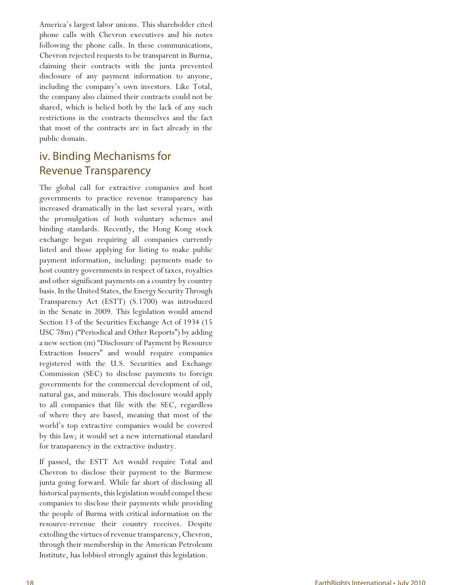America's largest labor unions. This shareholder cited phone calls with Chevron executives and his notes following the phone calls. In these communications, Chevron rejected requests to be transparent in Burma, claiming their contracts with the junta prevented disclosure of any payment information to anyone, including the company's own investors. Like Total, the company also claimed their contracts could not be shared, which is belied both by the lack of any such restrictions in the contracts themselves and the fact that most of the contracts are in fact already in the public domain.

## iv. Binding Mechanisms for Revenue Transparency

The global call for extractive companies and host governments to practice revenue transparency has increased dramatically in the last several years, with the promulgation of both voluntary schemes and binding standards. Recently, the Hong Kong stock exchange began requiring all companies currently listed and those applying for listing to make public payment information, including: payments made to host country governments in respect of taxes, royalties and other significant payments on a country by country basis. In the United States, the Energy Security Through Transparency Act (ESTT) (S.1700) was introduced in the Senate in 2009. This legislation would amend Section 13 of the Securities Exchange Act of 1934 (15 USC 78m) ("Periodical and Other Reports") by adding a new section (m) "Disclosure of Payment by Resource Extraction Issuers" and would require companies registered with the U.S. Securities and Exchange Commission (SEC) to disclose payments to foreign governments for the commercial development of oil, natural gas, and minerals. This disclosure would apply to all companies that file with the SEC, regardless of where they are based, meaning that most of the world's top extractive companies would be covered by this law; it would set a new international standard for transparency in the extractive industry.

If passed, the ESTT Act would require Total and Chevron to disclose their payment to the Burmese junta going forward. While far short of disclosing all historical payments, this legislation would compel these companies to disclose their payments while providing the people of Burma with critical information on the resource-revenue their country receives. Despite extolling the virtues of revenue transparency, Chevron, through their membership in the American Petroleum Institute, has lobbied strongly against this legislation.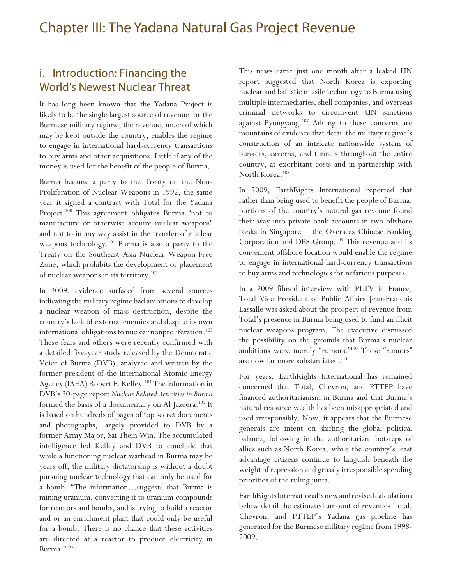## i. Introduction: Financing the World's Newest Nuclear Threat

It has long been known that the Yadana Project is likely to be the single largest source of revenue for the Burmese military regime; the revenue, much of which may be kept outside the country, enables the regime to engage in international hard-currency transactions to buy arms and other acquisitions. Little if any of the money is used for the benefit of the people of Burma.

Burma became a party to the Treaty on the Non-Proliferation of Nuclear Weapons in 1992, the same year it signed a contract with Total for the Yadana Project.<sup>100</sup> This agreement obligates Burma "not to manufacture or otherwise acquire nuclear weapons" and not to in any way assist in the transfer of nuclear weapons technology.<sup>101</sup> Burma is also a party to the Treaty on the Southeast Asia Nuclear Weapon-Free Zone, which prohibits the development or placement of nuclear weapons in its territory.<sup>102</sup>

In 2009, evidence surfaced from several sources indicating the military regime had ambitions to develop a nuclear weapon of mass destruction, despite the country's lack of external enemies and despite its own international obligations to nuclear nonproliferation.<sup>103</sup> These fears and others were recently confirmed with a detailed five-year study released by the Democratic Voice of Burma (DVB), analyzed and written by the former president of the International Atomic Energy Agency (IAEA) Robert E. Kelley.<sup>104</sup> The information in DVB's 30-page report *Nuclear Related Activities in Burma* formed the basis of a documentary on Al Jazeera.<sup>105</sup> It is based on hundreds of pages of top secret documents and photographs, largely provided to DVB by a former Army Major, Sai Thein Win. The accumulated intelligence led Kelley and DVB to conclude that while a functioning nuclear warhead in Burma may be years off, the military dictatorship is without a doubt pursuing nuclear technology that can only be used for a bomb. "The information…suggests that Burma is mining uranium, converting it to uranium compounds for reactors and bombs, and is trying to build a reactor and or an enrichment plant that could only be useful for a bomb. There is no chance that these activities are directed at a reactor to produce electricity in Burma."<sup>106</sup>

This news came just one month after a leaked UN report suggested that North Korea is exporting nuclear and ballistic missile technology to Burma using multiple intermediaries, shell companies, and overseas criminal networks to circumvent UN sanctions against Pyongyang.<sup>107</sup> Adding to these concerns are mountains of evidence that detail the military regime's construction of an intricate nationwide system of bunkers, caverns, and tunnels throughout the entire country, at exorbitant costs and in partnership with North Korea.<sup>108</sup>

In 2009, EarthRights International reported that rather than being used to benefit the people of Burma, portions of the country's natural gas revenue found their way into private bank accounts in two offshore banks in Singapore – the Overseas Chinese Banking Corporation and DBS Group.<sup>109</sup> This revenue and its convenient offshore location would enable the regime to engage in international hard-currency transactions to buy arms and technologies for nefarious purposes.

In a 2009 filmed interview with PLTV in France, Total Vice President of Public Affairs Jean-Francois Lassalle was asked about the prospect of revenue from Total's presence in Burma being used to fund an illicit nuclear weapons program. The executive dismissed the possibility on the grounds that Burma's nuclear ambitions were merely "rumors."<sup>110</sup> These "rumors" are now far more substantiated.<sup>111</sup>

For years, EarthRights International has remained concerned that Total, Chevron, and PTTEP have financed authoritarianism in Burma and that Burma's natural resource wealth has been misappropriated and used irresponsibly. Now, it appears that the Burmese generals are intent on shifting the global political balance, following in the authoritarian footsteps of allies such as North Korea, while the country's least advantage citizens continue to languish beneath the weight of repression and grossly irresponsible spending priorities of the ruling junta.

EarthRights International's new and revised calculations below detail the estimated amount of revenues Total, Chevron, and PTTEP's Yadana gas pipeline has generated for the Burmese military regime from 1998- 2009.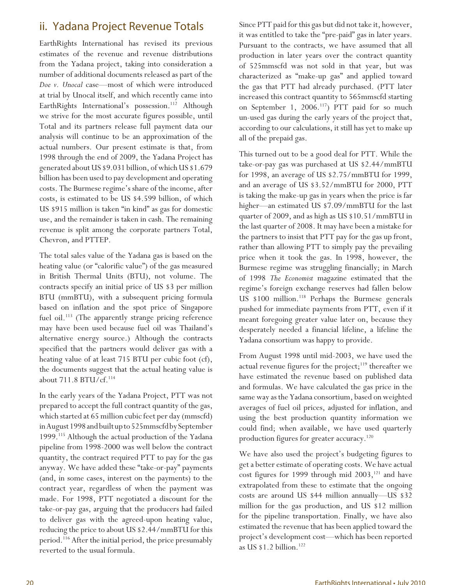## ii. Yadana Project Revenue Totals

EarthRights International has revised its previous estimates of the revenue and revenue distributions from the Yadana project, taking into consideration a number of additional documents released as part of the *Doe v. Unocal* case—most of which were introduced at trial by Unocal itself, and which recently came into EarthRights International's possession.<sup>112</sup> Although we strive for the most accurate figures possible, until Total and its partners release full payment data our analysis will continue to be an approximation of the actual numbers. Our present estimate is that, from 1998 through the end of 2009, the Yadana Project has generated about US \$9.031 billion, of which US \$1.679 billion has been used to pay development and operating costs. The Burmese regime's share of the income, after costs, is estimated to be US \$4.599 billion, of which US \$915 million is taken "in kind" as gas for domestic use, and the remainder is taken in cash. The remaining revenue is split among the corporate partners Total, Chevron, and PTTEP.

The total sales value of the Yadana gas is based on the heating value (or "calorific value") of the gas measured in British Thermal Units (BTU), not volume. The contracts specify an initial price of US \$3 per million BTU (mmBTU), with a subsequent pricing formula based on inflation and the spot price of Singapore fuel oil.<sup>113</sup> (The apparently strange pricing reference may have been used because fuel oil was Thailand's alternative energy source.) Although the contracts specified that the partners would deliver gas with a heating value of at least 715 BTU per cubic foot (cf), the documents suggest that the actual heating value is about  $711.8$  BTU/cf.<sup>114</sup>

In the early years of the Yadana Project, PTT was not prepared to accept the full contract quantity of the gas, which started at 65 million cubic feet per day (mmscfd) in August 1998 and built up to 525mmscfd by September 1999.<sup>115</sup> Although the actual production of the Yadana pipeline from 1998-2000 was well below the contract quantity, the contract required PTT to pay for the gas anyway. We have added these "take-or-pay" payments (and, in some cases, interest on the payments) to the contract year, regardless of when the payment was made. For 1998, PTT negotiated a discount for the take-or-pay gas, arguing that the producers had failed to deliver gas with the agreed-upon heating value, reducing the price to about US \$2.44/mmBTU for this period.<sup>116</sup> After the initial period, the price presumably reverted to the usual formula.

Since PTT paid for this gas but did not take it, however, it was entitled to take the "pre-paid" gas in later years. Pursuant to the contracts, we have assumed that all production in later years over the contract quantity of 525mmscfd was not sold in that year, but was characterized as "make-up gas" and applied toward the gas that PTT had already purchased. (PTT later increased this contract quantity to 565mmscfd starting on September 1, 2006.<sup>117</sup>) PTT paid for so much un-used gas during the early years of the project that, according to our calculations, it still has yet to make up all of the prepaid gas.

This turned out to be a good deal for PTT. While the take-or-pay gas was purchased at US \$2.44/mmBTU for 1998, an average of US \$2.75/mmBTU for 1999, and an average of US \$3.52/mmBTU for 2000, PTT is taking the make-up gas in years when the price is far higher—an estimated US \$7.09/mmBTU for the last quarter of 2009, and as high as US \$10.51/mmBTU in the last quarter of 2008. It may have been a mistake for the partners to insist that PTT pay for the gas up front, rather than allowing PTT to simply pay the prevailing price when it took the gas. In 1998, however, the Burmese regime was struggling financially; in March of 1998 *The Economist* magazine estimated that the regime's foreign exchange reserves had fallen below US \$100 million.<sup>118</sup> Perhaps the Burmese generals pushed for immediate payments from PTT, even if it meant foregoing greater value later on, because they desperately needed a financial lifeline, a lifeline the Yadana consortium was happy to provide.

From August 1998 until mid-2003, we have used the actual revenue figures for the project; $119$  thereafter we have estimated the revenue based on published data and formulas. We have calculated the gas price in the same way as the Yadana consortium, based on weighted averages of fuel oil prices, adjusted for inflation, and using the best production quantity information we could find; when available, we have used quarterly production figures for greater accuracy.<sup>120</sup>

We have also used the project's budgeting figures to get a better estimate of operating costs. We have actual cost figures for 1999 through mid 2003,<sup>121</sup> and have extrapolated from these to estimate that the ongoing costs are around US \$44 million annually—US \$32 million for the gas production, and US \$12 million for the pipeline transportation. Finally, we have also estimated the revenue that has been applied toward the project's development cost—which has been reported as US  $$1.2$  billion.<sup>122</sup>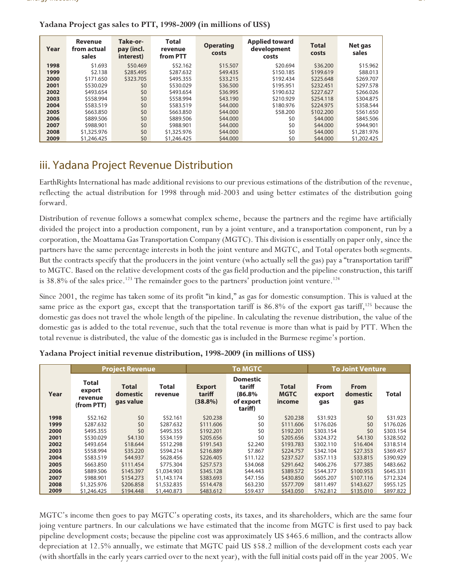| Year | <b>Revenue</b><br>from actual<br>sales | Take-or-<br>pay (incl.<br>interest) | <b>Total</b><br>revenue<br>from PTT | <b>Operating</b><br>costs | <b>Applied toward</b><br>development<br>costs | <b>Total</b><br>costs | Net gas<br>sales |
|------|----------------------------------------|-------------------------------------|-------------------------------------|---------------------------|-----------------------------------------------|-----------------------|------------------|
| 1998 | \$1,693                                | \$50,469                            | \$52.162                            | \$15,507                  | \$20.694                                      | \$36,200              | \$15.962         |
| 1999 | \$2.138                                | \$285.495                           | \$287.632                           | \$49.435                  | \$150.185                                     | \$199.619             | \$88,013         |
| 2000 | \$171.650                              | \$323.705                           | \$495.355                           | \$33.215                  | \$192.434                                     | \$225.648             | \$269.707        |
| 2001 | \$530.029                              | \$0                                 | \$530.029                           | \$36,500                  | \$195.951                                     | \$232.451             | \$297.578        |
| 2002 | \$493.654                              | \$0                                 | \$493.654                           | \$36.995                  | \$190.632                                     | \$227.627             | \$266.026        |
| 2003 | \$558.994                              | \$0                                 | \$558.994                           | \$43,190                  | \$210.929                                     | \$254,118             | \$304.875        |
| 2004 | \$583.519                              | \$0                                 | \$583.519                           | \$44,000                  | \$180.976                                     | \$224.975             | \$358.544        |
| 2005 | \$663,850                              | \$0                                 | \$663.850                           | \$44,000                  | \$58,200                                      | \$102.200             | \$561.650        |
| 2006 | \$889,506                              | \$0                                 | \$889,506                           | \$44,000                  | \$0                                           | \$44,000              | \$845.506        |
| 2007 | \$988.901                              | \$0                                 | \$988.901                           | \$44,000                  | \$0                                           | \$44,000              | \$944.901        |
| 2008 | \$1,325.976                            | \$0                                 | \$1,325,976                         | \$44,000                  | \$0                                           | \$44,000              | \$1,281.976      |
| 2009 | \$1,246,425                            | \$0                                 | \$1,246,425                         | \$44,000                  | \$0                                           | \$44,000              | \$1,202.425      |

### **Yadana Project gas sales to PTT, 1998-2009 (in millions of US\$)**

## iii. Yadana Project Revenue Distribution

EarthRights International has made additional revisions to our previous estimations of the distribution of the revenue, reflecting the actual distribution for 1998 through mid-2003 and using better estimates of the distribution going forward.

Distribution of revenue follows a somewhat complex scheme, because the partners and the regime have artificially divided the project into a production component, run by a joint venture, and a transportation component, run by a corporation, the Moattama Gas Transportation Company (MGTC). This division is essentially on paper only, since the partners have the same percentage interests in both the joint venture and MGTC, and Total operates both segments. But the contracts specify that the producers in the joint venture (who actually sell the gas) pay a "transportation tariff" to MGTC. Based on the relative development costs of the gas field production and the pipeline construction, this tariff is 38.8% of the sales price.<sup>123</sup> The remainder goes to the partners' production joint venture.<sup>124</sup>

Since 2001, the regime has taken some of its profit "in kind," as gas for domestic consumption. This is valued at the same price as the export gas, except that the transportation tariff is  $86.8\%$  of the export gas tariff,<sup>125</sup> because the domestic gas does not travel the whole length of the pipeline. In calculating the revenue distribution, the value of the domestic gas is added to the total revenue, such that the total revenue is more than what is paid by PTT. When the total revenue is distributed, the value of the domestic gas is included in the Burmese regime's portion.

|      |                                                 | <b>Project Revenue</b>                |                         |                                       | <b>To MGTC</b>                                              |                                       |                              | <b>To Joint Venture</b>        |              |
|------|-------------------------------------------------|---------------------------------------|-------------------------|---------------------------------------|-------------------------------------------------------------|---------------------------------------|------------------------------|--------------------------------|--------------|
| Year | <b>Total</b><br>export<br>revenue<br>(from PTT) | <b>Total</b><br>domestic<br>gas value | <b>Total</b><br>revenue | <b>Export</b><br>tariff<br>$(38.8\%)$ | <b>Domestic</b><br>tariff<br>(86.8%<br>of export<br>tariff) | <b>Total</b><br><b>MGTC</b><br>income | <b>From</b><br>export<br>gas | <b>From</b><br>domestic<br>gas | <b>Total</b> |
| 1998 | \$52.162                                        | \$0                                   | \$52.161                | \$20,238                              | \$0                                                         | \$20.238                              | \$31.923                     | \$0                            | \$31.923     |
| 1999 | \$287.632                                       | \$0                                   | \$287.632               | \$111,606                             | \$0                                                         | \$111.606                             | \$176.026                    | \$0                            | \$176.026    |
| 2000 | \$495.355                                       | \$0                                   | \$495.355               | \$192.201                             | \$0                                                         | \$192.201                             | \$303.154                    | \$0                            | \$303.154    |
| 2001 | \$530.029                                       | \$4.130                               | \$534.159               | \$205.656                             | \$0                                                         | \$205.656                             | \$324.372                    | \$4,130                        | \$328.502    |
| 2002 | \$493.654                                       | \$18,644                              | \$512.298               | \$191.543                             | \$2.240                                                     | \$193.783                             | \$302.110                    | \$16,404                       | \$318.514    |
| 2003 | \$558.994                                       | \$35,220                              | \$594.214               | \$216.889                             | \$7.867                                                     | \$224.757                             | \$342.104                    | \$27.353                       | \$369.457    |
| 2004 | \$583.519                                       | \$44.937                              | \$628.456               | \$226.405                             | \$11.122                                                    | \$237.527                             | \$357.113                    | \$33.815                       | \$390.929    |
| 2005 | \$663.850                                       | \$111.454                             | \$775.304               | \$257.573                             | \$34.068                                                    | \$291.642                             | \$406.276                    | \$77.385                       | \$483.662    |
| 2006 | \$889.506                                       | \$145.397                             | \$1,034,903             | \$345.128                             | \$44,443                                                    | \$389.572                             | \$544.377                    | \$100.953                      | \$645.331    |
| 2007 | \$988.901                                       | \$154.273                             | \$1,143.174             | \$383.693                             | \$47.156                                                    | \$430.850                             | \$605.207                    | \$107.116                      | \$712.324    |
| 2008 | \$1,325.976                                     | \$206.858                             | \$1,532.835             | \$514.478                             | \$63.230                                                    | \$577.709                             | \$811.497                    | \$143.627                      | \$955.125    |
| 2009 | \$1,246.425                                     | \$194.448                             | \$1,440.873             | \$483.612                             | \$59.437                                                    | \$543.050                             | \$762.812                    | \$135.010                      | \$897.822    |

### **Yadana Project initial revenue distribution, 1998-2009 (in millions of US\$)**

MGTC's income then goes to pay MGTC's operating costs, its taxes, and its shareholders, which are the same four joing venture partners. In our calculations we have estimated that the income from MGTC is first used to pay back pipeline development costs; because the pipeline cost was approximately US \$465.6 million, and the contracts allow depreciation at 12.5% annually, we estimate that MGTC paid US \$58.2 million of the development costs each year (with shortfalls in the early years carried over to the next year), with the full initial costs paid off in the year 2005. We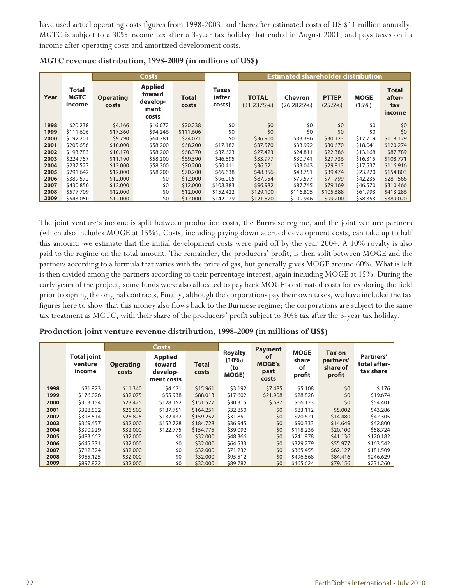have used actual operating costs figures from 1998-2003, and thereafter estimated costs of US \$11 million annually. MGTC is subject to a 30% income tax after a 3-year tax holiday that ended in August 2001, and pays taxes on its income after operating costs and amortized development costs.

|      |                                       |                           | <b>Costs</b>                                          |                       | <b>Estimated shareholder distribution</b> |                            |                              |                            |                      |                                         |
|------|---------------------------------------|---------------------------|-------------------------------------------------------|-----------------------|-------------------------------------------|----------------------------|------------------------------|----------------------------|----------------------|-----------------------------------------|
| Year | <b>Total</b><br><b>MGTC</b><br>income | <b>Operating</b><br>costs | <b>Applied</b><br>toward<br>develop-<br>ment<br>costs | <b>Total</b><br>costs | Taxes<br>(after<br>costs)                 | <b>TOTAL</b><br>(31.2375%) | <b>Chevron</b><br>(26.2825%) | <b>PTTEP</b><br>$(25.5\%)$ | <b>MOGE</b><br>(15%) | <b>Total</b><br>after-<br>tax<br>income |
| 1998 | \$20.238                              | \$4.166                   | \$16.072                                              | \$20.238              | \$0                                       | \$0                        | \$0                          | \$0                        | \$0                  | \$0                                     |
| 1999 | \$111,606                             | \$17,360                  | \$94.246                                              | \$111,606             | \$0                                       | \$0                        | \$0                          | \$0                        | \$0                  | \$0                                     |
| 2000 | \$192.201                             | \$9.790                   | \$64.281                                              | \$74.071              | \$0                                       | \$36.900                   | \$33.386                     | \$30.123                   | \$17.719             | \$118.129                               |
| 2001 | \$205.656                             | \$10,000                  | \$58,200                                              | \$68,200              | \$17.182                                  | \$37.570                   | \$33.992                     | \$30,670                   | \$18,041             | \$120.274                               |
| 2002 | \$193.783                             | \$10.170                  | \$58,200                                              | \$68,370              | \$37.623                                  | \$27.423                   | \$24.811                     | \$22,386                   | \$13.168             | \$87.789                                |
| 2003 | \$224.757                             | \$11.190                  | \$58,200                                              | \$69.390              | \$46.595                                  | \$33.977                   | \$30.741                     | \$27.736                   | \$16.315             | \$108,771                               |
| 2004 | \$237.527                             | \$12,000                  | \$58,200                                              | \$70,200              | \$50.411                                  | \$36.521                   | \$33.043                     | \$29.813                   | \$17.537             | \$116,916                               |
| 2005 | \$291.642                             | \$12,000                  | \$58,200                                              | \$70,200              | \$66.638                                  | \$48.356                   | \$43.751                     | \$39.474                   | \$23.220             | \$154.803                               |
| 2006 | \$389.572                             | \$12,000                  | \$0                                                   | \$12,000              | \$96,005                                  | \$87.954                   | \$79.577                     | \$71.799                   | \$42.235             | \$281.566                               |
| 2007 | \$430.850                             | \$12,000                  | \$0                                                   | \$12,000              | \$108.383                                 | \$96.982                   | \$87.745                     | \$79.169                   | \$46.570             | \$310.466                               |
| 2008 | \$577.709                             | \$12,000                  | \$0                                                   | \$12,000              | \$152.422                                 | \$129,100                  | \$116.805                    | \$105.388                  | \$61.993             | \$413.286                               |
| 2009 | \$543.050                             | \$12,000                  | \$0                                                   | \$12,000              | \$142.029                                 | \$121.520                  | \$109.946                    | \$99,200                   | \$58.353             | \$389.020                               |

The joint venture's income is split between production costs, the Burmese regime, and the joint venture partners (which also includes MOGE at 15%). Costs, including paying down accrued development costs, can take up to half this amount; we estimate that the initial development costs were paid off by the year 2004. A 10% royalty is also paid to the regime on the total amount. The remainder, the producers' profit, is then split between MOGE and the partners according to a formula that varies with the price of gas, but generally gives MOGE around 60%. What is left is then divided among the partners according to their percentage interest, again including MOGE at 15%. During the early years of the project, some funds were also allocated to pay back MOGE's estimated costs for exploring the field prior to signing the original contracts. Finally, although the corporations pay their own taxes, we have included the tax figures here to show that this money also flows back to the Burmese regime; the corporations are subject to the same tax treatment as MGTC, with their share of the producers' profit subject to 30% tax after the 3-year tax holiday.

### **Production joint venture revenue distribution, 1998-2009 (in millions of US\$)**

|      |                                         |                           | <b>Costs</b>                                       |                       |                                                | <b>Payment</b>                       |                                      |                                                  |                                        |  |
|------|-----------------------------------------|---------------------------|----------------------------------------------------|-----------------------|------------------------------------------------|--------------------------------------|--------------------------------------|--------------------------------------------------|----------------------------------------|--|
|      | <b>Total joint</b><br>venture<br>income | <b>Operating</b><br>costs | <b>Applied</b><br>toward<br>develop-<br>ment costs | <b>Total</b><br>costs | <b>Royalty</b><br>(10%)<br>(to<br><b>MOGE)</b> | οf<br><b>MOGE's</b><br>past<br>costs | <b>MOGE</b><br>share<br>of<br>profit | <b>Tax on</b><br>partners'<br>share of<br>profit | Partners'<br>total after-<br>tax share |  |
| 1998 | \$31.923                                | \$11.340                  | \$4.621                                            | \$15.961              | \$3.192                                        | \$7.485                              | \$5.108                              | \$0                                              | \$.176                                 |  |
| 1999 | \$176.026                               | \$32.075                  | \$55.938                                           | \$88.013              | \$17.602                                       | \$21.908                             | \$28.828                             | \$0                                              | \$19.674                               |  |
| 2000 | \$303.154                               | \$23.425                  | \$128.152                                          | \$151.577             | \$30.315                                       | \$.687                               | \$66.173                             | \$0                                              | \$54.401                               |  |
| 2001 | \$328.502                               | \$26,500                  | \$137.751                                          | \$164.251             | \$32.850                                       | \$0                                  | \$83.112                             | \$5,002                                          | \$43.286                               |  |
| 2002 | \$318.514                               | \$26.825                  | \$132.432                                          | \$159.257             | \$31.851                                       | \$0                                  | \$70.621                             | \$14,480                                         | \$42.305                               |  |
| 2003 | \$369.457                               | \$32,000                  | \$152.728                                          | \$184.728             | \$36.945                                       | \$0                                  | \$90.333                             | \$14,649                                         | \$42.800                               |  |
| 2004 | \$390.929                               | \$32,000                  | \$122.775                                          | \$154,775             | \$39.092                                       | \$0                                  | \$118.236                            | \$20,100                                         | \$58.724                               |  |
| 2005 | \$483.662                               | \$32,000                  | \$0                                                | \$32,000              | \$48.366                                       | \$0                                  | \$241.978                            | \$41.136                                         | \$120.182                              |  |
| 2006 | \$645.331                               | \$32,000                  | \$0                                                | \$32,000              | \$64.533                                       | \$0                                  | \$329.279                            | \$55.977                                         | \$163.542                              |  |
| 2007 | \$712.324                               | \$32,000                  | \$0                                                | \$32,000              | \$71.232                                       | \$0                                  | \$365.455                            | \$62.127                                         | \$181.509                              |  |
| 2008 | \$955.125                               | \$32,000                  | \$0                                                | \$32,000              | \$95.512                                       | \$0                                  | \$496.568                            | \$84.416                                         | \$246.629                              |  |
| 2009 | \$897.822                               | \$32,000                  | \$0                                                | \$32,000              | \$89.782                                       | \$0                                  | \$465.624                            | \$79.156                                         | \$231.260                              |  |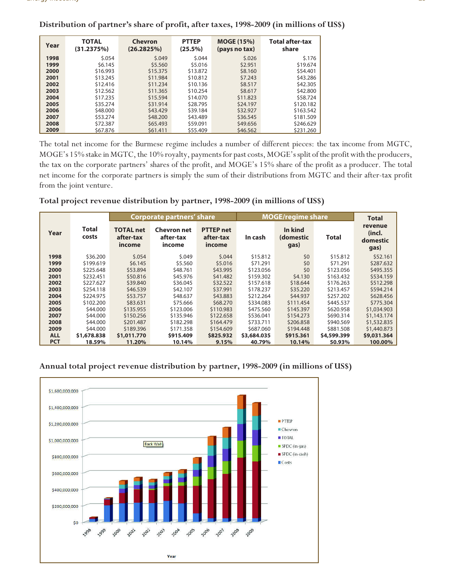| Year | <b>TOTAL</b><br>(31.2375%) | Chevron<br>(26.2825%) | <b>PTTEP</b><br>(25.5%) | <b>MOGE (15%)</b><br>(pays no tax) | <b>Total after-tax</b><br>share |
|------|----------------------------|-----------------------|-------------------------|------------------------------------|---------------------------------|
| 1998 | \$.054                     | 5.049                 | \$.044                  | 5.026                              | \$.176                          |
| 1999 | \$6.145                    | \$5.560               | \$5.016                 | \$2.951                            | \$19.674                        |
| 2000 | \$16.993                   | \$15.375              | \$13.872                | \$8.160                            | \$54,401                        |
| 2001 | \$13.245                   | \$11.984              | \$10.812                | \$7.243                            | \$43.286                        |
| 2002 | \$12,416                   | \$11.234              | \$10.136                | \$8.517                            | \$42.305                        |
| 2003 | \$12.562                   | \$11.365              | \$10.254                | \$8.617                            | \$42.800                        |
| 2004 | \$17.235                   | \$15.594              | \$14,070                | \$11.823                           | \$58,724                        |
| 2005 | \$35.274                   | \$31.914              | \$28.795                | \$24.197                           | \$120.182                       |
| 2006 | \$48,000                   | \$43.429              | \$39.184                | \$32.927                           | \$163.542                       |
| 2007 | \$53.274                   | \$48,200              | \$43.489                | \$36.545                           | \$181.509                       |
| 2008 | \$72.387                   | \$65,493              | \$59.091                | \$49,656                           | \$246.629                       |
| 2009 | \$67.876                   | \$61.411              | \$55.409                | \$46.562                           | \$231.260                       |

**Distribution of partner's share of profit, after taxes, 1998-2009 (in millions of US\$)**

The total net income for the Burmese regime includes a number of different pieces: the tax income from MGTC, MOGE's 15% stake in MGTC, the 10% royalty, payments for past costs, MOGE's split of the profit with the producers, the tax on the corporate partners' shares of the profit, and MOGE's 15% share of the profit as a producer. The total net income for the corporate partners is simply the sum of their distributions from MGTC and their after-tax profit from the joint venture.

### **Total project revenue distribution by partner, 1998-2009 (in millions of US\$)**

|            |                       |                                         | Corporate partners' share                 |                                         |             | <b>MOGE/regime share</b>     |             | <b>Total</b>                          |
|------------|-----------------------|-----------------------------------------|-------------------------------------------|-----------------------------------------|-------------|------------------------------|-------------|---------------------------------------|
| Year       | <b>Total</b><br>costs | <b>TOTAL</b> net<br>after-tax<br>income | <b>Chevron</b> net<br>after-tax<br>income | <b>PTTEP</b> net<br>after-tax<br>income | In cash     | In kind<br>(domestic<br>gas) | Total       | revenue<br>(incl.<br>domestic<br>gas) |
| 1998       | \$36.200              | \$.054                                  | 5.049                                     | \$.044                                  | \$15.812    | \$0                          | \$15.812    | \$52.161                              |
| 1999       | \$199.619             | \$6.145                                 | \$5.560                                   | \$5,016                                 | \$71.291    | \$0                          | \$71.291    | \$287.632                             |
| 2000       | \$225.648             | \$53.894                                | \$48,761                                  | \$43.995                                | \$123.056   | \$0                          | \$123.056   | \$495.355                             |
| 2001       | \$232.451             | \$50.816                                | \$45.976                                  | \$41.482                                | \$159.302   | \$4,130                      | \$163.432   | \$534.159                             |
| 2002       | \$227.627             | \$39,840                                | \$36.045                                  | \$32.522                                | \$157.618   | \$18,644                     | \$176.263   | \$512.298                             |
| 2003       | \$254.118             | \$46.539                                | \$42.107                                  | \$37.991                                | \$178.237   | \$35.220                     | \$213.457   | \$594.214                             |
| 2004       | \$224.975             | \$53,757                                | \$48,637                                  | \$43,883                                | \$212.264   | \$44.937                     | \$257.202   | \$628.456                             |
| 2005       | \$102.200             | \$83.631                                | \$75.666                                  | \$68,270                                | \$334.083   | \$111.454                    | \$445.537   | \$775.304                             |
| 2006       | \$44.000              | \$135.955                               | \$123,006                                 | \$110.983                               | \$475.560   | \$145.397                    | \$620.958   | \$1,034,903                           |
| 2007       | \$44,000              | \$150.256                               | \$135.946                                 | \$122,658                               | \$536.041   | \$154.273                    | \$690.314   | \$1,143.174                           |
| 2008       | \$44,000              | \$201.487                               | \$182.298                                 | \$164.479                               | \$733.711   | \$206.858                    | \$940.569   | \$1,532.835                           |
| 2009       | \$44,000              | \$189.396                               | \$171.358                                 | \$154,609                               | \$687.060   | \$194,448                    | \$881.508   | \$1,440.873                           |
| <b>ALL</b> | \$1,678.838           | \$1,011.770                             | \$915.409                                 | \$825.932                               | \$3,684.035 | \$915.361                    | \$4,599.399 | \$9,031.364                           |
| <b>PCT</b> | 18.59%                | 11.20%                                  | 10.14%                                    | 9.15%                                   | 40.79%      | 10.14%                       | 50.93%      | 100.00%                               |

### **Annual total project revenue distribution by partner, 1998-2009 (in millions of US\$)**

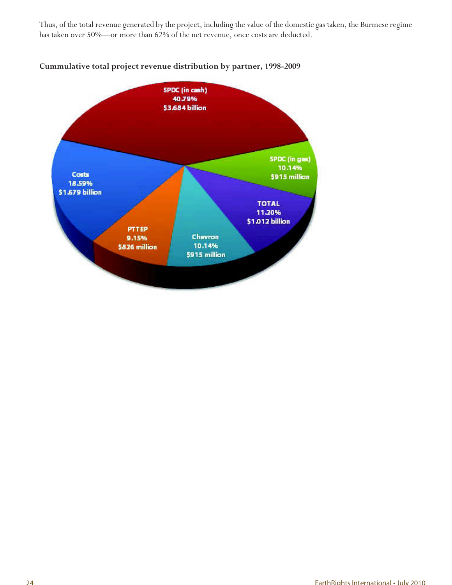Thus, of the total revenue generated by the project, including the value of the domestic gas taken, the Burmese regime has taken over 50%—or more than 62% of the net revenue, once costs are deducted.



### **Cummulative total project revenue distribution by partner, 1998-2009**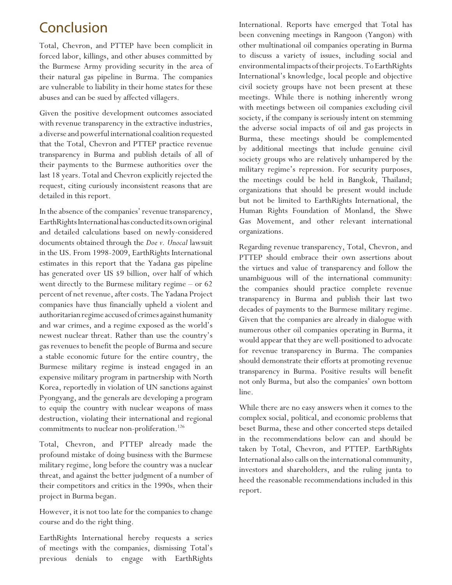## Conclusion

Total, Chevron, and PTTEP have been complicit in forced labor, killings, and other abuses committed by the Burmese Army providing security in the area of their natural gas pipeline in Burma. The companies are vulnerable to liability in their home states for these abuses and can be sued by affected villagers.

Given the positive development outcomes associated with revenue transparency in the extractive industries, a diverse and powerful international coalition requested that the Total, Chevron and PTTEP practice revenue transparency in Burma and publish details of all of their payments to the Burmese authorities over the last 18 years. Total and Chevron explicitly rejected the request, citing curiously inconsistent reasons that are detailed in this report.

In the absence of the companies' revenue transparency, EarthRights International has conducted its own original and detailed calculations based on newly-considered documents obtained through the *Doe v. Unocal* lawsuit in the US. From 1998-2009, EarthRights International estimates in this report that the Yadana gas pipeline has generated over US \$9 billion, over half of which went directly to the Burmese military regime – or 62 percent of net revenue, after costs. The Yadana Project companies have thus financially upheld a violent and authoritarian regime accused of crimes against humanity and war crimes, and a regime exposed as the world's newest nuclear threat. Rather than use the country's gas revenues to benefit the people of Burma and secure a stable economic future for the entire country, the Burmese military regime is instead engaged in an expensive military program in partnership with North Korea, reportedly in violation of UN sanctions against Pyongyang, and the generals are developing a program to equip the country with nuclear weapons of mass destruction, violating their international and regional commitments to nuclear non-proliferation.<sup>126</sup>

Total, Chevron, and PTTEP already made the profound mistake of doing business with the Burmese military regime, long before the country was a nuclear threat, and against the better judgment of a number of their competitors and critics in the 1990s, when their project in Burma began.

However, it is not too late for the companies to change course and do the right thing.

EarthRights International hereby requests a series of meetings with the companies, dismissing Total's previous denials to engage with EarthRights International. Reports have emerged that Total has been convening meetings in Rangoon (Yangon) with other multinational oil companies operating in Burma to discuss a variety of issues, including social and environmental impacts of their projects. To EarthRights International's knowledge, local people and objective civil society groups have not been present at these meetings. While there is nothing inherently wrong with meetings between oil companies excluding civil society, if the company is seriously intent on stemming the adverse social impacts of oil and gas projects in Burma, these meetings should be complemented by additional meetings that include genuine civil society groups who are relatively unhampered by the military regime's repression. For security purposes, the meetings could be held in Bangkok, Thailand; organizations that should be present would include but not be limited to EarthRights International, the Human Rights Foundation of Monland, the Shwe Gas Movement, and other relevant international organizations.

Regarding revenue transparency, Total, Chevron, and PTTEP should embrace their own assertions about the virtues and value of transparency and follow the unambiguous will of the international community: the companies should practice complete revenue transparency in Burma and publish their last two decades of payments to the Burmese military regime. Given that the companies are already in dialogue with numerous other oil companies operating in Burma, it would appear that they are well-positioned to advocate for revenue transparency in Burma. The companies should demonstrate their efforts at promoting revenue transparency in Burma. Positive results will benefit not only Burma, but also the companies' own bottom line.

While there are no easy answers when it comes to the complex social, political, and economic problems that beset Burma, these and other concerted steps detailed in the recommendations below can and should be taken by Total, Chevron, and PTTEP. EarthRights International also calls on the international community, investors and shareholders, and the ruling junta to heed the reasonable recommendations included in this report.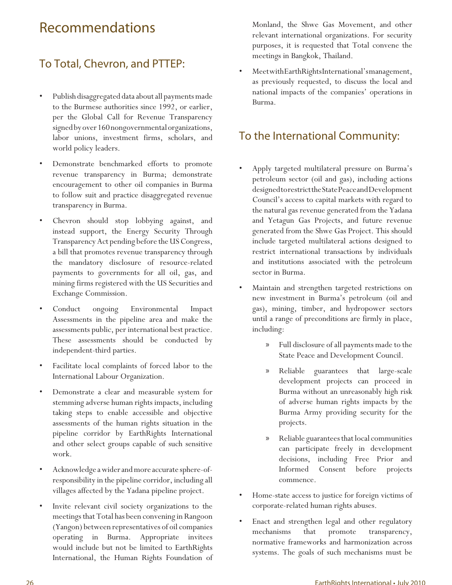## Recommendations

## To Total, Chevron, and PTTEP:

- Publish disaggregated data about all payments made to the Burmese authorities since 1992, or earlier, per the Global Call for Revenue Transparency signed by over 160 nongovernmental organizations, labor unions, investment firms, scholars, and world policy leaders.
- Demonstrate benchmarked efforts to promote revenue transparency in Burma; demonstrate encouragement to other oil companies in Burma to follow suit and practice disaggregated revenue transparency in Burma.
- Chevron should stop lobbying against, and instead support, the Energy Security Through Transparency Act pending before the US Congress, a bill that promotes revenue transparency through the mandatory disclosure of resource-related payments to governments for all oil, gas, and mining firms registered with the US Securities and Exchange Commission.
- Conduct ongoing Environmental Impact Assessments in the pipeline area and make the assessments public, per international best practice. These assessments should be conducted by independent-third parties.
- Facilitate local complaints of forced labor to the International Labour Organization.
- Demonstrate a clear and measurable system for stemming adverse human rights impacts, including taking steps to enable accessible and objective assessments of the human rights situation in the pipeline corridor by EarthRights International and other select groups capable of such sensitive work.
- Acknowledge a wider and more accurate sphere-ofresponsibility in the pipeline corridor, including all villages affected by the Yadana pipeline project.
- Invite relevant civil society organizations to the meetings that Total has been convening in Rangoon (Yangon) between representatives of oil companies operating in Burma. Appropriate invitees would include but not be limited to EarthRights International, the Human Rights Foundation of

Monland, the Shwe Gas Movement, and other relevant international organizations. For security purposes, it is requested that Total convene the meetings in Bangkok, Thailand.

• Meet with EarthRights International's management, as previously requested, to discuss the local and national impacts of the companies' operations in Burma.

## To the International Community:

- Apply targeted multilateral pressure on Burma's petroleum sector (oil and gas), including actions designed to restrict the State Peace and Development Council's access to capital markets with regard to the natural gas revenue generated from the Yadana and Yetagun Gas Projects, and future revenue generated from the Shwe Gas Project. This should include targeted multilateral actions designed to restrict international transactions by individuals and institutions associated with the petroleum sector in Burma.
- Maintain and strengthen targeted restrictions on new investment in Burma's petroleum (oil and gas), mining, timber, and hydropower sectors until a range of preconditions are firmly in place, including:
	- » Full disclosure of all payments made to the State Peace and Development Council.
	- » Reliable guarantees that large-scale development projects can proceed in Burma without an unreasonably high risk of adverse human rights impacts by the Burma Army providing security for the projects.
	- » Reliable guarantees that local communities can participate freely in development decisions, including Free Prior and Informed Consent before projects commence.
- Home-state access to justice for foreign victims of corporate-related human rights abuses.
- Enact and strengthen legal and other regulatory mechanisms that promote transparency, normative frameworks and harmonization across systems. The goals of such mechanisms must be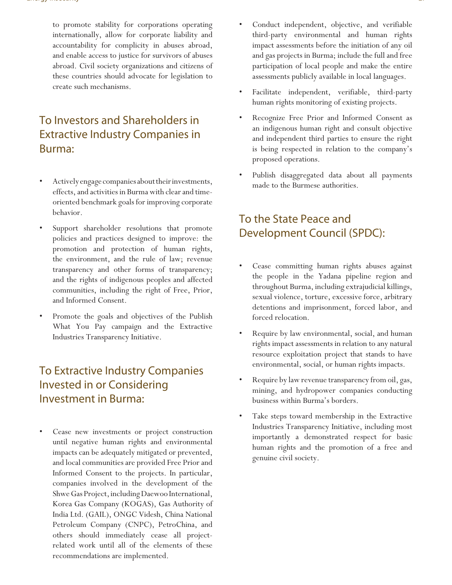to promote stability for corporations operating internationally, allow for corporate liability and accountability for complicity in abuses abroad, and enable access to justice for survivors of abuses abroad. Civil society organizations and citizens of these countries should advocate for legislation to create such mechanisms.

## To Investors and Shareholders in Extractive Industry Companies in Burma:

- Actively engage companies about their investments, effects, and activities in Burma with clear and timeoriented benchmark goals for improving corporate behavior.
- Support shareholder resolutions that promote policies and practices designed to improve: the promotion and protection of human rights, the environment, and the rule of law; revenue transparency and other forms of transparency; and the rights of indigenous peoples and affected communities, including the right of Free, Prior, and Informed Consent.
- Promote the goals and objectives of the Publish What You Pay campaign and the Extractive Industries Transparency Initiative.

## To Extractive Industry Companies Invested in or Considering Investment in Burma:

• Cease new investments or project construction until negative human rights and environmental impacts can be adequately mitigated or prevented, and local communities are provided Free Prior and Informed Consent to the projects. In particular, companies involved in the development of the Shwe Gas Project, including Daewoo International, Korea Gas Company (KOGAS), Gas Authority of India Ltd. (GAIL), ONGC Videsh, China National Petroleum Company (CNPC), PetroChina, and others should immediately cease all projectrelated work until all of the elements of these recommendations are implemented.

- Conduct independent, objective, and verifiable third-party environmental and human rights impact assessments before the initiation of any oil and gas projects in Burma; include the full and free participation of local people and make the entire assessments publicly available in local languages.
- Facilitate independent, verifiable, third-party human rights monitoring of existing projects.
- Recognize Free Prior and Informed Consent as an indigenous human right and consult objective and independent third parties to ensure the right is being respected in relation to the company's proposed operations.
- Publish disaggregated data about all payments made to the Burmese authorities.

## To the State Peace and Development Council (SPDC):

- Cease committing human rights abuses against the people in the Yadana pipeline region and throughout Burma, including extrajudicial killings, sexual violence, torture, excessive force, arbitrary detentions and imprisonment, forced labor, and forced relocation.
- Require by law environmental, social, and human rights impact assessments in relation to any natural resource exploitation project that stands to have environmental, social, or human rights impacts.
- Require by law revenue transparency from oil, gas, mining, and hydropower companies conducting business within Burma's borders.
- Take steps toward membership in the Extractive Industries Transparency Initiative, including most importantly a demonstrated respect for basic human rights and the promotion of a free and genuine civil society.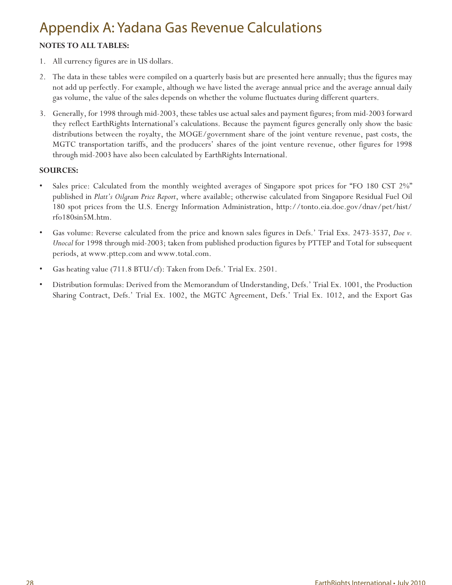## Appendix A: Yadana Gas Revenue Calculations

### **NOTES TO ALL TABLES:**

- 1. All currency figures are in US dollars.
- 2. The data in these tables were compiled on a quarterly basis but are presented here annually; thus the figures may not add up perfectly. For example, although we have listed the average annual price and the average annual daily gas volume, the value of the sales depends on whether the volume fluctuates during different quarters.
- 3. Generally, for 1998 through mid-2003, these tables use actual sales and payment figures; from mid-2003 forward they reflect EarthRights International's calculations. Because the payment figures generally only show the basic distributions between the royalty, the MOGE/government share of the joint venture revenue, past costs, the MGTC transportation tariffs, and the producers' shares of the joint venture revenue, other figures for 1998 through mid-2003 have also been calculated by EarthRights International.

### **SOURCES:**

- Sales price: Calculated from the monthly weighted averages of Singapore spot prices for "FO 180 CST 2%" published in *Platt's Oilgram Price Report*, where available; otherwise calculated from Singapore Residual Fuel Oil 180 spot prices from the U.S. Energy Information Administration, http://tonto.eia.doe.gov/dnav/pet/hist/ rfo180sin5M.htm.
- Gas volume: Reverse calculated from the price and known sales figures in Defs.' Trial Exs. 2473-3537, *Doe v. Unocal* for 1998 through mid-2003; taken from published production figures by PTTEP and Total for subsequent periods, at www.pttep.com and www.total.com.
- Gas heating value (711.8 BTU/cf): Taken from Defs.' Trial Ex. 2501.
- Distribution formulas: Derived from the Memorandum of Understanding, Defs.' Trial Ex. 1001, the Production Sharing Contract, Defs.' Trial Ex. 1002, the MGTC Agreement, Defs.' Trial Ex. 1012, and the Export Gas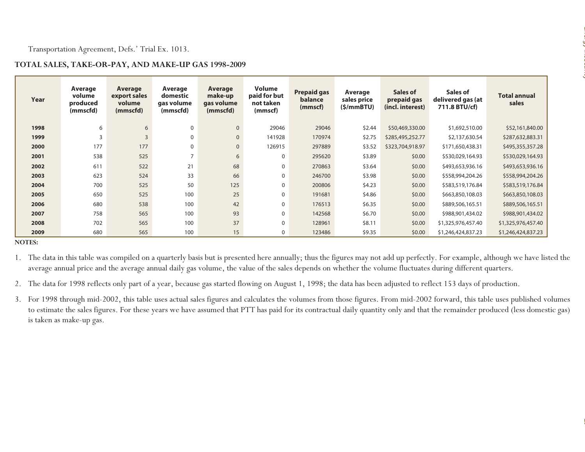| Year | Average<br>volume<br>produced<br>(mmscfd) | Average<br>export sales<br>volume<br>(mmscfd) | Average<br>domestic<br>gas volume<br>(mmscfd) | Average<br>make-up<br>gas volume<br>(mmscfd) | <b>Volume</b><br>paid for but<br>not taken<br>(mmscf) | <b>Prepaid gas</b><br>balance<br>(mmscf) | Average<br>sales price<br>(5/mmBTU) | Sales of<br>prepaid gas<br>(incl. interest) | Sales of<br>delivered gas (at<br>711.8 BTU/cf)                                                                                                                  | <b>Total annual</b><br>sales                                                                                                                                                    |
|------|-------------------------------------------|-----------------------------------------------|-----------------------------------------------|----------------------------------------------|-------------------------------------------------------|------------------------------------------|-------------------------------------|---------------------------------------------|-----------------------------------------------------------------------------------------------------------------------------------------------------------------|---------------------------------------------------------------------------------------------------------------------------------------------------------------------------------|
| 1998 | 6                                         | $\boldsymbol{6}$                              | $\pmb{0}$                                     | $\pmb{0}$                                    | 29046                                                 | 29046                                    | \$2.44                              | \$50,469,330.00                             | \$1,692,510.00                                                                                                                                                  | \$52,161,840.00                                                                                                                                                                 |
| 1999 | $\mathsf 3$                               | $\mathsf 3$                                   | $\mathbf 0$                                   | $\pmb{0}$                                    | 141928                                                | 170974                                   | \$2.75                              | \$285,495,252.77                            | \$2,137,630.54                                                                                                                                                  | \$287,632,883.31                                                                                                                                                                |
| 2000 | 177                                       | 177                                           | $\pmb{0}$                                     | $\pmb{0}$                                    | 126915                                                | 297889                                   | \$3.52                              | \$323,704,918.97                            | \$171,650,438.31                                                                                                                                                | \$495,355,357.28                                                                                                                                                                |
| 2001 | 538                                       | 525                                           | $\overline{7}$                                | 6                                            | $\mathbf 0$                                           | 295620                                   | \$3.89                              | \$0.00                                      | \$530,029,164.93                                                                                                                                                | \$530,029,164.93                                                                                                                                                                |
| 2002 | 611                                       | 522                                           | 21                                            | 68                                           | $\boldsymbol{0}$                                      | 270863                                   | \$3.64                              | \$0.00                                      | \$493,653,936.16                                                                                                                                                | \$493,653,936.16                                                                                                                                                                |
| 2003 | 623                                       | 524                                           | 33                                            | 66                                           | $\boldsymbol{0}$                                      | 246700                                   | \$3.98                              | \$0.00                                      | \$558,994,204.26                                                                                                                                                | \$558,994,204.26                                                                                                                                                                |
| 2004 | 700                                       | 525                                           | 50                                            | 125                                          | $\mathbf 0$                                           | 200806                                   | \$4.23                              | \$0.00                                      | \$583,519,176.84                                                                                                                                                | \$583,519,176.84                                                                                                                                                                |
| 2005 | 650                                       | 525                                           | 100                                           | 25                                           | 0                                                     | 191681                                   | \$4.86                              | \$0.00                                      | \$663,850,108.03                                                                                                                                                | \$663,850,108.03                                                                                                                                                                |
| 2006 | 680                                       | 538                                           | 100                                           | 42                                           | $\boldsymbol{0}$                                      | 176513                                   | \$6.35                              | \$0.00                                      | \$889,506,165.51                                                                                                                                                | \$889,506,165.51                                                                                                                                                                |
| 2007 | 758                                       | 565                                           | 100                                           | 93                                           | $\boldsymbol{0}$                                      | 142568                                   | \$6.70                              | \$0.00                                      | \$988,901,434.02                                                                                                                                                | \$988,901,434.02                                                                                                                                                                |
| 2008 | 702                                       | 565                                           | 100                                           | 37                                           | $\pmb{0}$                                             | 128961                                   | \$8.11                              | \$0.00                                      | \$1,325,976,457.40                                                                                                                                              | \$1,325,976,457.40                                                                                                                                                              |
| 2009 | 680                                       | 565                                           | 100                                           | 15                                           | 0                                                     | 123486                                   | \$9.35                              | \$0.00                                      | \$1,246,424,837.23                                                                                                                                              | \$1,246,424,837.23                                                                                                                                                              |
|      |                                           |                                               |                                               |                                              |                                                       |                                          |                                     |                                             | average annual price and the average annual daily gas volume, the value of the sales depends on whether the volume fluctuates during different quarters.        | 1. The data in this table was compiled on a quarterly basis but is presented here annually; thus the figures may not add up perfectly. For example, although we have listed the |
|      |                                           |                                               |                                               |                                              |                                                       |                                          |                                     |                                             | 2. The data for 1998 reflects only part of a year, because gas started flowing on August 1, 1998; the data has been adjusted to reflect 153 days of production. | 3. For 1998 through mid-2002, this table uses actual sales figures and calculates the volumes from those figures. From mid-2002 forward, this table uses published volumes      |

 $\ldots$  . The second  $\ell$ 

- 
- 
-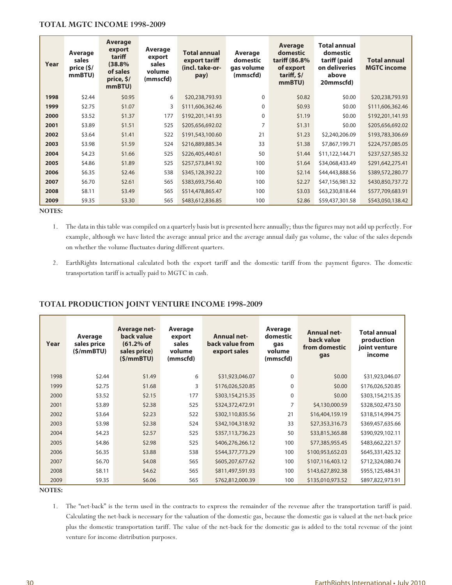### **TOTAL MGTC INCOME 1998-2009**

| Year | Average<br>sales<br>price (\$/<br>mmBTU) | Average<br>export<br>tariff<br>(38.8%<br>of sales<br>price, \$/<br>mmBTU) | Average<br>export<br>sales<br>volume<br>(mmscfd) | <b>Total annual</b><br>export tariff<br>(incl. take-or-<br>pay) | Average<br>domestic<br>gas volume<br>(mmscfd) | Average<br>domestic<br>tariff (86.8%<br>of export<br>tariff, $$/$<br>mmBTU) | Total annual<br>domestic<br>tariff (paid<br>on deliveries<br>above<br>20mmscfd) | <b>Total annual</b><br><b>MGTC</b> income |
|------|------------------------------------------|---------------------------------------------------------------------------|--------------------------------------------------|-----------------------------------------------------------------|-----------------------------------------------|-----------------------------------------------------------------------------|---------------------------------------------------------------------------------|-------------------------------------------|
| 1998 | \$2.44                                   | \$0.95                                                                    | 6                                                | \$20,238,793.93                                                 | 0                                             | \$0.82                                                                      | \$0.00                                                                          | \$20,238,793.93                           |
| 1999 | \$2.75                                   | \$1.07                                                                    | 3                                                | \$111,606,362.46                                                | 0                                             | \$0.93                                                                      | \$0.00                                                                          | \$111,606,362.46                          |
| 2000 | \$3.52                                   | \$1.37                                                                    | 177                                              | \$192,201,141.93                                                | 0                                             | \$1.19                                                                      | \$0.00                                                                          | \$192,201,141.93                          |
| 2001 | \$3.89                                   | \$1.51                                                                    | 525                                              | \$205,656,692.02                                                | 7                                             | \$1.31                                                                      | \$0.00                                                                          | \$205,656,692.02                          |
| 2002 | \$3.64                                   | \$1.41                                                                    | 522                                              | \$191,543,100.60                                                | 21                                            | \$1.23                                                                      | \$2,240,206.09                                                                  | \$193,783,306.69                          |
| 2003 | \$3.98                                   | \$1.59                                                                    | 524                                              | \$216,889,885.34                                                | 33                                            | \$1.38                                                                      | \$7,867,199.71                                                                  | \$224,757,085.05                          |
| 2004 | \$4.23                                   | \$1.66                                                                    | 525                                              | \$226,405,440.61                                                | 50                                            | \$1.44                                                                      | \$11,122,144.71                                                                 | \$237,527,585.32                          |
| 2005 | \$4.86                                   | \$1.89                                                                    | 525                                              | \$257,573,841.92                                                | 100                                           | \$1.64                                                                      | \$34,068,433.49                                                                 | \$291,642,275.41                          |
| 2006 | \$6.35                                   | \$2.46                                                                    | 538                                              | \$345,128,392.22                                                | 100                                           | \$2.14                                                                      | \$44,443,888.56                                                                 | \$389,572,280.77                          |
| 2007 | \$6.70                                   | \$2.61                                                                    | 565                                              | \$383,693,756.40                                                | 100                                           | \$2.27                                                                      | \$47,156,981.32                                                                 | \$430,850,737.72                          |
| 2008 | \$8.11                                   | \$3.49                                                                    | 565                                              | \$514,478,865.47                                                | 100                                           | \$3.03                                                                      | \$63,230,818.44                                                                 | \$577,709,683.91                          |
| 2009 | \$9.35                                   | \$3.30                                                                    | 565                                              | \$483,612,836.85                                                | 100                                           | \$2.86                                                                      | \$59,437,301.58                                                                 | \$543,050,138.42                          |

**NOTES:**

- 1. The data in this table was compiled on a quarterly basis but is presented here annually; thus the figures may not add up perfectly. For example, although we have listed the average annual price and the average annual daily gas volume, the value of the sales depends on whether the volume fluctuates during different quarters.
- 2. EarthRights International calculated both the export tariff and the domestic tariff from the payment figures. The domestic transportation tariff is actually paid to MGTC in cash.

### **TOTAL PRODUCTION JOINT VENTURE INCOME 1998-2009**

| Year | Average<br>sales price<br>(S/mm B T U) | Average net-<br>back value<br>(61.2% of<br>sales price)<br>(S/mm B T U) | Average<br>export<br>sales<br>volume<br>(mmscfd) | <b>Annual net-</b><br>back value from<br>export sales | Average<br>domestic<br>gas<br>volume<br>(mmscfd) | <b>Annual net-</b><br>back value<br>from domestic<br>gas | <b>Total annual</b><br>production<br>joint venture<br>income |
|------|----------------------------------------|-------------------------------------------------------------------------|--------------------------------------------------|-------------------------------------------------------|--------------------------------------------------|----------------------------------------------------------|--------------------------------------------------------------|
| 1998 | \$2.44                                 | \$1.49                                                                  | 6                                                | \$31,923,046.07                                       | $\Omega$                                         | \$0.00                                                   | \$31,923,046.07                                              |
| 1999 | \$2.75                                 | \$1.68                                                                  | 3                                                | \$176,026,520.85                                      | $\Omega$                                         | \$0.00                                                   | \$176,026,520.85                                             |
| 2000 | \$3.52                                 | \$2.15                                                                  | 177                                              | \$303,154,215.35                                      | $\Omega$                                         | \$0.00                                                   | \$303,154,215.35                                             |
| 2001 | \$3.89                                 | \$2.38                                                                  | 525                                              | \$324,372,472.91                                      | $\overline{7}$                                   | \$4,130,000.59                                           | \$328,502,473.50                                             |
| 2002 | \$3.64                                 | \$2.23                                                                  | 522                                              | \$302,110,835.56                                      | 21                                               | \$16,404,159.19                                          | \$318,514,994.75                                             |
| 2003 | \$3.98                                 | \$2.38                                                                  | 524                                              | \$342,104,318.92                                      | 33                                               | \$27,353,316.73                                          | \$369,457,635.66                                             |
| 2004 | \$4.23                                 | \$2.57                                                                  | 525                                              | \$357,113,736.23                                      | 50                                               | \$33,815,365.88                                          | \$390,929,102.11                                             |
| 2005 | \$4.86                                 | \$2.98                                                                  | 525                                              | \$406,276,266.12                                      | 100                                              | \$77,385,955.45                                          | \$483,662,221.57                                             |
| 2006 | \$6.35                                 | \$3.88                                                                  | 538                                              | \$544,377,773.29                                      | 100                                              | \$100,953,652.03                                         | \$645,331,425.32                                             |
| 2007 | \$6.70                                 | \$4.08                                                                  | 565                                              | \$605,207,677.62                                      | 100                                              | \$107,116,403.12                                         | \$712,324,080.74                                             |
| 2008 | \$8.11                                 | \$4.62                                                                  | 565                                              | \$811,497,591.93                                      | 100                                              | \$143,627,892.38                                         | \$955,125,484.31                                             |
| 2009 | \$9.35                                 | \$6.06                                                                  | 565                                              | \$762,812,000.39                                      | 100                                              | \$135,010,973.52                                         | \$897,822,973.91                                             |

**NOTES:**

1. The "net-back" is the term used in the contracts to express the remainder of the revenue after the transportation tariff is paid. Calculating the net-back is necessary for the valuation of the domestic gas, because the domestic gas is valued at the net-back price plus the domestic transportation tariff. The value of the net-back for the domestic gas is added to the total revenue of the joint venture for income distribution purposes.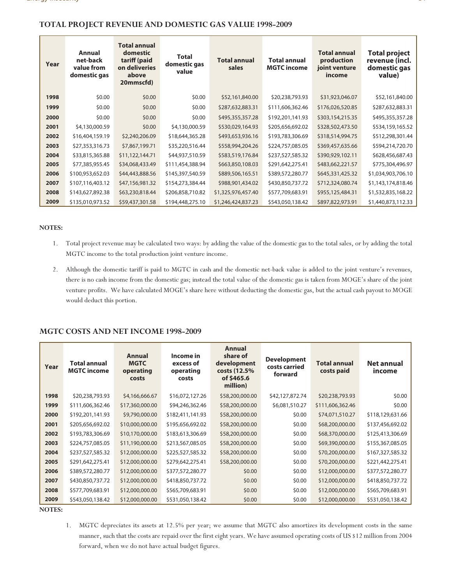### **TOTAL PROJECT REVENUE AND DOMESTIC GAS VALUE 1998-2009**

| Year | <b>Annual</b><br>net-back<br>value from<br>domestic gas | <b>Total annual</b><br>domestic<br>tariff (paid<br>on deliveries<br>above<br>20mmscfd) | <b>Total</b><br>domestic gas<br>value | <b>Total annual</b><br>sales | <b>Total annual</b><br><b>MGTC</b> income | <b>Total annual</b><br>production<br>joint venture<br>income | <b>Total project</b><br>revenue (incl.<br>domestic gas<br>value) |
|------|---------------------------------------------------------|----------------------------------------------------------------------------------------|---------------------------------------|------------------------------|-------------------------------------------|--------------------------------------------------------------|------------------------------------------------------------------|
| 1998 | \$0.00                                                  | \$0.00                                                                                 | \$0.00                                | \$52,161,840.00              | \$20,238,793.93                           | \$31,923,046.07                                              | \$52,161,840.00                                                  |
| 1999 | \$0.00                                                  | \$0.00                                                                                 | \$0.00                                | \$287,632,883.31             | \$111,606,362.46                          | \$176,026,520.85                                             | \$287,632,883.31                                                 |
| 2000 | \$0.00                                                  | \$0.00                                                                                 | \$0.00                                | \$495,355,357.28             | \$192,201,141.93                          | \$303,154,215.35                                             | \$495,355,357.28                                                 |
| 2001 | \$4,130,000.59                                          | \$0.00                                                                                 | \$4,130,000.59                        | \$530,029,164.93             | \$205,656,692.02                          | \$328,502,473.50                                             | \$534,159,165.52                                                 |
| 2002 | \$16,404,159.19                                         | \$2,240,206.09                                                                         | \$18,644,365.28                       | \$493,653,936.16             | \$193,783,306.69                          | \$318,514,994.75                                             | \$512,298,301.44                                                 |
| 2003 | \$27,353,316.73                                         | \$7,867,199.71                                                                         | \$35,220,516.44                       | \$558,994,204.26             | \$224,757,085.05                          | \$369,457,635.66                                             | \$594,214,720.70                                                 |
| 2004 | \$33,815,365.88                                         | \$11,122,144.71                                                                        | \$44,937,510.59                       | \$583,519,176.84             | \$237,527,585.32                          | \$390,929,102.11                                             | \$628,456,687.43                                                 |
| 2005 | \$77,385,955.45                                         | \$34,068,433.49                                                                        | \$111,454,388.94                      | \$663,850,108.03             | \$291,642,275.41                          | \$483,662,221.57                                             | \$775,304,496.97                                                 |
| 2006 | \$100,953,652.03                                        | \$44,443,888.56                                                                        | \$145,397,540.59                      | \$889,506,165.51             | \$389,572,280.77                          | \$645,331,425.32                                             | \$1,034,903,706.10                                               |
| 2007 | \$107,116,403.12                                        | \$47,156,981.32                                                                        | \$154,273,384.44                      | \$988,901,434.02             | \$430,850,737.72                          | \$712,324,080.74                                             | \$1,143,174,818.46                                               |
| 2008 | \$143,627,892.38                                        | \$63,230,818.44                                                                        | \$206,858,710.82                      | \$1,325,976,457.40           | \$577,709,683.91                          | \$955,125,484.31                                             | \$1,532,835,168.22                                               |
| 2009 | \$135,010,973.52                                        | \$59,437,301.58                                                                        | \$194,448,275.10                      | \$1,246,424,837.23           | \$543,050,138.42                          | \$897,822,973.91                                             | \$1,440,873,112.33                                               |

### **NOTES:**

- 1. Total project revenue may be calculated two ways: by adding the value of the domestic gas to the total sales, or by adding the total MGTC income to the total production joint venture income.
- 2. Although the domestic tariff is paid to MGTC in cash and the domestic net-back value is added to the joint venture's revenues, there is no cash income from the domestic gas; instead the total value of the domestic gas is taken from MOGE's share of the joint venture profits. We have calculated MOGE's share here without deducting the domestic gas, but the actual cash payout to MOGE would deduct this portion.

### **MGTC COSTS AND NET INCOME 1998-2009**

| Year | <b>Total annual</b><br><b>MGTC</b> income | Annual<br><b>MGTC</b><br>operating<br>costs | Income in<br>excess of<br>operating<br>costs | <b>Annual</b><br>share of<br>development<br>costs (12.5%)<br>of \$465.6<br>million) | <b>Development</b><br>costs carried<br>forward | <b>Total annual</b><br>costs paid | Net annual<br>income |
|------|-------------------------------------------|---------------------------------------------|----------------------------------------------|-------------------------------------------------------------------------------------|------------------------------------------------|-----------------------------------|----------------------|
| 1998 | \$20,238,793.93                           | \$4,166,666.67                              | \$16,072,127.26                              | \$58,200,000.00                                                                     | \$42,127,872.74                                | \$20,238,793.93                   | \$0.00               |
| 1999 | \$111,606,362.46                          | \$17,360,000.00                             | \$94,246,362.46                              | \$58,200,000.00                                                                     | \$6,081,510.27                                 | \$111,606,362.46                  | \$0.00               |
| 2000 | \$192,201,141.93                          | \$9,790,000.00                              | \$182,411,141.93                             | \$58,200,000.00                                                                     | \$0.00                                         | \$74,071,510.27                   | \$118,129,631.66     |
| 2001 | \$205,656,692.02                          | \$10,000,000.00                             | \$195,656,692.02                             | \$58,200,000.00                                                                     | \$0.00                                         | \$68,200,000.00                   | \$137,456,692.02     |
| 2002 | \$193,783,306.69                          | \$10,170,000.00                             | \$183,613,306.69                             | \$58,200,000.00                                                                     | \$0.00                                         | \$68,370,000.00                   | \$125,413,306.69     |
| 2003 | \$224,757,085.05                          | \$11,190,000.00                             | \$213,567,085.05                             | \$58,200,000.00                                                                     | \$0.00                                         | \$69,390,000.00                   | \$155,367,085.05     |
| 2004 | \$237,527,585.32                          | \$12,000,000.00                             | \$225,527,585.32                             | \$58,200,000.00                                                                     | \$0.00                                         | \$70,200,000.00                   | \$167,327,585.32     |
| 2005 | \$291,642,275.41                          | \$12,000,000.00                             | \$279,642,275.41                             | \$58,200,000.00                                                                     | \$0.00                                         | \$70,200,000.00                   | \$221,442,275.41     |
| 2006 | \$389,572,280.77                          | \$12,000,000.00                             | \$377,572,280.77                             | \$0.00                                                                              | \$0.00                                         | \$12,000,000.00                   | \$377,572,280.77     |
| 2007 | \$430,850,737.72                          | \$12,000,000.00                             | \$418,850,737.72                             | \$0.00                                                                              | \$0.00                                         | \$12,000,000.00                   | \$418,850,737.72     |
| 2008 | \$577,709,683.91                          | \$12,000,000.00                             | \$565,709,683.91                             | \$0.00                                                                              | \$0.00                                         | \$12,000,000.00                   | \$565,709,683.91     |
| 2009 | \$543,050,138.42                          | \$12,000,000.00                             | \$531,050,138.42                             | \$0.00                                                                              | \$0.00                                         | \$12,000,000.00                   | \$531,050,138.42     |

**NOTES:**

1. MGTC depreciates its assets at 12.5% per year; we assume that MGTC also amortizes its development costs in the same manner, such that the costs are repaid over the first eight years. We have assumed operating costs of US \$12 million from 2004 forward, when we do not have actual budget figures.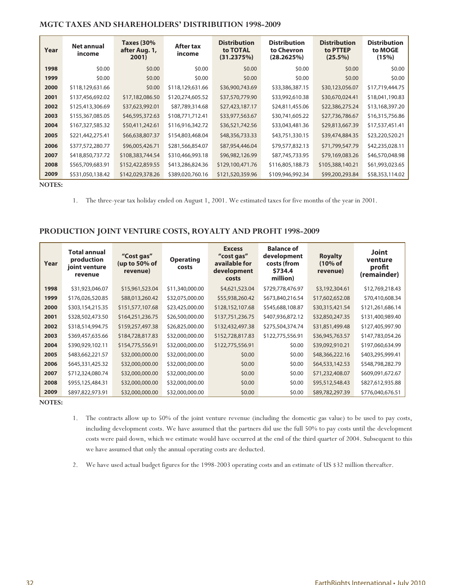### **MGTC TAXES AND SHAREHOLDERS' DISTRIBUTION 1998-2009**

| Year | Net annual<br>income | <b>Taxes (30%</b><br>after Aug. 1,<br>2001) | After tax<br>income | <b>Distribution</b><br>to TOTAL<br>(31.2375%) | <b>Distribution</b><br>to Chevron<br>(28.2625%) | <b>Distribution</b><br>to PTTEP<br>$(25.5\%)$ | <b>Distribution</b><br>to MOGE<br>(15%) |
|------|----------------------|---------------------------------------------|---------------------|-----------------------------------------------|-------------------------------------------------|-----------------------------------------------|-----------------------------------------|
| 1998 | \$0.00               | \$0.00                                      | \$0.00              | \$0.00                                        | \$0.00                                          | \$0.00                                        | \$0.00                                  |
| 1999 | \$0.00               | \$0.00                                      | \$0.00              | \$0.00                                        | \$0.00                                          | \$0.00                                        | \$0.00                                  |
| 2000 | \$118,129,631.66     | \$0.00                                      | \$118,129,631.66    | \$36,900,743.69                               | \$33,386,387.15                                 | \$30,123,056.07                               | \$17,719,444.75                         |
| 2001 | \$137,456,692.02     | \$17,182,086.50                             | \$120,274,605.52    | \$37,570,779.90                               | \$33,992,610.38                                 | \$30,670,024.41                               | \$18,041,190.83                         |
| 2002 | \$125,413,306.69     | \$37,623,992.01                             | \$87,789,314.68     | \$27,423,187.17                               | \$24,811,455.06                                 | \$22,386,275.24                               | \$13,168,397.20                         |
| 2003 | \$155,367,085.05     | \$46,595,372.63                             | \$108,771,712.41    | \$33,977,563.67                               | \$30,741,605.22                                 | \$27,736,786.67                               | \$16,315,756.86                         |
| 2004 | \$167,327,585.32     | \$50,411,242.61                             | \$116,916,342.72    | \$36,521,742.56                               | \$33,043,481.36                                 | \$29,813,667.39                               | \$17,537,451.41                         |
| 2005 | \$221,442,275.41     | \$66,638,807.37                             | \$154,803,468.04    | \$48,356,733.33                               | \$43,751,330.15                                 | \$39,474,884.35                               | \$23,220,520.21                         |
| 2006 | \$377,572,280.77     | \$96,005,426.71                             | \$281,566,854.07    | \$87,954,446.04                               | \$79,577,832.13                                 | \$71,799,547.79                               | \$42,235,028.11                         |
| 2007 | \$418,850,737.72     | \$108,383,744.54                            | \$310,466,993.18    | \$96,982,126.99                               | \$87,745,733.95                                 | \$79,169,083.26                               | \$46,570,048.98                         |
| 2008 | \$565,709,683.91     | \$152,422,859.55                            | \$413,286,824.36    | \$129,100,471.76                              | \$116,805,188.73                                | \$105,388,140.21                              | \$61,993,023.65                         |
| 2009 | \$531,050,138.42     | \$142,029,378.26                            | \$389,020,760.16    | \$121,520,359.96                              | \$109,946,992.34                                | \$99,200,293.84                               | \$58,353,114.02                         |

**NOTES:**

1. The three-year tax holiday ended on August 1, 2001. We estimated taxes for five months of the year in 2001.

### **PRODUCTION JOINT VENTURE COSTS, ROYALTY AND PROFIT 1998-2009**

| Year | Total annual<br>production<br>joint venture<br>revenue | "Cost gas"<br>(up to 50% of<br>revenue) | <b>Operating</b><br>costs | <b>Excess</b><br>"cost gas"<br>available for<br>development<br>costs | <b>Balance of</b><br>development<br>costs (from<br>\$734.4<br>million) | <b>Royalty</b><br>$(10\% \text{ of }$<br>revenue) | <b>Joint</b><br>venture<br>profit<br>(remainder) |
|------|--------------------------------------------------------|-----------------------------------------|---------------------------|----------------------------------------------------------------------|------------------------------------------------------------------------|---------------------------------------------------|--------------------------------------------------|
| 1998 | \$31,923,046.07                                        | \$15,961,523.04                         | \$11,340,000.00           | \$4,621,523.04                                                       | \$729,778,476.97                                                       | \$3,192,304.61                                    | \$12,769,218.43                                  |
| 1999 | \$176,026,520.85                                       | \$88,013,260.42                         | \$32,075,000.00           | \$55,938,260.42                                                      | \$673,840,216.54                                                       | \$17,602,652.08                                   | \$70,410,608.34                                  |
| 2000 | \$303,154,215.35                                       | \$151,577,107.68                        | \$23,425,000.00           | \$128,152,107.68                                                     | \$545,688,108.87                                                       | \$30,315,421.54                                   | \$121,261,686.14                                 |
| 2001 | \$328,502,473.50                                       | \$164,251,236.75                        | \$26,500,000.00           | \$137,751,236.75                                                     | \$407,936,872.12                                                       | \$32,850,247.35                                   | \$131,400,989.40                                 |
| 2002 | \$318,514,994.75                                       | \$159,257,497.38                        | \$26,825,000.00           | \$132,432,497.38                                                     | \$275,504,374.74                                                       | \$31,851,499.48                                   | \$127,405,997.90                                 |
| 2003 | \$369,457,635.66                                       | \$184,728,817.83                        | \$32,000,000.00           | \$152,728,817.83                                                     | \$122,775,556.91                                                       | \$36,945,763.57                                   | \$147,783,054.26                                 |
| 2004 | \$390,929,102.11                                       | \$154,775,556.91                        | \$32,000,000.00           | \$122,775,556.91                                                     | \$0.00                                                                 | \$39,092,910.21                                   | \$197,060,634.99                                 |
| 2005 | \$483,662,221.57                                       | \$32,000,000.00                         | \$32,000,000.00           | \$0.00                                                               | \$0.00                                                                 | \$48,366,222.16                                   | \$403,295,999.41                                 |
| 2006 | \$645,331,425.32                                       | \$32,000,000.00                         | \$32,000,000.00           | \$0.00                                                               | \$0.00                                                                 | \$64,533,142.53                                   | \$548,798,282.79                                 |
| 2007 | \$712,324,080.74                                       | \$32,000,000.00                         | \$32,000,000.00           | \$0.00                                                               | \$0.00                                                                 | \$71,232,408.07                                   | \$609,091,672.67                                 |
| 2008 | \$955,125,484.31                                       | \$32,000,000.00                         | \$32,000,000.00           | \$0.00                                                               | \$0.00                                                                 | \$95,512,548.43                                   | \$827,612,935.88                                 |
| 2009 | \$897,822,973.91                                       | \$32,000,000.00                         | \$32,000,000.00           | \$0.00                                                               | \$0.00                                                                 | \$89,782,297.39                                   | \$776,040,676.51                                 |

**NOTES:**

- 1. The contracts allow up to 50% of the joint venture revenue (including the domestic gas value) to be used to pay costs, including development costs. We have assumed that the partners did use the full 50% to pay costs until the development costs were paid down, which we estimate would have occurred at the end of the third quarter of 2004. Subsequent to this we have assumed that only the annual operating costs are deducted.
- 2. We have used actual budget figures for the 1998-2003 operating costs and an estimate of US \$32 million thereafter.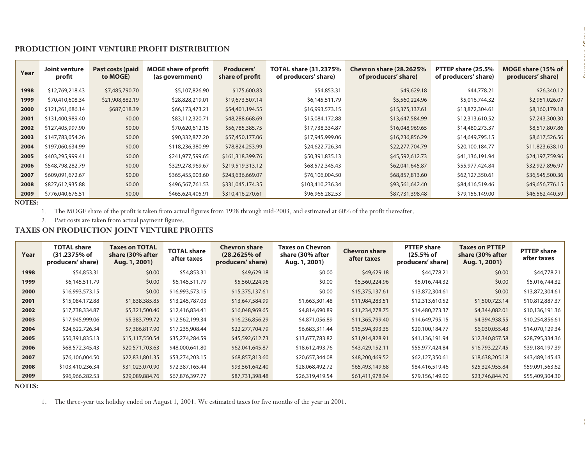| Year                                                                                         | <b>Joint venture</b><br>profit               | Past costs (paid<br>to MOGE)                                                         | <b>MOGE share of profit</b><br>(as government)                | Producers'<br>share of profit            | <b>TOTAL share (31.2375%</b><br>of producers' share)                                                                                                                                  | Chevron share (28.2625%<br>of producers' share) |                                       | PTTEP share (25.5%<br>of producers' share) | MOGE share (15% of<br>producers' share)                                                                                                                                                   |
|----------------------------------------------------------------------------------------------|----------------------------------------------|--------------------------------------------------------------------------------------|---------------------------------------------------------------|------------------------------------------|---------------------------------------------------------------------------------------------------------------------------------------------------------------------------------------|-------------------------------------------------|---------------------------------------|--------------------------------------------|-------------------------------------------------------------------------------------------------------------------------------------------------------------------------------------------|
| 1998                                                                                         | \$12,769,218.43                              | \$7,485,790.70                                                                       | \$5,107,826.90                                                | \$175,600.83                             | \$54,853.31                                                                                                                                                                           |                                                 | \$49,629.18                           | \$44,778.21                                | \$26,340.12                                                                                                                                                                               |
| 1999                                                                                         | \$70,410,608.34                              | \$21,908,882.19                                                                      | \$28,828,219.01                                               | \$19,673,507.14                          | \$6,145,511.79                                                                                                                                                                        |                                                 | \$5,560,224.96                        | \$5,016,744.32                             | \$2,951,026.07                                                                                                                                                                            |
| 2000                                                                                         | \$121,261,686.14                             | \$687,018.39                                                                         | \$66,173,473.21                                               | \$54,401,194.55                          | \$16,993,573.15                                                                                                                                                                       |                                                 | \$15,375,137.61                       | \$13,872,304.61                            | \$8,160,179.18                                                                                                                                                                            |
| 2001                                                                                         | \$131,400,989.40                             | \$0.00                                                                               | \$83,112,320.71                                               | \$48,288,668.69                          | \$15,084,172.88                                                                                                                                                                       |                                                 | \$13,647,584.99                       | \$12,313,610.52                            | \$7,243,300.30                                                                                                                                                                            |
| 2002                                                                                         | \$127,405,997.90                             | \$0.00                                                                               | \$70,620,612.15                                               | \$56,785,385.75                          | \$17,738,334.87                                                                                                                                                                       |                                                 | \$16,048,969.65                       | \$14,480,273.37                            | \$8,517,807.86                                                                                                                                                                            |
| 2003                                                                                         | \$147,783,054.26                             | \$0.00                                                                               | \$90,332,877.20                                               | \$57,450,177.06                          | \$17,945,999.06                                                                                                                                                                       |                                                 | \$16,236,856.29                       | \$14,649,795.15                            | \$8,617,526.56                                                                                                                                                                            |
| 2004                                                                                         | \$197,060,634.99                             | \$0.00                                                                               | \$118,236,380.99                                              | \$78,824,253.99                          | \$24,622,726.34                                                                                                                                                                       |                                                 | \$22,277,704.79                       | \$20,100,184.77                            | \$11,823,638.10                                                                                                                                                                           |
| 2005                                                                                         | \$403,295,999.41                             | \$0.00                                                                               | \$241,977,599.65                                              | \$161,318,399.76                         | \$50,391,835.13                                                                                                                                                                       |                                                 | \$45,592,612.73                       | \$41,136,191.94                            | \$24,197,759.96                                                                                                                                                                           |
| 2006                                                                                         | \$548,798,282.79                             | \$0.00                                                                               | \$329,278,969.67                                              | \$219,519,313.12                         | \$68,572,345.43                                                                                                                                                                       |                                                 | \$62,041,645.87                       | \$55,977,424.84                            | \$32,927,896.97                                                                                                                                                                           |
| 2007                                                                                         | \$609,091,672.67                             | \$0.00                                                                               | \$365,455,003.60                                              | \$243,636,669.07                         | \$76,106,004.50                                                                                                                                                                       |                                                 | \$68,857,813.60                       | \$62,127,350.61                            | \$36,545,500.36                                                                                                                                                                           |
| 2008                                                                                         | \$827,612,935.88                             | \$0.00                                                                               | \$496,567,761.53                                              | \$331,045,174.35                         | \$103,410,236.34                                                                                                                                                                      |                                                 | \$93,561,642.40                       | \$84,416,519.46                            | \$49,656,776.15                                                                                                                                                                           |
|                                                                                              |                                              |                                                                                      |                                                               |                                          |                                                                                                                                                                                       |                                                 |                                       |                                            |                                                                                                                                                                                           |
| 2009<br><b>NOTES:</b>                                                                        | \$776,040,676.51<br>2.<br><b>TOTAL share</b> | \$0.00<br>Past costs are taken from actual payment figures.<br><b>Taxes on TOTAL</b> | \$465,624,405.91<br>TAXES ON PRODUCTION JOINT VENTURE PROFITS | \$310,416,270.61<br><b>Chevron share</b> | \$96,966,282.53<br>1. The MOGE share of the profit is taken from actual figures from 1998 through mid-2003, and estimated at 60% of the profit thereafter.<br><b>Taxes on Chevron</b> |                                                 | \$87,731,398.48<br><b>PTTEP share</b> | \$79,156,149.00<br><b>Taxes on PTTEP</b>   | \$46,562,440.59                                                                                                                                                                           |
| Year                                                                                         | (31.2375% of<br>producers' share)            | share (30% after<br>Aug. 1, 2001)                                                    | <b>TOTAL share</b><br>after taxes                             | (28.2625% of<br>producers' share)        | share (30% after<br>Aug. 1, 2001)                                                                                                                                                     | <b>Chevron share</b><br>after taxes             | (25.5% of<br>producers' share)        | share (30% after<br>Aug. 1, 2001)          | <b>PTTEP share</b><br>after taxes                                                                                                                                                         |
|                                                                                              | \$54,853.31                                  |                                                                                      | \$0.00<br>\$54,853.31                                         | \$49,629.18                              | \$0.00                                                                                                                                                                                | \$49,629.18                                     | \$44,778.21                           |                                            | \$0.00                                                                                                                                                                                    |
|                                                                                              | \$6,145,511.79                               |                                                                                      | \$6,145,511.79<br>\$0.00                                      | \$5,560,224.96                           | \$0.00                                                                                                                                                                                | \$5,560,224.96                                  | \$5,016,744.32                        |                                            | \$0.00                                                                                                                                                                                    |
|                                                                                              | \$16,993,573.15                              |                                                                                      | \$16,993,573.15<br>\$0.00                                     | \$15,375,137.61                          | \$0.00                                                                                                                                                                                | \$15,375,137.61                                 | \$13,872,304.61                       |                                            | \$44,778.21<br>\$13,872,304.61<br>\$0.00                                                                                                                                                  |
|                                                                                              | \$15,084,172.88                              | \$1,838,385.85                                                                       | \$13,245,787.03                                               | \$13,647,584.99                          | \$1,663,301.48                                                                                                                                                                        | \$11,984,283.51                                 | \$12,313,610.52                       | \$1,500,723.14                             |                                                                                                                                                                                           |
|                                                                                              | \$17,738,334.87                              | \$5,321,500.46                                                                       | \$12,416,834.41                                               | \$16,048,969.65                          | \$4,814,690.89                                                                                                                                                                        | \$11,234,278.75                                 | \$14,480,273.37                       | \$4,344,082.01                             |                                                                                                                                                                                           |
|                                                                                              | \$17,945,999.06                              | \$5,383,799.72                                                                       | \$12,562,199.34                                               | \$16,236,856.29                          | \$4,871,056.89                                                                                                                                                                        | \$11,365,799.40                                 | \$14,649,795.15                       | \$4,394,938.55                             |                                                                                                                                                                                           |
|                                                                                              | \$24,622,726.34                              | \$7,386,817.90                                                                       | \$17,235,908.44                                               | \$22,277,704.79                          | \$6,683,311.44                                                                                                                                                                        | \$15,594,393.35                                 | \$20,100,184.77                       | \$6,030,055.43                             |                                                                                                                                                                                           |
|                                                                                              | \$50,391,835.13                              | \$15,117,550.54                                                                      | \$35,274,284.59                                               | \$45,592,612.73                          | \$13,677,783.82                                                                                                                                                                       | \$31,914,828.91                                 | \$41,136,191.94                       | \$12,340,857.58                            |                                                                                                                                                                                           |
|                                                                                              | \$68,572,345.43                              | \$20,571,703.63                                                                      | \$48,000,641.80                                               | \$62,041,645.87                          | \$18,612,493.76                                                                                                                                                                       | \$43,429,152.11                                 | \$55,977,424.84                       | \$16,793,227.45                            |                                                                                                                                                                                           |
|                                                                                              | \$76,106,004.50                              | \$22,831,801.35                                                                      | \$53,274,203.15                                               | \$68,857,813.60                          | \$20,657,344.08                                                                                                                                                                       | \$48,200,469.52                                 | \$62,127,350.61                       | \$18,638,205.18                            |                                                                                                                                                                                           |
| 1998<br>1999<br>2000<br>2001<br>2002<br>2003<br>2004<br>2005<br>2006<br>2007<br>2008<br>2009 | \$103,410,236.34<br>\$96,966,282.53          | \$31,023,070.90<br>\$29,089,884.76                                                   | \$72,387,165.44<br>\$67,876,397.77                            | \$93,561,642.40<br>\$87,731,398.48       | \$28,068,492.72<br>\$26,319,419.54                                                                                                                                                    | \$65,493,149.68<br>\$61,411,978.94              | \$84,416,519.46<br>\$79,156,149.00    | \$25,324,955.84<br>\$23,746,844.70         | \$5,016,744.32<br>\$10,812,887.37<br>\$10,136,191.36<br>\$10,254,856.61<br>\$14,070,129.34<br>\$28,795,334.36<br>\$39,184,197.39<br>\$43,489,145.43<br>\$59,091,563.62<br>\$55,409,304.30 |

| Year | <b>TOTAL share</b><br>$(31.2375%$ of<br>producers' share) | <b>Taxes on TOTAL</b><br>share (30% after<br>Aug. 1, 2001) | <b>TOTAL share</b><br>after taxes | <b>Chevron share</b><br>(28.2625% of<br>producers' share) | Taxes on Chevron<br>share (30% after<br>Aug. 1, 2001) | <b>Chevron share</b><br>after taxes | <b>PTTEP share</b><br>$(25.5%$ of<br>producers' share) | <b>Taxes on PTTEP</b><br>share (30% after<br>Aug. 1, 2001) | <b>PTTEP</b> share<br>after taxes |
|------|-----------------------------------------------------------|------------------------------------------------------------|-----------------------------------|-----------------------------------------------------------|-------------------------------------------------------|-------------------------------------|--------------------------------------------------------|------------------------------------------------------------|-----------------------------------|
| 1998 | \$54,853.31                                               | \$0.00                                                     | \$54,853.31                       | \$49,629.18                                               | \$0.00                                                | \$49,629.18                         | \$44,778.21                                            | \$0.00                                                     | \$44,778.21                       |
| 1999 | \$6,145,511.79                                            | \$0.00                                                     | \$6,145,511.79                    | \$5,560,224.96                                            | \$0.00                                                | \$5,560,224.96                      | \$5,016,744.32                                         | \$0.00                                                     | \$5,016,744.32                    |
| 2000 | \$16,993,573.15                                           | \$0.00                                                     | \$16,993,573.15                   | \$15,375,137.61                                           | \$0.00                                                | \$15,375,137.61                     | \$13,872,304.61                                        | \$0.00                                                     | \$13,872,304.61                   |
| 2001 | \$15,084,172.88                                           | \$1,838,385.85                                             | \$13,245,787.03                   | \$13,647,584.99                                           | \$1,663,301.48                                        | \$11,984,283.51                     | \$12,313,610.52                                        | \$1,500,723.14                                             | \$10,812,887.37                   |
| 2002 | \$17,738,334.87                                           | \$5,321,500.46                                             | \$12,416,834.41                   | \$16,048,969.65                                           | \$4,814,690.89                                        | \$11,234,278.75                     | \$14,480,273.37                                        | \$4,344,082.01                                             | \$10,136,191.36                   |
| 2003 | \$17,945,999.06                                           | \$5,383,799.72                                             | \$12,562,199.34                   | \$16,236,856.29                                           | \$4,871,056.89                                        | \$11,365,799.40                     | \$14,649,795.15                                        | \$4,394,938.55                                             | \$10,254,856.61                   |
| 2004 | \$24,622,726.34                                           | \$7,386,817.90                                             | \$17,235,908.44                   | \$22,277,704.79                                           | \$6,683,311.44                                        | \$15,594,393.35                     | \$20,100,184.77                                        | \$6,030,055.43                                             | \$14,070,129.34                   |
| 2005 | \$50,391,835.13                                           | \$15,117,550.54                                            | \$35,274,284.59                   | \$45,592,612.73                                           | \$13,677,783.82                                       | \$31,914,828.91                     | \$41,136,191.94                                        | \$12,340,857.58                                            | \$28,795,334.36                   |
| 2006 | \$68,572,345.43                                           | \$20,571,703.63                                            | \$48,000,641.80                   | \$62,041,645.87                                           | \$18,612,493.76                                       | \$43,429,152.11                     | \$55,977,424.84                                        | \$16,793,227.45                                            | \$39,184,197.39                   |
| 2007 | \$76,106,004.50                                           | \$22,831,801.35                                            | \$53,274,203.15                   | \$68,857,813.60                                           | \$20,657,344.08                                       | \$48,200,469.52                     | \$62,127,350.61                                        | \$18,638,205.18                                            | \$43,489,145.43                   |
| 2008 | \$103,410,236.34                                          | \$31,023,070.90                                            | \$72,387,165.44                   | \$93,561,642.40                                           | \$28,068,492.72                                       | \$65,493,149.68                     | \$84,416,519.46                                        | \$25,324,955.84                                            | \$59,091,563.62                   |
| 2009 | \$96,966,282.53                                           | \$29,089,884.76                                            | \$67,876,397.77                   | \$87,731,398.48                                           | \$26,319,419.54                                       | \$61,411,978.94                     | \$79,156,149.00                                        | \$23,746,844.70                                            | \$55,409,304.30                   |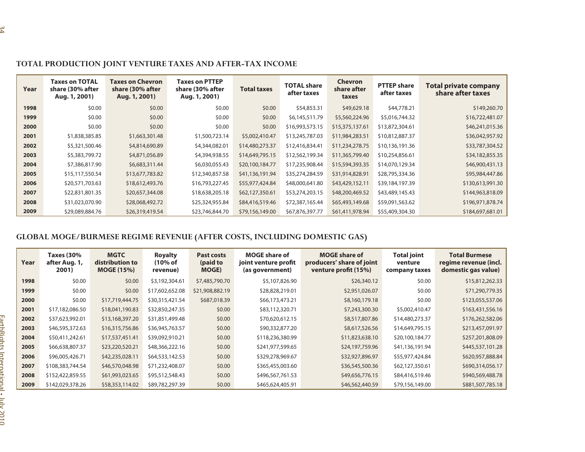| Year | <b>Taxes on TOTAL</b><br>share (30% after<br>Aug. 1, 2001) | <b>Taxes on Chevron</b><br>share (30% after<br>Aug. 1, 2001) |                                   | <b>Taxes on PTTEP</b><br>share (30% after<br>Aug. 1, 2001)                                                       | <b>Total taxes</b>                      | <b>TOTAL share</b><br>after taxes | <b>Chevron</b><br>share after<br>taxes            | <b>PTTEP</b> share<br>after taxes     | <b>Total private company</b><br>share after taxes                                                                                    |
|------|------------------------------------------------------------|--------------------------------------------------------------|-----------------------------------|------------------------------------------------------------------------------------------------------------------|-----------------------------------------|-----------------------------------|---------------------------------------------------|---------------------------------------|--------------------------------------------------------------------------------------------------------------------------------------|
| 1998 |                                                            | \$0.00                                                       | \$0.00                            | \$0.00                                                                                                           | \$0.00                                  | \$54,853.31                       | \$49,629.18                                       | \$44,778.21                           | \$149,260.70                                                                                                                         |
| 1999 |                                                            | \$0.00                                                       | \$0.00                            | \$0.00                                                                                                           | \$0.00                                  | \$6,145,511.79                    | \$5,560,224.96                                    | \$5,016,744.32                        | \$16,722,481.07                                                                                                                      |
| 2000 |                                                            | \$0.00                                                       | \$0.00                            | \$0.00                                                                                                           | \$0.00                                  | \$16,993,573.15                   | \$15,375,137.61                                   | \$13,872,304.61                       | \$46,241,015.36                                                                                                                      |
| 2001 | \$1,838,385.85                                             |                                                              | \$1,663,301.48                    | \$1,500,723.14                                                                                                   | \$5,002,410.47                          | \$13,245,787.03                   | \$11,984,283.51                                   | \$10,812,887.37                       | \$36,042,957.92                                                                                                                      |
| 2002 | \$5,321,500.46                                             |                                                              | \$4,814,690.89                    | \$4,344,082.01                                                                                                   | \$14,480,273.37                         | \$12,416,834.41                   | \$11,234,278.75                                   | \$10,136,191.36                       | \$33,787,304.52                                                                                                                      |
| 2003 | \$5,383,799.72                                             |                                                              | \$4,871,056.89                    | \$4,394,938.55                                                                                                   | \$14,649,795.15                         | \$12,562,199.34                   | \$11,365,799.40                                   | \$10,254,856.61                       | \$34,182,855.35                                                                                                                      |
| 2004 | \$7,386,817.90                                             |                                                              | \$6,683,311.44                    | \$6,030,055.43                                                                                                   | \$20,100,184.77                         | \$17,235,908.44                   | \$15,594,393.35                                   | \$14,070,129.34                       | \$46,900,431.13                                                                                                                      |
| 2005 | \$15,117,550.54                                            |                                                              | \$13,677,783.82                   | \$12,340,857.58                                                                                                  | \$41,136,191.94                         | \$35,274,284.59                   | \$31,914,828.91                                   | \$28,795,334.36                       | \$95,984,447.86                                                                                                                      |
| 2006 | \$20,571,703.63                                            |                                                              | \$18,612,493.76                   | \$16,793,227.45                                                                                                  | \$55,977,424.84                         | \$48,000,641.80                   | \$43,429,152.11                                   | \$39,184,197.39                       | \$130,613,991.30                                                                                                                     |
| 2007 | \$22,831,801.35                                            |                                                              | \$20,657,344.08                   | \$18,638,205.18                                                                                                  | \$62,127,350.61                         | \$53,274,203.15                   | \$48,200,469.52                                   | \$43,489,145.43                       | \$144,963,818.09                                                                                                                     |
|      |                                                            |                                                              |                                   |                                                                                                                  |                                         | \$72,387,165.44                   |                                                   | \$59,091,563.62                       | \$196,971,878.74                                                                                                                     |
| 2008 | \$31,023,070.90                                            |                                                              | \$28,068,492.72                   | \$25,324,955.84                                                                                                  | \$84,416,519.46                         |                                   | \$65,493,149.68                                   |                                       |                                                                                                                                      |
| 2009 | \$29,089,884.76<br><b>Taxes (30%</b>                       | <b>MGTC</b>                                                  | \$26,319,419.54<br><b>Royalty</b> | \$23,746,844.70<br>GLOBAL MOGE/BURMESE REGIME REVENUE (AFTER COSTS, INCLUDING DOMESTIC GAS)<br><b>Past costs</b> | \$79,156,149.00<br><b>MOGE share of</b> | \$67,876,397.77                   | \$61,411,978.94<br><b>MOGE share of</b>           | \$55,409,304.30<br><b>Total joint</b> | <b>Total Burmese</b>                                                                                                                 |
| Year | after Aug. 1,<br>2001)                                     | distribution to<br><b>MOGE (15%)</b>                         | (10% of<br>revenue)               | (paid to<br><b>MOGE)</b>                                                                                         | joint venture profit<br>(as government) |                                   | producers' share of joint<br>venture profit (15%) | venture<br>company taxes              |                                                                                                                                      |
| 1998 | \$0.00                                                     | \$0.00                                                       | \$3,192,304.61                    | \$7,485,790.70                                                                                                   |                                         | \$5,107,826.90                    | \$26,340.12                                       |                                       | \$0.00                                                                                                                               |
| 1999 | \$0.00                                                     | \$0.00                                                       | \$17,602,652.08                   | \$21,908,882.19                                                                                                  | \$28,828,219.01                         |                                   | \$2,951,026.07                                    |                                       | \$0.00                                                                                                                               |
| 2000 | \$0.00                                                     | \$17,719,444.75                                              | \$30,315,421.54                   | \$687,018.39                                                                                                     | \$66,173,473.21                         |                                   | \$8,160,179.18                                    |                                       | \$184,697,681.01<br>regime revenue (incl.<br>domestic gas value)<br>\$15,812,262.33<br>\$71,290,779.35<br>\$0.00<br>\$123,055,537.06 |
| 2001 | \$17,182,086.50                                            | \$18,041,190.83                                              | \$32,850,247.35                   | \$0.00                                                                                                           | \$83,112,320.71                         |                                   | \$7,243,300.30                                    | \$5,002,410.47                        | \$163,431,556.16                                                                                                                     |
| 2002 | \$37,623,992.01                                            | \$13,168,397.20                                              | \$31,851,499.48                   | \$0.00                                                                                                           | \$70,620,612.15                         |                                   | \$8,517,807.86                                    | \$14,480,273.37                       | \$176,262,582.06                                                                                                                     |
| 2003 | \$46,595,372.63                                            | \$16,315,756.86                                              | \$36,945,763.57                   | \$0.00                                                                                                           | \$90,332,877.20                         |                                   | \$8,617,526.56                                    | \$14,649,795.15                       | \$213,457,091.97                                                                                                                     |
| 2004 | \$50,411,242.61                                            | \$17,537,451.41                                              | \$39,092,910.21                   | \$0.00                                                                                                           | \$118,236,380.99                        |                                   | \$11,823,638.10                                   | \$20,100,184.77                       | \$257,201,808.09                                                                                                                     |
| 2005 | \$66,638,807.37                                            | \$23,220,520.21                                              | \$48,366,222.16                   | \$0.00                                                                                                           | \$241,977,599.65                        |                                   | \$24,197,759.96                                   | \$41,136,191.94                       | \$445,537,101.28                                                                                                                     |
| 2006 | \$96,005,426.71                                            | \$42,235,028.11                                              | \$64,533,142.53                   | \$0.00                                                                                                           | \$329,278,969.67                        |                                   | \$32,927,896.97                                   | \$55,977,424.84                       | \$620,957,888.84                                                                                                                     |
| 2007 | \$108,383,744.54                                           | \$46,570,048.98                                              | \$71,232,408.07                   | \$0.00                                                                                                           | \$365,455,003.60                        |                                   | \$36,545,500.36                                   | \$62,127,350.61                       | \$690,314,056.17                                                                                                                     |
| 2008 | \$152,422,859.55                                           | \$61,993,023.65                                              | \$95,512,548.43                   | \$0.00                                                                                                           | \$496,567,761.53                        |                                   | \$49,656,776.15                                   | \$84,416,519.46                       | \$940,569,488.78                                                                                                                     |

| Year | <b>Taxes (30%</b><br>after Aug. 1,<br>2001) | <b>MGTC</b><br>distribution to<br><b>MOGE (15%)</b> | <b>Royalty</b><br>$(10\% \text{ of }$<br>revenue) | <b>Past costs</b><br>(paid to<br><b>MOGE</b> ) | <b>MOGE share of</b><br>joint venture profit<br>(as government) | <b>MOGE share of</b><br>producers' share of joint<br>venture profit (15%) | <b>Total joint</b><br>venture<br>company taxes | <b>Total Burmese</b><br>regime revenue (incl.<br>domestic gas value) |
|------|---------------------------------------------|-----------------------------------------------------|---------------------------------------------------|------------------------------------------------|-----------------------------------------------------------------|---------------------------------------------------------------------------|------------------------------------------------|----------------------------------------------------------------------|
| 1998 | \$0.00                                      | \$0.00                                              | \$3,192,304.61                                    | \$7,485,790.70                                 | \$5,107,826.90                                                  | \$26,340.12                                                               | \$0.00                                         | \$15,812,262.33                                                      |
| 1999 | \$0.00                                      | \$0.00                                              | \$17,602,652.08                                   | \$21,908,882.19                                | \$28,828,219.01                                                 | \$2,951,026.07                                                            | \$0.00                                         | \$71,290,779.35                                                      |
| 2000 | \$0.00                                      | \$17,719,444.75                                     | \$30,315,421.54                                   | \$687,018.39                                   | \$66,173,473.21                                                 | \$8,160,179.18                                                            | \$0.00                                         | \$123,055,537.06                                                     |
| 2001 | \$17,182,086.50                             | \$18,041,190.83                                     | \$32,850,247.35                                   | \$0.00                                         | \$83,112,320.71                                                 | \$7,243,300.30                                                            | \$5,002,410.47                                 | \$163,431,556.16                                                     |
| 2002 | \$37,623,992.01                             | \$13,168,397.20                                     | \$31,851,499.48                                   | \$0.00                                         | \$70,620,612.15                                                 | \$8,517,807.86                                                            | \$14,480,273.37                                | \$176,262,582.06                                                     |
| 2003 | \$46,595,372.63                             | \$16,315,756.86                                     | \$36,945,763.57                                   | \$0.00                                         | \$90,332,877.20                                                 | \$8,617,526.56                                                            | \$14,649,795.15                                | \$213,457,091.97                                                     |
| 2004 | \$50,411,242.61                             | \$17,537,451.41                                     | \$39,092,910.21                                   | \$0.00                                         | \$118,236,380.99                                                | \$11,823,638.10                                                           | \$20,100,184.77                                | \$257,201,808.09                                                     |
| 2005 | \$66,638,807.37                             | \$23,220,520.21                                     | \$48,366,222.16                                   | \$0.00                                         | \$241,977,599.65                                                | \$24,197,759.96                                                           | \$41,136,191.94                                | \$445,537,101.28                                                     |
| 2006 | \$96,005,426.71                             | \$42,235,028.11                                     | \$64,533,142.53                                   | \$0.00                                         | \$329,278,969.67                                                | \$32,927,896.97                                                           | \$55,977,424.84                                | \$620,957,888.84                                                     |
| 2007 | \$108,383,744.54                            | \$46,570,048.98                                     | \$71,232,408.07                                   | \$0.00                                         | \$365,455,003.60                                                | \$36,545,500.36                                                           | \$62,127,350.61                                | \$690,314,056.17                                                     |
| 2008 | \$152,422,859.55                            | \$61,993,023.65                                     | \$95,512,548.43                                   | \$0.00                                         | \$496,567,761.53                                                | \$49,656,776.15                                                           | \$84,416,519.46                                | \$940,569,488.78                                                     |
| 2009 | \$142,029,378.26                            | \$58,353,114.02                                     | \$89,782,297.39                                   | \$0.00                                         | \$465,624,405.91                                                | \$46,562,440.59                                                           | \$79,156,149.00                                | \$881,507,785.18                                                     |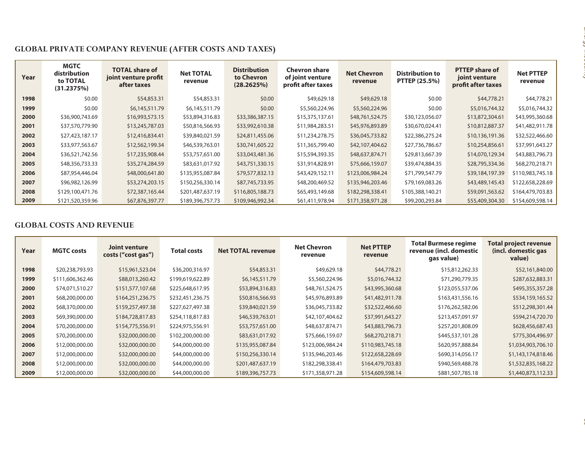| Year | <b>MGTC</b><br>distribution<br>to TOTAL<br>(31.2375%) | <b>TOTAL share of</b><br>joint venture profit<br>after taxes | <b>Net TOTAL</b><br>revenue | <b>Distribution</b><br>to Chevron<br>(28.2625%) | <b>Chevron share</b><br>of joint venture<br>profit after taxes | <b>Net Chevron</b><br>revenue | <b>Distribution to</b><br><b>PTTEP (25.5%)</b> | <b>PTTEP share of</b><br>joint venture<br>profit after taxes | <b>Net PTTEP</b><br>revenue |
|------|-------------------------------------------------------|--------------------------------------------------------------|-----------------------------|-------------------------------------------------|----------------------------------------------------------------|-------------------------------|------------------------------------------------|--------------------------------------------------------------|-----------------------------|
| 1998 | \$0.00                                                | \$54,853.31                                                  | \$54,853.31                 | \$0.00                                          | \$49,629.18                                                    | \$49,629.18                   | \$0.00                                         | \$44,778.21                                                  | \$44,778.21                 |
| 1999 | \$0.00                                                | \$6,145,511.79                                               | \$6,145,511.79              | \$0.00                                          | \$5,560,224.96                                                 | \$5,560,224.96                | \$0.00                                         | \$5,016,744.32                                               | \$5,016,744.32              |
| 2000 | \$36,900,743.69                                       | \$16,993,573.15                                              | \$53,894,316.83             | \$33,386,387.15                                 | \$15,375,137.61                                                | \$48,761,524.75               | \$30,123,056.07                                | \$13,872,304.61                                              | \$43,995,360.68             |
| 2001 | \$37,570,779.90                                       | \$13,245,787.03                                              | \$50,816,566.93             | \$33,992,610.38                                 | \$11,984,283.51                                                | \$45,976,893.89               | \$30,670,024.41                                | \$10,812,887.37                                              | \$41,482,911.78             |
| 2002 | \$27,423,187.17                                       | \$12,416,834.41                                              | \$39,840,021.59             | \$24,811,455.06                                 | \$11,234,278.75                                                | \$36,045,733.82               | \$22,386,275.24                                | \$10,136,191.36                                              | \$32,522,466.60             |
| 2003 | \$33,977,563.67                                       | \$12,562,199.34                                              | \$46,539,763.01             | \$30,741,605.22                                 | \$11,365,799.40                                                | \$42,107,404.62               | \$27,736,786.67                                | \$10,254,856.61                                              | \$37,991,643.27             |
| 2004 | \$36,521,742.56                                       | \$17,235,908.44                                              | \$53,757,651.00             | \$33,043,481.36                                 | \$15,594,393.35                                                | \$48,637,874.71               | \$29,813,667.39                                | \$14,070,129.34                                              | \$43,883,796.73             |
| 2005 | \$48,356,733.33                                       | \$35,274,284.59                                              | \$83,631,017.92             | \$43,751,330.15                                 | \$31,914,828.91                                                | \$75,666,159.07               | \$39,474,884.35                                | \$28,795,334.36                                              | \$68,270,218.71             |
| 2006 | \$87,954,446.04                                       | \$48,000,641.80                                              | \$135,955,087.84            | \$79,577,832.13                                 | \$43,429,152.11                                                | \$123,006,984.24              | \$71,799,547.79                                | \$39,184,197.39                                              | \$110,983,745.18            |
| 2007 | \$96,982,126.99                                       | \$53,274,203.15                                              | \$150,256,330.14            | \$87,745,733.95                                 | \$48,200,469.52                                                | \$135,946,203.46              | \$79,169,083.26                                | \$43,489,145.43                                              | \$122,658,228.69            |
| 2008 | \$129,100,471.76                                      | \$72,387,165.44                                              | \$201,487,637.19            | \$116,805,188.73                                | \$65,493,149.68                                                | \$182,298,338.41              | \$105,388,140.21                               | \$59,091,563.62                                              | \$164,479,703.83            |
|      |                                                       |                                                              |                             |                                                 |                                                                |                               |                                                |                                                              |                             |

 $\ldots$  . The second  $\ell$ 

| Year                                                         | <b>MGTC</b><br>distribution<br>to TOTAL<br>(31.2375%) | <b>TOTAL share of</b><br>joint venture profit<br>after taxes | <b>Net TOTAL</b><br>revenue        | <b>Distribution</b><br>to Chevron<br>(28.2625%) | <b>Chevron share</b><br>of joint venture<br>profit after taxes | <b>Net Chevron</b><br>revenue        | <b>Distribution to</b><br>PTTEP (25.5%)        | <b>PTTEP share of</b><br>joint venture<br>profit after taxes | <b>Net PTTEP</b><br>revenue                                                                                                     |
|--------------------------------------------------------------|-------------------------------------------------------|--------------------------------------------------------------|------------------------------------|-------------------------------------------------|----------------------------------------------------------------|--------------------------------------|------------------------------------------------|--------------------------------------------------------------|---------------------------------------------------------------------------------------------------------------------------------|
| 1998                                                         | \$0.00                                                | \$54,853.31                                                  | \$54,853.31                        | \$0.00                                          | \$49,629.18                                                    | \$49,629.18                          | \$0.00                                         | \$44,778.21                                                  | \$44,778.21                                                                                                                     |
| 1999                                                         | \$0.00                                                | \$6,145,511.79                                               | \$6,145,511.79                     | \$0.00                                          | \$5,560,224.96                                                 | \$5,560,224.96                       | \$0.00                                         | \$5,016,744.32                                               | \$5,016,744.32                                                                                                                  |
| 2000                                                         | \$36,900,743.69                                       | \$16,993,573.15                                              | \$53,894,316.83                    | \$33,386,387.15                                 | \$15,375,137.61                                                | \$48,761,524.75                      | \$30,123,056.07                                | \$13,872,304.61                                              | \$43,995,360.68                                                                                                                 |
| 2001                                                         | \$37,570,779.90                                       | \$13,245,787.03                                              | \$50,816,566.93                    | \$33,992,610.38                                 | \$11,984,283.51                                                | \$45,976,893.89                      | \$30,670,024.41                                | \$10,812,887.37                                              | \$41,482,911.78                                                                                                                 |
| 2002                                                         | \$27,423,187.17                                       | \$12,416,834.41                                              | \$39,840,021.59                    | \$24,811,455.06                                 | \$11,234,278.75                                                | \$36,045,733.82                      | \$22,386,275.24                                | \$10,136,191.36                                              | \$32,522,466.60                                                                                                                 |
| 2003                                                         | \$33,977,563.67                                       | \$12,562,199.34                                              | \$46,539,763.01                    | \$30,741,605.22                                 | \$11,365,799.40                                                | \$42,107,404.62                      | \$27,736,786.67                                | \$10,254,856.61                                              | \$37,991,643.27                                                                                                                 |
| 2004                                                         | \$36,521,742.56                                       | \$17,235,908.44                                              | \$53,757,651.00                    | \$33,043,481.36                                 | \$15,594,393.35                                                | \$48,637,874.71                      | \$29,813,667.39                                | \$14,070,129.34                                              | \$43,883,796.73                                                                                                                 |
| 2005                                                         | \$48,356,733.33                                       | \$35,274,284.59                                              | \$83,631,017.92                    | \$43,751,330.15                                 | \$31,914,828.91                                                | \$75,666,159.07                      | \$39,474,884.35                                | \$28,795,334.36                                              | \$68,270,218.71                                                                                                                 |
| 2006                                                         | \$87,954,446.04                                       | \$48,000,641.80                                              | \$135,955,087.84                   | \$79,577,832.13                                 | \$43,429,152.11                                                | \$123,006,984.24                     | \$71,799,547.79                                | \$39,184,197.39                                              | \$110,983,745.18                                                                                                                |
| 2007                                                         | \$96,982,126.99                                       | \$53,274,203.15                                              | \$150,256,330.14                   | \$87,745,733.95                                 | \$48,200,469.52                                                | \$135,946,203.46                     | \$79,169,083.26                                | \$43,489,145.43                                              | \$122,658,228.69                                                                                                                |
|                                                              |                                                       |                                                              | \$201,487,637.19                   | \$116,805,188.73                                | \$65,493,149.68                                                | \$182,298,338.41                     | \$105,388,140.21                               | \$59,091,563.62                                              | \$164,479,703.83                                                                                                                |
|                                                              | \$129,100,471.76                                      | \$72,387,165.44                                              |                                    |                                                 |                                                                |                                      |                                                |                                                              |                                                                                                                                 |
| 2008<br>2009                                                 | \$121,520,359.96<br><b>GLOBAL COSTS AND REVENUE</b>   | \$67,876,397.77<br><b>Joint venture</b>                      | \$189,396,757.73                   | \$109,946,992.34                                | \$61,411,978.94<br><b>Net Chevron</b>                          | \$171,358,971.28<br><b>Net PTTEP</b> | \$99,200,293.84<br><b>Total Burmese regime</b> | \$55,409,304.30                                              |                                                                                                                                 |
| Year                                                         | <b>MGTC costs</b>                                     | costs ("cost gas")                                           | <b>Total costs</b>                 | <b>Net TOTAL revenue</b>                        | revenue                                                        | revenue                              | revenue (incl. domestic<br>gas value)          |                                                              | (incl. domestic gas<br>value)                                                                                                   |
|                                                              | \$20,238,793.93                                       | \$15,961,523.04                                              | \$36,200,316.97                    | \$54,853.31                                     | \$49,629.18                                                    | \$44,778.21                          |                                                | \$15,812,262.33                                              |                                                                                                                                 |
|                                                              | \$111,606,362.46                                      | \$88,013,260.42                                              | \$199,619,622.89                   | \$6,145,511.79                                  | \$5,560,224.96                                                 | \$5,016,744.32                       |                                                | \$71,290,779.35                                              |                                                                                                                                 |
|                                                              | \$74,071,510.27                                       | \$151,577,107.68                                             | \$225,648,617.95                   | \$53,894,316.83                                 | \$48,761,524.75                                                | \$43,995,360.68                      |                                                | \$123,055,537.06                                             |                                                                                                                                 |
|                                                              | \$68,200,000.00                                       | \$164,251,236.75                                             | \$232,451,236.75                   | \$50,816,566.93                                 | \$45,976,893.89                                                | \$41,482,911.78                      |                                                | \$163,431,556.16                                             | \$154,609,598.14<br><b>Total project revenue</b><br>\$52,161,840.00<br>\$287,632,883.31<br>\$495,355,357.28<br>\$534,159,165.52 |
|                                                              | \$68,370,000.00                                       | \$159,257,497.38                                             | \$227,627,497.38                   | \$39,840,021.59                                 | \$36,045,733.82                                                | \$32,522,466.60                      |                                                | \$176,262,582.06                                             | \$512,298,301.44                                                                                                                |
|                                                              | \$69,390,000.00                                       | \$184,728,817.83                                             | \$254,118,817.83                   | \$46,539,763.01                                 | \$42,107,404.62                                                | \$37,991,643.27                      |                                                | \$213,457,091.97                                             | \$594,214,720.70                                                                                                                |
|                                                              | \$70,200,000.00                                       | \$154,775,556.91                                             | \$224,975,556.91                   | \$53,757,651.00                                 | \$48,637,874.71                                                | \$43,883,796.73                      |                                                | \$257,201,808.09                                             | \$628,456,687.43                                                                                                                |
| 1998<br>1999<br>2000<br>2001<br>2002<br>2003<br>2004<br>2005 | \$70,200,000.00                                       | \$32,000,000.00                                              | \$102,200,000.00                   | \$83,631,017.92                                 | \$75,666,159.07                                                | \$68,270,218.71                      |                                                | \$445,537,101.28                                             |                                                                                                                                 |
|                                                              | \$12,000,000.00                                       | \$32,000,000.00                                              | \$44,000,000.00                    | \$135,955,087.84                                | \$123,006,984.24                                               | \$110,983,745.18                     |                                                | \$620,957,888.84                                             |                                                                                                                                 |
|                                                              | \$12,000,000.00                                       | \$32,000,000.00                                              | \$44,000,000.00                    | \$150,256,330.14                                | \$135,946,203.46                                               | \$122,658,228.69                     |                                                | \$690,314,056.17                                             |                                                                                                                                 |
| 2006<br>2007<br>2008<br>2009                                 | \$12,000,000.00<br>\$12,000,000.00                    | \$32,000,000.00<br>\$32,000,000.00                           | \$44,000,000.00<br>\$44,000,000.00 | \$201,487,637.19<br>\$189,396,757.73            | \$182,298,338.41<br>\$171,358,971.28                           | \$164,479,703.83<br>\$154,609,598.14 |                                                | \$940,569,488.78<br>\$881,507,785.18                         | \$775,304,496.97<br>\$1,034,903,706.10<br>\$1,143,174,818.46<br>\$1,532,835,168.22<br>\$1,440,873,112.33                        |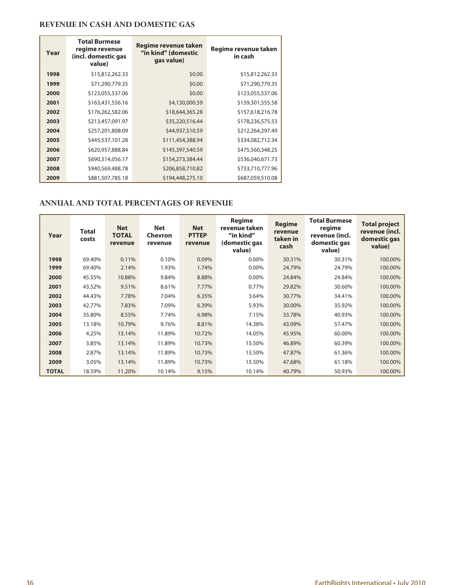### **REVENUE IN CASH AND DOMESTIC GAS**

| Year | <b>Total Burmese</b><br>regime revenue<br>(incl. domestic gas<br>value) | Regime revenue taken<br>"in kind" (domestic<br>gas value) | Regime revenue taken<br>in cash |
|------|-------------------------------------------------------------------------|-----------------------------------------------------------|---------------------------------|
| 1998 | \$15,812,262.33                                                         | \$0.00                                                    | \$15,812,262.33                 |
| 1999 | \$71,290,779.35                                                         | \$0.00                                                    | \$71,290,779.35                 |
| 2000 | \$123,055,537.06                                                        | \$0.00                                                    | \$123,055,537.06                |
| 2001 | \$163,431,556.16                                                        | \$4,130,000.59                                            | \$159,301,555.58                |
| 2002 | \$176,262,582.06                                                        | \$18,644,365.28                                           | \$157,618,216.78                |
| 2003 | \$213,457,091.97                                                        | \$35,220,516.44                                           | \$178,236,575.53                |
| 2004 | \$257,201,808.09                                                        | \$44,937,510.59                                           | \$212,264,297.49                |
| 2005 | \$445,537,101.28                                                        | \$111,454,388.94                                          | \$334,082,712.34                |
| 2006 | \$620,957,888.84                                                        | \$145,397,540.59                                          | \$475,560,348.25                |
| 2007 | \$690,314,056.17                                                        | \$154,273,384.44                                          | \$536,040,671.73                |
| 2008 | \$940,569,488.78                                                        | \$206,858,710.82                                          | \$733,710,777.96                |
| 2009 | \$881,507,785.18                                                        | \$194,448,275.10                                          | \$687,059,510.08                |

### **ANNUAL AND TOTAL PERCENTAGES OF REVENUE**

| Year         | <b>Total</b><br>costs | <b>Net</b><br><b>TOTAL</b><br>revenue | <b>Net</b><br>Chevron<br>revenue | <b>Net</b><br><b>PTTEP</b><br>revenue | <b>Regime</b><br>revenue taken<br>"in kind"<br>(domestic gas<br>value) | <b>Regime</b><br>revenue<br>taken in<br>cash | <b>Total Burmese</b><br>regime<br>revenue (incl.<br>domestic gas<br>value) | <b>Total project</b><br>revenue (incl.<br>domestic gas<br>value) |
|--------------|-----------------------|---------------------------------------|----------------------------------|---------------------------------------|------------------------------------------------------------------------|----------------------------------------------|----------------------------------------------------------------------------|------------------------------------------------------------------|
| 1998         | 69.40%                | 0.11%                                 | 0.10%                            | 0.09%                                 | 0.00%                                                                  | 30.31%                                       | 30.31%                                                                     | 100.00%                                                          |
| 1999         | 69.40%                | 2.14%                                 | 1.93%                            | 1.74%                                 | 0.00%                                                                  | 24.79%                                       | 24.79%                                                                     | 100.00%                                                          |
| 2000         | 45.55%                | 10.88%                                | 9.84%                            | 8.88%                                 | 0.00%                                                                  | 24.84%                                       | 24.84%                                                                     | 100.00%                                                          |
| 2001         | 43.52%                | 9.51%                                 | 8.61%                            | 7.77%                                 | 0.77%                                                                  | 29.82%                                       | 30.60%                                                                     | 100.00%                                                          |
| 2002         | 44.43%                | 7.78%                                 | 7.04%                            | 6.35%                                 | 3.64%                                                                  | 30.77%                                       | 34.41%                                                                     | 100.00%                                                          |
| 2003         | 42.77%                | 7.83%                                 | 7.09%                            | 6.39%                                 | 5.93%                                                                  | 30.00%                                       | 35.92%                                                                     | 100.00%                                                          |
| 2004         | 35.80%                | 8.55%                                 | 7.74%                            | 6.98%                                 | 7.15%                                                                  | 33.78%                                       | 40.93%                                                                     | 100.00%                                                          |
| 2005         | 13.18%                | 10.79%                                | 9.76%                            | 8.81%                                 | 14.38%                                                                 | 43.09%                                       | 57.47%                                                                     | 100.00%                                                          |
| 2006         | 4.25%                 | 13.14%                                | 11.89%                           | 10.72%                                | 14.05%                                                                 | 45.95%                                       | 60.00%                                                                     | 100.00%                                                          |
| 2007         | 3.85%                 | 13.14%                                | 11.89%                           | 10.73%                                | 13.50%                                                                 | 46.89%                                       | 60.39%                                                                     | 100.00%                                                          |
| 2008         | 2.87%                 | 13.14%                                | 11.89%                           | 10.73%                                | 13.50%                                                                 | 47.87%                                       | 61.36%                                                                     | 100.00%                                                          |
| 2009         | 3.05%                 | 13.14%                                | 11.89%                           | 10.73%                                | 13.50%                                                                 | 47.68%                                       | 61.18%                                                                     | 100.00%                                                          |
| <b>TOTAL</b> | 18.59%                | 11.20%                                | 10.14%                           | 9.15%                                 | 10.14%                                                                 | 40.79%                                       | 50.93%                                                                     | 100.00%                                                          |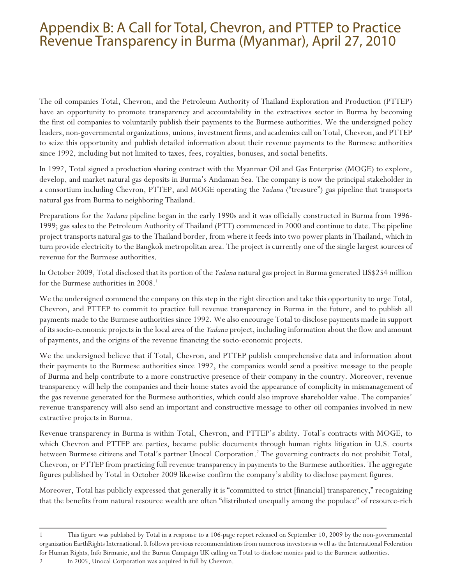## Appendix B: A Call for Total, Chevron, and PTTEP to Practice Revenue Transparency in Burma (Myanmar), April 27, 2010

The oil companies Total, Chevron, and the Petroleum Authority of Thailand Exploration and Production (PTTEP) have an opportunity to promote transparency and accountability in the extractives sector in Burma by becoming the first oil companies to voluntarily publish their payments to the Burmese authorities. We the undersigned policy leaders, non-governmental organizations, unions, investment firms, and academics call on Total, Chevron, and PTTEP to seize this opportunity and publish detailed information about their revenue payments to the Burmese authorities since 1992, including but not limited to taxes, fees, royalties, bonuses, and social benefits.

In 1992, Total signed a production sharing contract with the Myanmar Oil and Gas Enterprise (MOGE) to explore, develop, and market natural gas deposits in Burma's Andaman Sea. The company is now the principal stakeholder in a consortium including Chevron, PTTEP, and MOGE operating the *Yadana* ("treasure") gas pipeline that transports natural gas from Burma to neighboring Thailand.

Preparations for the *Yadana* pipeline began in the early 1990s and it was officially constructed in Burma from 1996- 1999; gas sales to the Petroleum Authority of Thailand (PTT) commenced in 2000 and continue to date. The pipeline project transports natural gas to the Thailand border, from where it feeds into two power plants in Thailand, which in turn provide electricity to the Bangkok metropolitan area. The project is currently one of the single largest sources of revenue for the Burmese authorities.

In October 2009, Total disclosed that its portion of the *Yadana* natural gas project in Burma generated US\$254 million for the Burmese authorities in 2008.<sup>1</sup>

We the undersigned commend the company on this step in the right direction and take this opportunity to urge Total, Chevron, and PTTEP to commit to practice full revenue transparency in Burma in the future, and to publish all payments made to the Burmese authorities since 1992. We also encourage Total to disclose payments made in support of its socio-economic projects in the local area of the *Yadana* project, including information about the flow and amount of payments, and the origins of the revenue financing the socio-economic projects.

We the undersigned believe that if Total, Chevron, and PTTEP publish comprehensive data and information about their payments to the Burmese authorities since 1992, the companies would send a positive message to the people of Burma and help contribute to a more constructive presence of their company in the country. Moreover, revenue transparency will help the companies and their home states avoid the appearance of complicity in mismanagement of the gas revenue generated for the Burmese authorities, which could also improve shareholder value. The companies' revenue transparency will also send an important and constructive message to other oil companies involved in new extractive projects in Burma.

Revenue transparency in Burma is within Total, Chevron, and PTTEP's ability. Total's contracts with MOGE, to which Chevron and PTTEP are parties, became public documents through human rights litigation in U.S. courts between Burmese citizens and Total's partner Unocal Corporation.<sup>2</sup> The governing contracts do not prohibit Total, Chevron, or PTTEP from practicing full revenue transparency in payments to the Burmese authorities. The aggregate figures published by Total in October 2009 likewise confirm the company's ability to disclose payment figures.

Moreover, Total has publicly expressed that generally it is "committed to strict [financial] transparency," recognizing that the benefits from natural resource wealth are often "distributed unequally among the populace" of resource-rich

<sup>1</sup> This figure was published by Total in a response to a 106-page report released on September 10, 2009 by the non-governmental organization EarthRights International. It follows previous recommendations from numerous investors as well as the International Federation for Human Rights, Info Birmanie, and the Burma Campaign UK calling on Total to disclose monies paid to the Burmese authorities. 2 In 2005, Unocal Corporation was acquired in full by Chevron.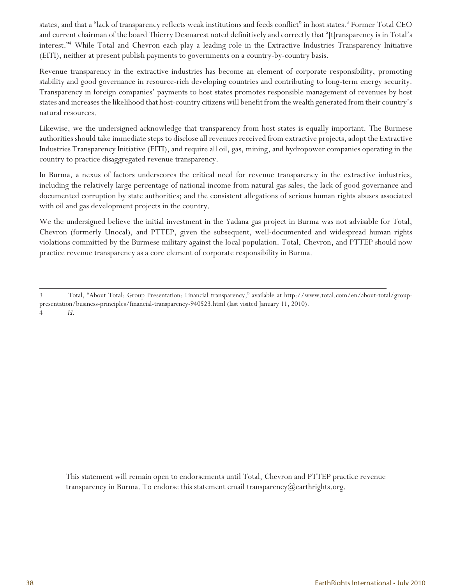states, and that a "lack of transparency reflects weak institutions and feeds conflict" in host states.<sup>3</sup> Former Total CEO and current chairman of the board Thierry Desmarest noted definitively and correctly that "[t]ransparency is in Total's interest."<sup>4</sup> While Total and Chevron each play a leading role in the Extractive Industries Transparency Initiative (EITI), neither at present publish payments to governments on a country-by-country basis.

Revenue transparency in the extractive industries has become an element of corporate responsibility, promoting stability and good governance in resource-rich developing countries and contributing to long-term energy security. Transparency in foreign companies' payments to host states promotes responsible management of revenues by host states and increases the likelihood that host-country citizens will benefit from the wealth generated from their country's natural resources.

Likewise, we the undersigned acknowledge that transparency from host states is equally important. The Burmese authorities should take immediate steps to disclose all revenues received from extractive projects, adopt the Extractive Industries Transparency Initiative (EITI), and require all oil, gas, mining, and hydropower companies operating in the country to practice disaggregated revenue transparency.

In Burma, a nexus of factors underscores the critical need for revenue transparency in the extractive industries, including the relatively large percentage of national income from natural gas sales; the lack of good governance and documented corruption by state authorities; and the consistent allegations of serious human rights abuses associated with oil and gas development projects in the country.

We the undersigned believe the initial investment in the Yadana gas project in Burma was not advisable for Total, Chevron (formerly Unocal), and PTTEP, given the subsequent, well-documented and widespread human rights violations committed by the Burmese military against the local population. Total, Chevron, and PTTEP should now practice revenue transparency as a core element of corporate responsibility in Burma.

This statement will remain open to endorsements until Total, Chevron and PTTEP practice revenue transparency in Burma. To endorse this statement email transparency@earthrights.org.

<sup>3</sup> Total, "About Total: Group Presentation: Financial transparency," available at http://www.total.com/en/about-total/grouppresentation/business-principles/financial-transparency-940523.html (last visited January 11, 2010). 4 *Id*.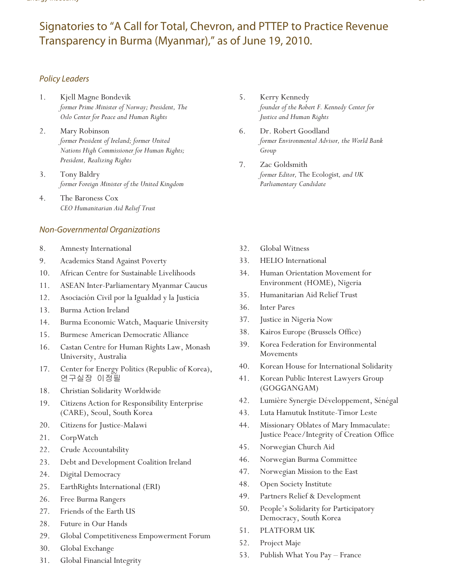## Signatories to "A Call for Total, Chevron, and PTTEP to Practice Revenue Transparency in Burma (Myanmar)," as of June 19, 2010.

### Policy Leaders

- 1. Kjell Magne Bondevik *former Prime Minister of Norway; President, The Oslo Center for Peace and Human Rights*
- 2. Mary Robinson *former President of Ireland; former United Nations High Commissioner for Human Rights; President, Realizing Rights*
- 3. Tony Baldry *former Foreign Minister of the United Kingdom*
- 4. The Baroness Cox *CEO Humanitarian Aid Relief Trust*

### Non-Governmental Organizations

- 8. Amnesty International
- 9. Academics Stand Against Poverty
- 10. African Centre for Sustainable Livelihoods
- 11. ASEAN Inter-Parliamentary Myanmar Caucus
- 12. Asociación Civil por la Igualdad y la Justicia
- 13. Burma Action Ireland
- 14. Burma Economic Watch, Maquarie University
- 15. Burmese American Democratic Alliance
- 16. Castan Centre for Human Rights Law, Monash University, Australia
- 17. Center for Energy Politics (Republic of Korea), 연구실장 이정필
- 18. Christian Solidarity Worldwide
- 19. Citizens Action for Responsibility Enterprise (CARE), Seoul, South Korea
- 20. Citizens for Justice-Malawi
- 21. CorpWatch
- 22. Crude Accountability
- 23. Debt and Development Coalition Ireland
- 24. Digital Democracy
- 25. EarthRights International (ERI)
- 26. Free Burma Rangers
- 27. Friends of the Earth US
- 28. Future in Our Hands
- 29. Global Competitiveness Empowerment Forum
- 30. Global Exchange
- 31. Global Financial Integrity
- 5. Kerry Kennedy *founder of the Robert F. Kennedy Center for Justice and Human Rights*
- 6. Dr. Robert Goodland *former Environmental Advisor, the World Bank Group*
- 7. Zac Goldsmith *former Editor,* The Ecologist*, and UK Parliamentary Candidate*
- 32. Global Witness
- 33. HELIO International
- 34. Human Orientation Movement for Environment (HOME), Nigeria
- 35. Humanitarian Aid Relief Trust
- 36. Inter Pares
- 37. Justice in Nigeria Now
- 38. Kairos Europe (Brussels Office)
- 39. Korea Federation for Environmental Movements
- 40. Korean House for International Solidarity
- 41. Korean Public Interest Lawyers Group (GOGGANGAM)
- 42. Lumière Synergie Développement, Sénégal
- 43. Luta Hamutuk Institute-Timor Leste
- 44. Missionary Oblates of Mary Immaculate: Justice Peace/Integrity of Creation Office
- 45. Norwegian Church Aid
- 46. Norwegian Burma Committee
- 47. Norwegian Mission to the East
- 48. Open Society Institute
- 49. Partners Relief & Development
- 50. People's Solidarity for Participatory Democracy, South Korea
- 51. PLATFORM UK
- 52. Project Maje
- 53. Publish What You Pay France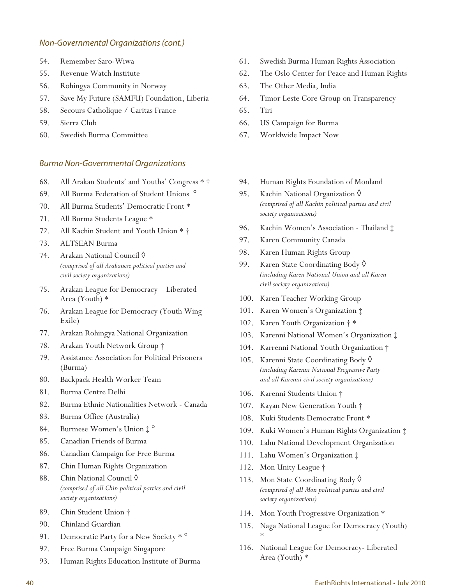### Non-Governmental Organizations (cont.)

- 54. Remember Saro-Wiwa
- 55. Revenue Watch Institute
- 56. Rohingya Community in Norway
- 57. Save My Future (SAMFU) Foundation, Liberia
- 58. Secours Catholique / Caritas France
- 59. Sierra Club
- 60. Swedish Burma Committee

### Burma Non-Governmental Organizations

- 68. All Arakan Students' and Youths' Congress \* †
- 69. All Burma Federation of Student Unions °
- 70. All Burma Students' Democratic Front \*
- 71. All Burma Students League \*
- 72. All Kachin Student and Youth Union \* †
- 73. ALTSEAN Burma
- 74. Arakan National Council ◊ *(comprised of all Arakanese political parties and civil society organizations)*
- 75. Arakan League for Democracy Liberated Area (Youth) \*
- 76. Arakan League for Democracy (Youth Wing Exile)
- 77. Arakan Rohingya National Organization
- 78. Arakan Youth Network Group †
- 79. Assistance Association for Political Prisoners (Burma)
- 80. Backpack Health Worker Team
- 81. Burma Centre Delhi
- 82. Burma Ethnic Nationalities Network Canada
- 83. Burma Office (Australia)
- 84. Burmese Women's Union ‡ °
- 85. Canadian Friends of Burma
- 86. Canadian Campaign for Free Burma
- 87. Chin Human Rights Organization
- 88. Chin National Council ♦ *(comprised of all Chin political parties and civil society organizations)*
- 89. Chin Student Union †
- 90. Chinland Guardian
- 91. Democratic Party for a New Society \*  $^{\circ}$
- 92. Free Burma Campaign Singapore
- 93. Human Rights Education Institute of Burma
- 61. Swedish Burma Human Rights Association
- 62. The Oslo Center for Peace and Human Rights
- 63. The Other Media, India
- 64. Timor Leste Core Group on Transparency
- 65. Tiri
- 66. US Campaign for Burma
- 67. Worldwide Impact Now
- 94. Human Rights Foundation of Monland
- 95. Kachin National Organization ♦ *(comprised of all Kachin political parties and civil society organizations)*
- 96. Kachin Women's Association Thailand ‡
- 97. Karen Community Canada
- 98. Karen Human Rights Group
- 99. Karen State Coordinating Body ◊ *(including Karen National Union and all Karen civil society organizations)*
- 100. Karen Teacher Working Group
- 101. Karen Women's Organization ‡
- 102. Karen Youth Organization † \*
- 103. Karenni National Women's Organization ‡
- 104. Karrenni National Youth Organization †
- 105. Karenni State Coordinating Body ◊ *(including Karenni National Progressive Party and all Karenni civil society organizations)*
- 106. Karenni Students Union †
- 107. Kayan New Generation Youth †
- 108. Kuki Students Democratic Front \*
- 109. Kuki Women's Human Rights Organization ‡
- 110. Lahu National Development Organization
- 111. Lahu Women's Organization ‡
- 112. Mon Unity League †
- 113. Mon State Coordinating Body ◊ *(comprised of all Mon political parties and civil society organizations)*
- 114. Mon Youth Progressive Organization \*
- 115. Naga National League for Democracy (Youth) \*
- 116. National League for Democracy- Liberated Area (Youth) \*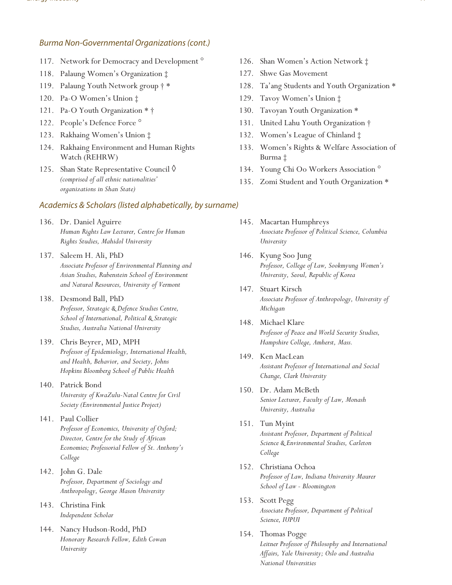### Burma Non-Governmental Organizations (cont.)

- 117. Network for Democracy and Development<sup>o</sup>
- 118. Palaung Women's Organization ‡
- 119. Palaung Youth Network group † \*
- 120. Pa-O Women's Union ‡
- 121. Pa-O Youth Organization \* †
- 122. People's Defence Force °
- 123. Rakhaing Women's Union ‡
- 124. Rakhaing Environment and Human Rights Watch (REHRW)
- 125. Shan State Representative Council ◊ *(comprised of all ethnic nationalities' organizations in Shan State)*

### Academics & Scholars (listed alphabetically, by surname)

- 136. Dr. Daniel Aguirre *Human Rights Law Lecturer, Centre for Human Rights Studies, Mahidol University*
- 137. Saleem H. Ali, PhD *Associate Professor of Environmental Planning and Asian Studies, Rubenstein School of Environment and Natural Resources, University of Vermont*
- 138. Desmond Ball, PhD *Professor, Strategic & Defence Studies Centre, School of International, Political & Strategic Studies, Australia National University*
- 139. Chris Beyrer, MD, MPH *Professor of Epidemiology, International Health, and Health, Behavior, and Society, Johns Hopkins Bloomberg School of Public Health*
- 140. Patrick Bond *University of KwaZulu-Natal Centre for Civil Society (Environmental Justice Project)*
- 141. Paul Collier *Professor of Economics, University of Oxford; Director, Centre for the Study of African Economies; Professorial Fellow of St. Anthony's College*
- 142. John G. Dale *Professor, Department of Sociology and Anthropology, George Mason University*
- 143. Christina Fink *Independent Scholar*
- 144. Nancy Hudson-Rodd, PhD *Honorary Research Fellow, Edith Cowan University*
- 126. Shan Women's Action Network ‡
- 127. Shwe Gas Movement
- 128. Ta'ang Students and Youth Organization \*
- 129. Tavoy Women's Union ‡
- 130. Tavoyan Youth Organization \*
- 131. United Lahu Youth Organization †
- 132. Women's League of Chinland ‡
- 133. Women's Rights & Welfare Association of Burma ‡
- 134. Young Chi Oo Workers Association °
- 135. Zomi Student and Youth Organization \*
- 145. Macartan Humphreys *Associate Professor of Political Science, Columbia University*
- 146. Kyung Soo Jung *Professor, College of Law, Sookmyung Women's University, Seoul, Republic of Korea*
- 147. Stuart Kirsch *Associate Professor of Anthropology, University of Michigan*
- 148. Michael Klare *Professor of Peace and World Security Studies, Hampshire College, Amherst, Mass.*
- 149. Ken MacLean *Assistant Professor of International and Social Change, Clark University*
- 150. Dr. Adam McBeth *Senior Lecturer, Faculty of Law, Monash University, Australia*
- 151. Tun Myint *Assistant Professor, Department of Political Science & Environmental Studies, Carleton College*
- 152. Christiana Ochoa *Professor of Law, Indiana University Maurer School of Law - Bloomington*
- 153. Scott Pegg *Associate Professor, Department of Political Science, IUPUI*
- 154. Thomas Pogge *Leitner Professor of Philosophy and International Affairs, Yale University; Oslo and Australia National Universities*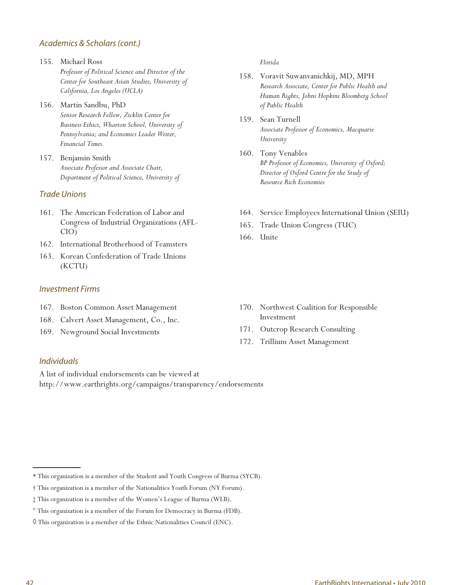### Academics & Scholars (cont.)

- 155. Michael Ross *Professor of Political Science and Director of the Center for Southeast Asian Studies, University of California, Los Angeles (UCLA)*
- 156. Martin Sandbu, PhD *Senior Research Fellow, Zicklin Center for Business Ethics, Wharton School, University of Pennsylvania; and Economics Leader Writer, Financial Times.*
- 157. Benjamin Smith *Associate Professor and Associate Chair, Department of Political Science, University of*

### Trade Unions

- 161. The American Federation of Labor and Congress of Industrial Organizations (AFL-CIO)
- 162. International Brotherhood of Teamsters
- 163. Korean Confederation of Trade Unions (KCTU)

### Investment Firms

- 167. Boston Common Asset Management
- 168. Calvert Asset Management, Co., Inc.
- 169. Newground Social Investments

### *Florida*

- 158. Voravit Suwanvanichkij, MD, MPH *Research Associate, Center for Public Health and Human Rights, Johns Hopkins Bloomberg School of Public Health*
- 159. Sean Turnell *Associate Professor of Economics, Macquarie University*
- 160. Tony Venables *BP Professor of Economics, University of Oxford; Director of Oxford Centre for the Study of Resource Rich Economies*
- 164. Service Employees International Union (SEIU)
- 165. Trade Union Congress (TUC)
- 166. Unite

- 170. Northwest Coalition for Responsible Investment
- 171. Outcrop Research Consulting
- 172. Trillium Asset Management

### Individuals

A list of individual endorsements can be viewed at http://www.earthrights.org/campaigns/transparency/endorsements

<sup>\*</sup> This organization is a member of the Student and Youth Congress of Burma (SYCB).

<sup>†</sup> This organization is a member of the Nationalities Youth Forum (NY Forum).

<sup>‡</sup> This organization is a member of the Women's League of Burma (WLB).

<sup>°</sup> This organization is a member of the Forum for Democracy in Burma (FDB).

<sup>◊</sup> This organization is a member of the Ethnic Nationalities Council (ENC).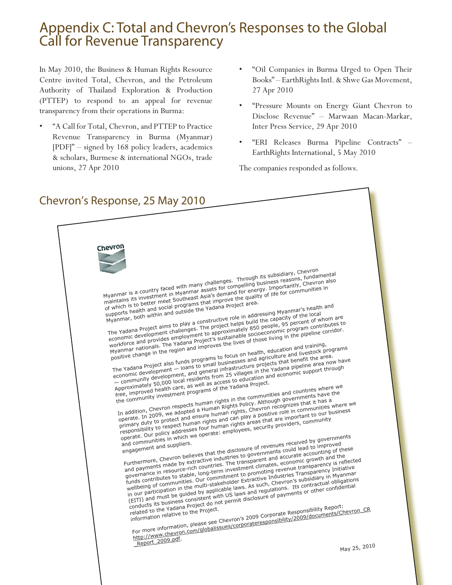## Appendix C: Total and Chevron's Responses to the Global **Call for Revenue Transparency**

In May 2010, the Business & Human Rights Resource Centre invited Total, Chevron, and the Petroleum Authority of Thailand Exploration & Production (PTTEP) to respond to an appeal for revenue transparency from their operations in Burma:

- "A Call for Total, Chevron, and PTTEP to Practice Revenue Transparency in Burma (Myanmar) [PDF]" – signed by 168 policy leaders, academics & scholars, Burmese & international NGOs, trade unions, 27 Apr 2010
- "Oil Companies in Burma Urged to Open Their Books" – EarthRights Intl. & Shwe Gas Movement, 27 Apr 2010
- "Pressure Mounts on Energy Giant Chevron to Disclose Revenue" – Marwaan Macan-Markar, Inter Press Service, 29 Apr 2010
- "ERI Releases Burma Pipeline Contracts" EarthRights International, 5 May 2010

The companies responded as follows.

## Chevron's Response, 25 May 2010

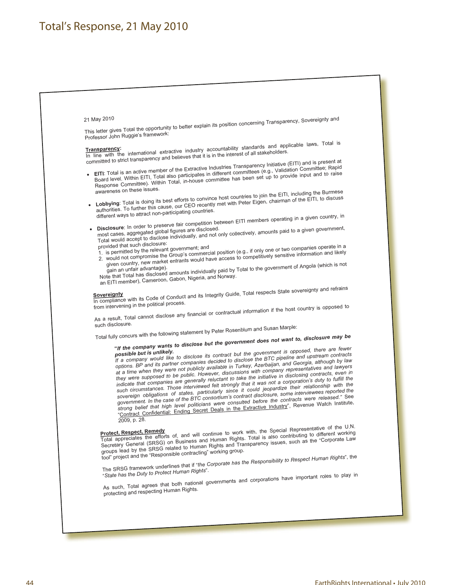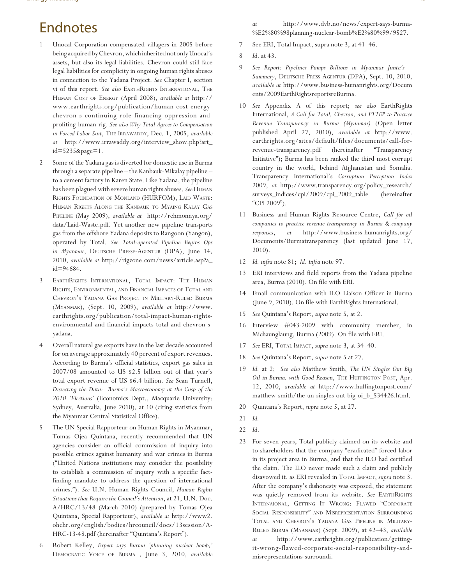## Endnotes

- 1 Unocal Corporation compensated villagers in 2005 before being acquired by Chevron, which inherited not only Unocal's assets, but also its legal liabilities. Chevron could still face legal liabilities for complicity in ongoing human rights abuses in connection to the Yadana Project. *See* Chapter I, section vi of this report. *See also* EARTHRIGHTS INTERNATIONAL, THE HUMAN COST OF ENERGY (April 2008), *available at* http:// www.earthrights.org/publication/human-cost-energychevron-s-continuing-role-financing-oppression-andprofiting-human-rig. *See also Why Total Agrees to Compensation in Forced Labor Suit*, THE IRRAWADDY, Dec. 1, 2005, *available at* http://www.irrawaddy.org/interview\_show.php?art\_ id=5235&page=1.
- 2 Some of the Yadana gas is diverted for domestic use in Burma through a separate pipeline – the Kanbauk-Mikalay pipeline – to a cement factory in Karen State. Like Yadana, the pipeline has been plagued with severe human rights abuses. *See* HUMAN RIGHTS FOUNDATION OF MONLAND (HURFOM), LAID WASTE: HUMAN RIGHTS ALONG THE KANBAUK TO MYAING KALAY GAS PIPELINE (May 2009), *available at* http://rehmonnya.org/ data/Laid-Waste.pdf. Yet another new pipeline transports gas from the offshore Yadana deposits to Rangoon (Yangon), operated by Total. *See Total-operated Pipeline Begins Ops in Myanmar*, DEUTSCHE PRESSE-AGENTUR (DPA), June 14, 2010, *available at* http://rigzone.com/news/article.asp?a\_ id=94684.
- 3 EARTHRIGHTS INTERNATIONAL, TOTAL IMPACT: THE HUMAN RIGHTS, ENVIRONMENTAL, AND FINANCIAL IMPACTS OF TOTAL AND CHEVRON'S YADANA GAS PROJECT IN MILITARY-RULED BURMA (MYANMAR), (Sept. 10, 2009), *available at* http://www. earthrights.org/publication/total-impact-human-rightsenvironmental-and-financial-impacts-total-and-chevron-syadana.
- 4 Overall natural gas exports have in the last decade accounted for on average approximately 40 percent of export revenues. According to Burma's official statistics, export gas sales in 2007/08 amounted to US \$2.5 billion out of that year's total export revenue of US \$6.4 billion. *See* Sean Turnell, *Dissecting the Data: Burma's Macroeconomy at the Cusp of the 2010 'Elections'* (Economics Dept., Macquarie University: Sydney, Australia, June 2010), at 10 (citing statistics from the Myanmar Central Statistical Office).
- 5 The UN Special Rapporteur on Human Rights in Myanmar, Tomas Ojea Quintana, recently recommended that UN agencies consider an official commission of inquiry into possible crimes against humanity and war crimes in Burma ("United Nations institutions may consider the possibility to establish a commission of inquiry with a specific factfinding mandate to address the question of international crimes."). *See* U.N. Human Rights Council, *Human Rights Situations that Require the Council's Attention*, at 21, U.N. Doc. A/HRC/13/48 (March 2010) (prepared by Tomas Ojea Quintana, Special Rapporteur), *available at* http://www2. ohchr.org/english/bodies/hrcouncil/docs/13session/A-HRC-13-48.pdf (hereinafter "Quintana's Report").
- 6 Robert Kelley, *Expert says Burma 'planning nuclear bomb,'* DEMOCRATIC VOICE OF BURMA , June 3, 2010, *available*

*at* http://www.dvb.no/news/expert-says-burma- %E2%80%98planning-nuclear-bomb%E2%80%99/9527.

- 7 See ERI, Total Impact, supra note 3, at 41–46.
- 8 *Id*. at 43.
- 9 *See Report: Pipelines Pumps Billions in Myanmar Junta's Summary*, DEUTSCHE PRESS-AGENTUR (DPA), Sept. 10, 2010, *available at* http://www.business-humanrights.org/Docum ents/2009EarthRightsreportsreBurma.
- 10 *See* Appendix A of this report; *see also* EarthRights International, *A Call for Total, Chevron, and PTTEP to Practice Revenue Transparency in Burma (Myanmar)* (Open letter published April 27, 2010), *available at* http://www. earthrights.org/sites/default/files/documents/call-forrevenue-transparency.pdf (hereinafter "Transparency Initiative"); Burma has been ranked the third most corrupt country in the world, behind Afghanistan and Somalia. Transparency International's *Corruption Perception Index* 2009, *at* http://www.transparency.org/policy\_research/ surveys\_indices/cpi/2009/cpi\_2009\_table (hereinafter "CPI 2009").
- 11 Business and Human Rights Resource Centre, *Call for oil companies to practice revenue transparency in Burma & company responses*, *at* http://www.business-humanrights.org/ Documents/Burmatransparency (last updated June 17, 2010).
- 12 *Id. infra* note 81; *Id*. *infra* note 97.
- 13 ERI interviews and field reports from the Yadana pipeline area, Burma (2010). On file with ERI.
- 14 Email communication with ILO Liaison Officer in Burma (June 9, 2010). On file with EarthRights International.
- 15 *See* Quintana's Report, *supra* note 5, at 2.
- 16 Interview #043-2009 with community member, in Michaunglaung, Burma (2009). On file with ERI.
- 17 *See* ERI, TOTAL IMPACT, *supra* note 3, at 34–40.
- 18 *See* Quintana's Report, *supra* note 5 at 27.
- 19 *Id.* at 2; *See also* Matthew Smith, *The UN Singles Out Big Oil in Burma, with Good Reason*, THE HUFFINGTON POST, Apr. 12, 2010, *available at* http://www.huffingtonpost.com/ matthew-smith/the-un-singles-out-big-oi\_b\_534426.html.
- 20 Quintana's Report, *supra* note 5, at 27.
- 21 *Id.*
- 22 *Id*.
- 23 For seven years, Total publicly claimed on its website and to shareholders that the company "eradicated" forced labor in its project area in Burma, and that the ILO had certified the claim. The ILO never made such a claim and publicly disavowed it, as ERI revealed in TOTAL IMPACT, *supra* note 3. After the company's dishonesty was exposed, the statement was quietly removed from its website. *See* EARTHRIGHTS INTERNAIONAL, GETTING IT WRONG: FLAWED "CORPORATE SOCIAL RESPONSIBILITY" AND MISREPRESENTATION SURROUNDING TOTAL AND CHEVRON'S YADANA GAS PIPELINE IN MILITARY-RULED BURMA (MYANMAR) (Sept. 2009), at 42–43, *available at* http://www.earthrights.org/publication/gettingit-wrong-flawed-corporate-social-responsibility-andmisrepresentations-surroundi.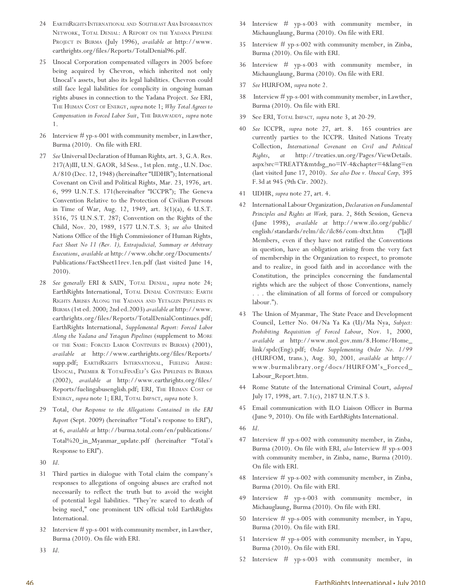- 24 EARTHRIGHTS INTERNATIONAL AND SOUTHEAST ASIA INFORMATION NETWORK, TOTAL DENIAL: A REPORT ON THE YADANA PIPELINE PROJECT IN BURMA (July 1996), *available at* http://www. earthrights.org/files/Reports/TotalDenial96.pdf.
- 25 Unocal Corporation compensated villagers in 2005 before being acquired by Chevron, which inherited not only Unocal's assets, but also its legal liabilities. Chevron could still face legal liabilities for complicity in ongoing human rights abuses in connection to the Yadana Project. *See* ERI, THE HUMAN COST OF ENERGY, *supra* note 1; *Why Total Agrees to Compensation in Forced Labor Suit*, THE IRRAWADDY, *supra* note 1.
- 26 Interview # yp-s-001 with community member, in Lawther, Burma (2010). On file with ERI.
- 27 *See* Universal Declaration of Human Rights*,* art. 3, G.A. Res. 217(A)III, U.N. GAOR, 3d Sess., 1st plen. mtg., U.N. Doc. A/810 (Dec. 12, 1948) (hereinafter "UDHR"); International Covenant on Civil and Political Rights, Mar. 23, 1976, art. 6, 999 U.N.T.S. 171(hereinafter "ICCPR"); The Geneva Convention Relative to the Protection of Civilian Persons in Time of War, Aug. 12, 1949, art. 3(1)(a), 6 U.S.T. 3516, 75 U.N.S.T. 287; Convention on the Rights of the Child, Nov. 20, 1989, 1577 U.N.T.S. 3; *see also* United Nations Office of the High Commissioner of Human Rights, *Fact Sheet No 11 (Rev. 1), Extrajudicial, Summary or Arbitrary Executions*, *available at* http://www.ohchr.org/Documents/ Publications/FactSheet11rev.1en.pdf (last visited June 14, 2010).
- 28 *See* g*enerally* ERI & SAIN, TOTAL DENIAL, *supra* note 24; EarthRights International, TOTAL DENIAL CONTINUES: EARTH RIGHTS ABUSES ALONG THE YADANA AND YETAGUN PIPELINES IN BURMA (1st ed. 2000; 2nd ed.2003) *available at* http://www. earthrights.org/files/Reports/TotalDenialContinues.pdf; EarthRights International, *Supplemental Report: Forced Labor Along the Yadana and Yetagun Pipelines* (supplement to MORE OF THE SAME: FORCED LABOR CONTINUES IN BURMA) (2001), *available at* http://www.earthrights.org/files/Reports/ supp.pdf; EARTHRIGHTS INTERNATIONAL, FUELING ABUSE: UNOCAL, PREMIER & TOTALFINAELF'S GAS PIPELINES IN BURMA (2002), *available at* http://www.earthrights.org/files/ Reports/fuelingabusenglish.pdf; ERI, THE HUMAN COST OF ENERGY, *supra* note 1; ERI, TOTAL IMPACT, *supra* note 3.
- 29 Total, *Our Response to the Allegations Contained in the ERI Report* (Sept. 2009) (hereinafter "Total's response to ERI"), at 6, *available at* http://burma.total.com/en/publications/ Total%20\_in\_Myanmar\_update.pdf (hereinafter "Total's Response to ERI").
- 30 *Id*.
- 31 Third parties in dialogue with Total claim the company's responses to allegations of ongoing abuses are crafted not necessarily to reflect the truth but to avoid the weight of potential legal liabilities. "They're scared to death of being sued," one prominent UN official told EarthRights International.
- Interview  $\#$  yp-s-001 with community member, in Lawther, Burma (2010). On file with ERI.
- 33 *Id*.
- 34 Interview # yp-s-003 with community member, in Michaunglaung, Burma (2010). On file with ERI.
- 35 Interview # yp-s-002 with community member, in Zinba, Burma (2010). On file with ERI.
- 36 Interview # yp-s-003 with community member, in Michaunglaung, Burma (2010). On file with ERI.
- 37 *See* HURFOM, *supra* note 2.
- 38 Interview # yp-s-001 with community member, in Lawther, Burma (2010). On file with ERI.
- 39 See ERI, TOTAL IMPACT*, supra* note 3, at 20-29.
- 40 *See* ICCPR, *supra* note 27, art. 8. 165 countries are currently parties to the ICCPR. United Nations Treaty Collection, *International Covenant on Civil and Political Rights*, *at* http://treaties.un.org/Pages/ViewDetails. aspx?src=TREATY&mtdsg\_no=IV-4&chapter=4&lang=en (last visited June 17, 2010). *See also Doe v. Unocal Corp,* 395 F.3d at 945 (9th Cir. 2002).
- 41 UDHR, *supra* note 27, art. 4.
- 42 International Labour Organization, *Declaration on Fundamental Principles and Rights at Work,* para. 2, 86th Session, Geneva (June 1998), *available at* http://www.ilo.org/public/ english/standards/relm/ilc/ilc86/com-dtxt.htm ("[a]ll Members, even if they have not ratified the Conventions in question, have an obligation arising from the very fact of membership in the Organization to respect, to promote and to realize, in good faith and in accordance with the Constitution, the principles concerning the fundamental rights which are the subject of those Conventions, namely . . . the elimination of all forms of forced or compulsory labour.").
- The Union of Myanmar, The State Peace and Development Council, Letter No. 04/Na Ya Ka (U)/Ma Nya, *Subject: Prohibiting Requisition of Forced Labour*, Nov. 1, 2000, *available at* http://www.mol.gov.mm/8.Home/Home\_ link/spdc(Eng).pdf; *Order Supplementing Order No. 1/99* (HURFOM, trans.), Aug. 30, 2001*, available at* http:// www.burmalibrary.org/docs/HURFOM's\_Forced\_ Labour\_Report.htm.
- 44 Rome Statute of the International Criminal Court, *adopted*  July 17, 1998, art. 7.1(c), 2187 U.N.T.S 3.
- 45 Email communication with ILO Liaison Officer in Burma (June 9, 2010). On file with EarthRights International.
- 46 *Id*.
- 47 Interview # yp-s-002 with community member, in Zinba, Burma (2010). On file with ERI, *also* Interview # yp-s-003 with community member, in Zinba, name, Burma (2010). On file with ERI.
- 48 Interview # yp-s-002 with community member, in Zinba, Burma (2010). On file with ERI.
- 49 Interview # yp-s-003 with community member, in Michauglaung, Burma (2010). On file with ERI.
- 50 Interview # yp-s-005 with community member, in Yapu, Burma (2010). On file with ERI.
- 51 Interview # yp-s-005 with community member, in Yapu, Burma (2010). On file with ERI.
- 52 Interview # yp-s-003 with community member, in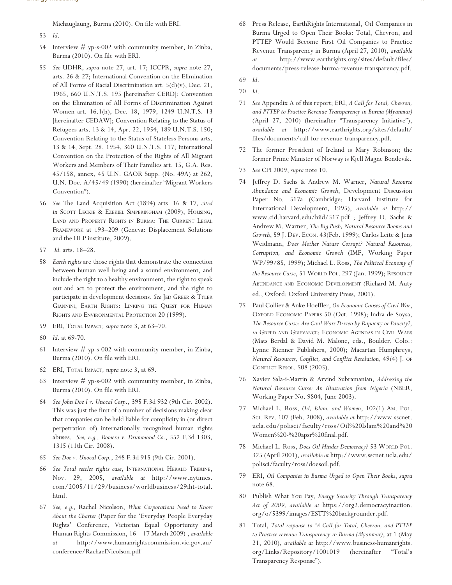Michauglaung, Burma (2010). On file with ERI.

- 53 *Id*.
- 54 Interview # yp-s-002 with community member, in Zinba, Burma (2010). On file with ERI.
- 55 *See* UDHR, *supra* note 27, art*.* 17; ICCPR, *supra* note 27, arts*.* 26 & 27; International Convention on the Elimination of All Forms of Racial Discrimination art*.* 5(d)(v), Dec. 21, 1965, 660 U.N.T.S. 195 [hereinafter CERD]; Convention on the Elimination of All Forms of Discrimination Against Women art. 16.1(h), Dec. 18, 1979, 1249 U.N.T.S. 13 [hereinafter CEDAW]; Convention Relating to the Status of Refugees arts. 13 & 14, Apr. 22, 1954, 189 U.N.T.S. 150; Convention Relating to the Status of Stateless Persons arts. 13 & 14, Sept. 28, 1954, 360 U.N.T.S. 117; International Convention on the Protection of the Rights of All Migrant Workers and Members of Their Families art. 15, G.A. Res. 45/158, annex, 45 U.N. GAOR Supp. (No. 49A) at 262, U.N. Doc. A/45/49 (1990) (hereinafter "Migrant Workers Convention").
- 56 *See* The Land Acquisition Act (1894) arts. 16 & 17, *cited in* SCOTT LECKIE & EZEKIEL SIMPERINGHAM (2009), HOUSING, LAND AND PROPERTY RIGHTS IN BURMA: THE CURRENT LEGAL FRAMEWORK at 193–209 (Geneva: Displacement Solutions and the HLP institute, 2009).
- 57 *Id.* arts. 18–28.
- 58 *Earth rights* are those rights that demonstrate the connection between human well-being and a sound environment, and include the right to a healthy environment, the right to speak out and act to protect the environment, and the right to participate in development decisions. See JED GREER & TYLER GIANNINI, EARTH RIGHTS: LINKING THE QUEST FOR HUMAN RIGHTS AND ENVIRONMENTAL PROTECTION 20 (1999).
- 59 ERI, TOTAL IMPACT*, supra* note 3, at 63–70.
- 60 *Id*. at 69-70.
- 61 Interview # yp-s-002 with community member, in Zinba, Burma (2010). On file with ERI.
- 62 ERI, TOTAL IMPACT*, supra* note 3, at 69.
- 63 Interview # yp-s-002 with community member, in Zinba, Burma (2010). On file with ERI.
- 64 *See John Doe I v. Unocal Corp*., 395 F.3d 932 (9th Cir. 2002). This was just the first of a number of decisions making clear that companies can be held liable for complicity in (or direct perpetration of) internationally recognized human rights abuses. *See, e.g., Romero v. Drummond Co.*, 552 F.3d 1303, 1315 (11th Cir. 2008).
- 65 *See Doe v. Unocal Corp.*, 248 F.3d 915 (9th Cir. 2001).
- 66 *See Total settles rights case*, INTERNATIONAL HERALD TRIBUNE, Nov. 29, 2005, *available at* http://www.nytimes. com/2005/11/29/business/worldbusiness/29iht-total. html.
- 67 *See, e.g.,* Rachel Nicolson, *What Corporations Need to Know About the Charter* (Paper for the 'Everyday People Everyday Rights' Conference, Victorian Equal Opportunity and Human Rights Commission, 16 – 17 March 2009) , *available at* http://www.humanrightscommission.vic.gov.au/ conference/RachaelNicolson.pdf
- 68 Press Release, EarthRights International, Oil Companies in Burma Urged to Open Their Books: Total, Chevron, and PTTEP Would Become First Oil Companies to Practice Revenue Transparency in Burma (April 27, 2010), *available at* http://www.earthrights.org/sites/default/files/ documents/press-release-burma-revenue-transparency.pdf.
- 69 *Id*.
- 70 *Id*.
- 71 *See* Appendix A of this report; ERI, *A Call for Total, Chevron, and PTTEP to Practice Revenue Transparency in Burma (Myanmar)*  (April 27, 2010) (hereinafter "Transparency Initiative"), *available at* http://www.earthrights.org/sites/default/ files/documents/call-for-revenue-transparency.pdf.
- 72 The former President of Ireland is Mary Robinson; the former Prime Minister of Norway is Kjell Magne Bondevik.
- 73 *See* CPI 2009, *supra* note 10.
- 74 Jeffrey D. Sachs & Andrew M. Warner, *Natural Resource Abundance and Economic Growth*, Development Discussion Paper No. 517a (Cambridge: Harvard Institute for International Development, 1995), *available at* http:// www.cid.harvard.edu/hiid/517.pdf ; Jeffrey D. Sachs & Andrew M. Warner, *The Big Push, Natural Resource Booms and Growth*, 59 J. DEV. ECON. 43(Feb. 1999); Carlos Leite & Jens Weidmann, *Does Mother Nature Corrupt? Natural Resources, Corruption, and Economic Growth* (IMF, Working Paper WP/99/85, 1999); Michael L. Ross, *The Political Economy of the Resource Curse*, 51 WORLD POL. 297 (Jan. 1999); RESOURCE ABUNDANCE AND ECONOMIC DEVELOPMENT (Richard M. Auty ed., Oxford: Oxford University Press, 2001).
- 75 Paul Collier & Anke Hoeffler, *On Economic Causes of Civil War*, OXFORD ECONOMIC PAPERS 50 (Oct. 1998); Indra de Soysa, *The Resource Curse: Are Civil Wars Driven by Rapacity or Paucity?, in* GREED AND GRIEVANCE: ECONOMIC AGENDAS IN CIVIL WARS (Mats Berdal & David M. Malone, eds., Boulder, Colo.: Lynne Rienner Publishers, 2000); Macartan Humphreys, *Natural Resources, Conflict, and Conflict Resolution*, 49(4) J. OF CONFLICT RESOL. 508 (2005).
- 76 Xavier Sala-i-Martin & Arvind Subramanian, *Addressing the Natural Resource Curse: An Illustration from Nigeria* (NBER, Working Paper No. 9804, June 2003).
- 77 Michael L. Ross, *Oil, Islam, and Women*, 102(1) AM. POL. SCI. REV. 107 (Feb. 2008), *available at* http://www.sscnet. ucla.edu/polisci/faculty/ross/Oil%20Islam%20and%20 Women%20-%20apsr%20final.pdf.
- 78 Michael L. Ross, *Does Oil Hinder Democracy?* 53 WORLD POL. 325 (April 2001), *available at* http://www.sscnet.ucla.edu/ polisci/faculty/ross/doesoil.pdf.
- 79 ERI, *Oil Companies in Burma Urged to Open Their Books*, *supra*  note 68.
- 80 Publish What You Pay, *Energy Security Through Transparency Act of 2009, available at* https://org2.democracyinaction. org/o/5399/images/ESTT%20backgrounder.pdf.
- 81 Total, *Total response to "A Call for Total, Chevron, and PTTEP to Practice revenue Transparency in Burma (Myanmar)*, at 1 (May 21, 2010), *available at* http://www.business-humanrights. org/Links/Repository/1001019 (hereinafter "Total's Transparency Response").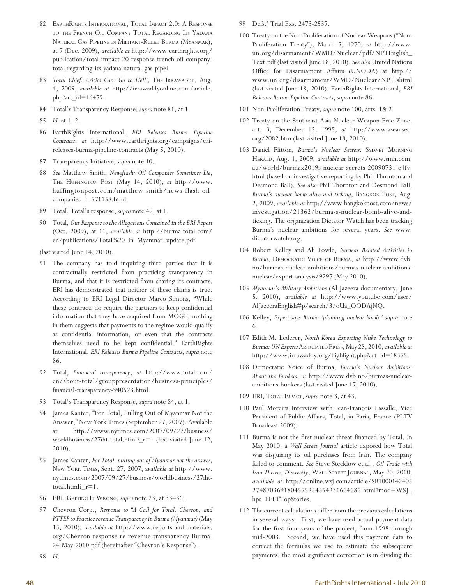- 82 EARTHRIGHTS INTERNATIONAL, TOTAL IMPACT 2.0: A RESPONSE TO THE FRENCH OIL COMPANY TOTAL REGARDING ITS YADANA NATURAL GAS PIPELINE IN MILITARY-RULED BURMA (MYANMAR), at 7 (Dec. 2009), *available at* http://www.earthrights.org/ publication/total-impact-20-response-french-oil-companytotal-regarding-its-yadana-natural-gas-pipel.
- 83 *Total Chief: Critics Can 'Go to Hell',* THE IRRAWADDY, Aug. 4, 2009, *available at* http://irrawaddyonline.com/article. php?art\_id=16479.
- 84 Total's Transparency Response, *supra* note 81, at 1.
- 85 *Id.* at 1–2.
- 86 EarthRights International, *ERI Releases Burma Pipeline Contracts*, *at* http://www.earthrights.org/campaigns/erireleases-burma-pipeline-contracts (May 5, 2010).
- 87 Transparency Initiative, *supra* note 10.
- 88 *See* Matthew Smith, *Newsflash: Oil Companies Sometimes Lie*, THE HUFFINGTON POST (May 14, 2010), *at* http://www. huffingtonpost.com/matthew-smith/news-flash-oilcompanies\_b\_571158.html.
- 89 Total, Total's response, *supra* note 42, at 1.
- 90 Total, *Our Response to the Allegations Contained in the ERI Report*  (Oct. 2009), at 11, *available at* http://burma.total.com/ en/publications/Total%20\_in\_Myanmar\_update.pdf

(last visited June 14, 2010).

- 91 The company has told inquiring third parties that it is contractually restricted from practicing transparency in Burma, and that it is restricted from sharing its contracts. ERI has demonstrated that neither of these claims is true. According to ERI Legal Director Marco Simons, "While these contracts do require the partners to keep confidential information that they have acquired from MOGE, nothing in them suggests that payments to the regime would qualify as confidential information, or even that the contracts themselves need to be kept confidential." EarthRights International, *ERI Releases Burma Pipeline Contracts*, *supra* note 86.
- 92 Total, *Financial transparency*, *at* http://www.total.com/ en/about-total/grouppresentation/business-principles/ financial-transparency-940523.html.
- 93 Total's Transparency Response, *supra* note 84, at 1.
- 94 James Kanter, "For Total, Pulling Out of Myanmar Not the Answer," New York Times (September 27, 2007). Available at http://www.nytimes.com/2007/09/27/business/ worldbusiness/27iht-total.html?\_r=1 (last visited June 12, 2010).
- 95 James Kanter, *For Total, pulling out of Myanmar not the answer*, NEW YORK TIMES, Sept. 27, 2007, a*vailable at* http://www. nytimes.com/2007/09/27/business/worldbusiness/27iht $total.html?$   $r=1.$
- 96 ERI, GETTING IT WRONG, *supra* note 23, at 33–36.
- 97 Chevron Corp., *Response to "A Call for Total, Chevron, and PTTEP to Practice revenue Transparency in Burma (Myanmar)* (May 15, 2010), *available at* http://www.reports-and-materials. org/Chevron-response-re-revenue-transparency-Burma-24-May-2010.pdf (hereinafter "Chevron's Response").

98 *Id*.

- 99 Defs.' Trial Exs. 2473-2537.
- 100 Treaty on the Non-Proliferation of Nuclear Weapons ("Non-Proliferation Treaty"), March 5, 1970, *at* http://www. un.org/disarmament/WMD/Nuclear/pdf/NPTEnglish\_ Text.pdf (last visited June 18, 2010). *See also* United Nations Office for Disarmament Affairs (UNODA) at http:// www.un.org/disarmament/WMD/Nuclear/NPT.shtml (last visited June 18, 2010). EarthRights International, *ERI Releases Burma Pipeline Contracts*, *supra* note 86.
- 101 Non-Proliferation Treaty, *supra* note 100, arts. 1& 2
- 102 Treaty on the Southeast Asia Nuclear Weapon-Free Zone, art. 3, December 15, 1995, *at* http://www.aseansec. org/2082.htm (last visited June 18, 2010).
- 103 Daniel Flitton, *Burma's Nuclear Secrets,* SYDNEY MORNING HERALD, Aug. 1, 2009, *available at* http://www.smh.com. au/world/burmax2019s-nuclear-secrets-20090731-e4fv. html (based on investigative reporting by Phil Thornton and Desmond Ball). *See also* Phil Thornton and Desmond Ball, *Burma's nuclear bomb alive and ticking*, BANGKOK POST, Aug. 2, 2009, *available at* http://www.bangkokpost.com/news/ investigation/21362/burma-s-nuclear-bomb-alive-andticking. The organization Dictator Watch has been tracking Burma's nuclear ambitions for several years. *See* www. dictatorwatch.org.
- 104 Robert Kelley and Ali Fowle, *Nuclear Related Activities in Burma*, DEMOCRATIC VOICE OF BURMA, *at* http://www.dvb. no/burmas-nuclear-ambitions/burmas-nuclear-ambitionsnuclear/expert-analysis/9297 (May 2010).
- 105 *Myanmar's Military Ambitions* (Al Jazeera documentary, June 5, 2010), *available at* http://www.youtube.com/user/ AlJazeeraEnglish#p/search/3/oUa\_OODAjNQ.
- 106 Kelley, *Expert says Burma 'planning nuclear bomb*,*' supra* note 6.
- 107 Edith M. Lederer, *North Korea Exporting Nuke Technology to Burma: UN Experts*ASSOCIATED PRESS, May 28, 2010, *available at* http://www.irrawaddy.org/highlight.php?art\_id=18575.
- 108 Democratic Voice of Burma, *Burma's Nuclear Ambitions: About the Bunkers*, *at* http://www.dvb.no/burmas-nuclearambitions-bunkers (last visited June 17, 2010).
- 109 ERI, TOTAL IMPACT, *supra* note 3, at 43.
- 110 Paul Moreira Interview with Jean-François Lassalle, Vice President of Public Affairs, Total, in Paris, France (PLTV Broadcast 2009).
- 111 Burma is not the first nuclear threat financed by Total. In May 2010, a *Wall Street Journal* article exposed how Total was disguising its oil purchases from Iran. The company failed to comment. *See* Steve Stecklow et al., *Oil Trade with Iran Thrives, Discreetly*, WALL STREET JOURNAL, May 20, 2010, *available at* http://online.wsj.com/article/SB1000142405 2748703691804575254554231664686.html?mod=WSJ\_ hps\_LEFTTopStories.
- 112 The current calculations differ from the previous calculations in several ways. First, we have used actual payment data for the first four years of the project, from 1998 through mid-2003. Second, we have used this payment data to correct the formulas we use to estimate the subsequent payments; the most significant correction is in dividing the